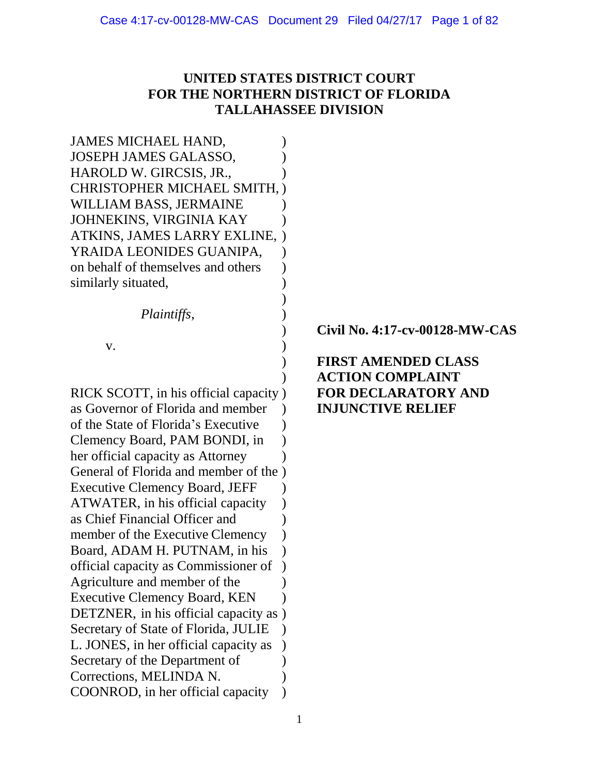# **UNITED STATES DISTRICT COURT FOR THE NORTHERN DISTRICT OF FLORIDA TALLAHASSEE DIVISION**

| <b>JAMES MICHAEL HAND,</b>            |  |
|---------------------------------------|--|
| JOSEPH JAMES GALASSO,                 |  |
| HAROLD W. GIRCSIS, JR.,               |  |
| CHRISTOPHER MICHAEL SMITH,            |  |
| WILLIAM BASS, JERMAINE                |  |
| JOHNEKINS, VIRGINIA KAY               |  |
| ATKINS, JAMES LARRY EXLINE,           |  |
| YRAIDA LEONIDES GUANIPA,              |  |
| on behalf of themselves and others    |  |
| similarly situated,                   |  |
|                                       |  |
| Plaintiffs,                           |  |
|                                       |  |
| v.                                    |  |
|                                       |  |
|                                       |  |
| RICK SCOTT, in his official capacity  |  |
| as Governor of Florida and member     |  |
| of the State of Florida's Executive   |  |
| Clemency Board, PAM BONDI, in         |  |
| her official capacity as Attorney     |  |
| General of Florida and member of the  |  |
| <b>Executive Clemency Board, JEFF</b> |  |
| ATWATER, in his official capacity     |  |
| as Chief Financial Officer and        |  |
| member of the Executive Clemency      |  |
| Board, ADAM H. PUTNAM, in his         |  |
| official capacity as Commissioner of  |  |
| Agriculture and member of the         |  |
| <b>Executive Clemency Board, KEN</b>  |  |
| DETZNER, in his official capacity as  |  |
| Secretary of State of Florida, JULIE  |  |
| L. JONES, in her official capacity as |  |
| Secretary of the Department of        |  |
| Corrections, MELINDA N.               |  |
| COONROD, in her official capacity     |  |
|                                       |  |

) **Civil No. 4:17-cv-00128-MW-CAS**

# ) **FIRST AMENDED CLASS** ) **ACTION COMPLAINT FOR DECLARATORY AND INJUNCTIVE RELIEF**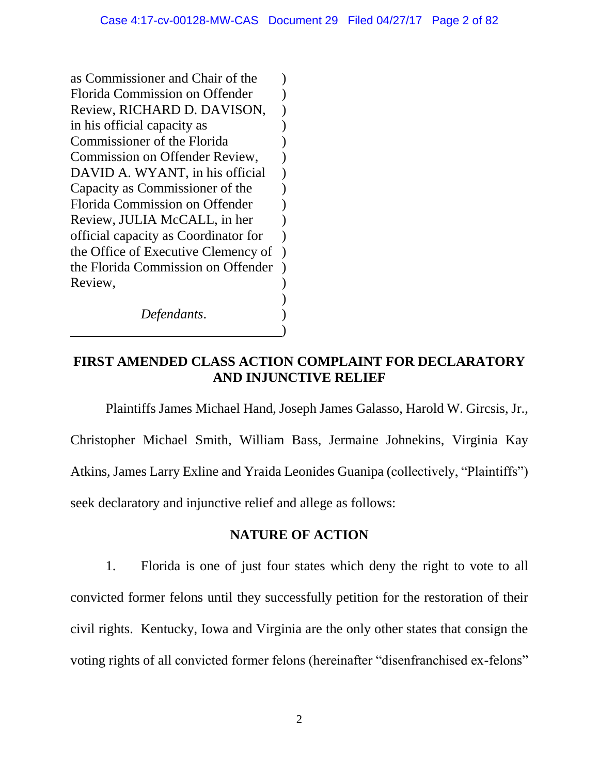as Commissioner and Chair of the ) Florida Commission on Offender (a) Review, RICHARD D. DAVISON, ) in his official capacity as (a) Commissioner of the Florida (1) Commission on Offender Review. DAVID A. WYANT, in his official  $\qquad$ Capacity as Commissioner of the ) Florida Commission on Offender (a) Review, JULIA McCALL, in her ) official capacity as Coordinator for ) the Office of Executive Clemency of ) the Florida Commission on Offender ) Review, ) *Defendants*. )

# **FIRST AMENDED CLASS ACTION COMPLAINT FOR DECLARATORY AND INJUNCTIVE RELIEF**

)

Plaintiffs James Michael Hand, Joseph James Galasso, Harold W. Gircsis, Jr., Christopher Michael Smith, William Bass, Jermaine Johnekins, Virginia Kay Atkins, James Larry Exline and Yraida Leonides Guanipa (collectively, "Plaintiffs") seek declaratory and injunctive relief and allege as follows:

## **NATURE OF ACTION**

1. Florida is one of just four states which deny the right to vote to all convicted former felons until they successfully petition for the restoration of their civil rights. Kentucky, Iowa and Virginia are the only other states that consign the voting rights of all convicted former felons (hereinafter "disenfranchised ex-felons"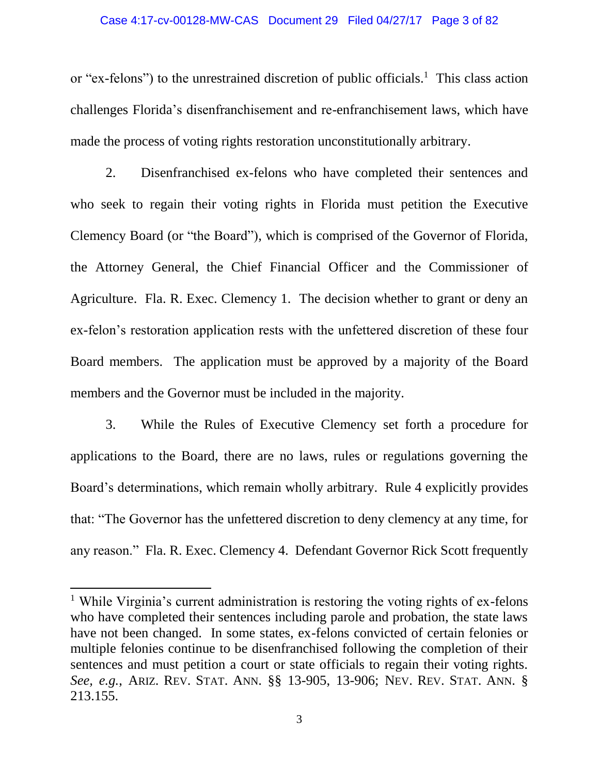#### Case 4:17-cv-00128-MW-CAS Document 29 Filed 04/27/17 Page 3 of 82

or "ex-felons") to the unrestrained discretion of public officials.<sup>1</sup> This class action challenges Florida's disenfranchisement and re-enfranchisement laws, which have made the process of voting rights restoration unconstitutionally arbitrary.

2. Disenfranchised ex-felons who have completed their sentences and who seek to regain their voting rights in Florida must petition the Executive Clemency Board (or "the Board"), which is comprised of the Governor of Florida, the Attorney General, the Chief Financial Officer and the Commissioner of Agriculture. Fla. R. Exec. Clemency 1. The decision whether to grant or deny an ex-felon's restoration application rests with the unfettered discretion of these four Board members. The application must be approved by a majority of the Board members and the Governor must be included in the majority.

3. While the Rules of Executive Clemency set forth a procedure for applications to the Board, there are no laws, rules or regulations governing the Board's determinations, which remain wholly arbitrary. Rule 4 explicitly provides that: "The Governor has the unfettered discretion to deny clemency at any time, for any reason." Fla. R. Exec. Clemency 4. Defendant Governor Rick Scott frequently

 $\overline{a}$ 

<sup>&</sup>lt;sup>1</sup> While Virginia's current administration is restoring the voting rights of ex-felons who have completed their sentences including parole and probation, the state laws have not been changed. In some states, ex-felons convicted of certain felonies or multiple felonies continue to be disenfranchised following the completion of their sentences and must petition a court or state officials to regain their voting rights. *See, e.g.*, ARIZ. REV. STAT. ANN. §§ 13-905, 13-906; NEV. REV. STAT. ANN. § 213.155.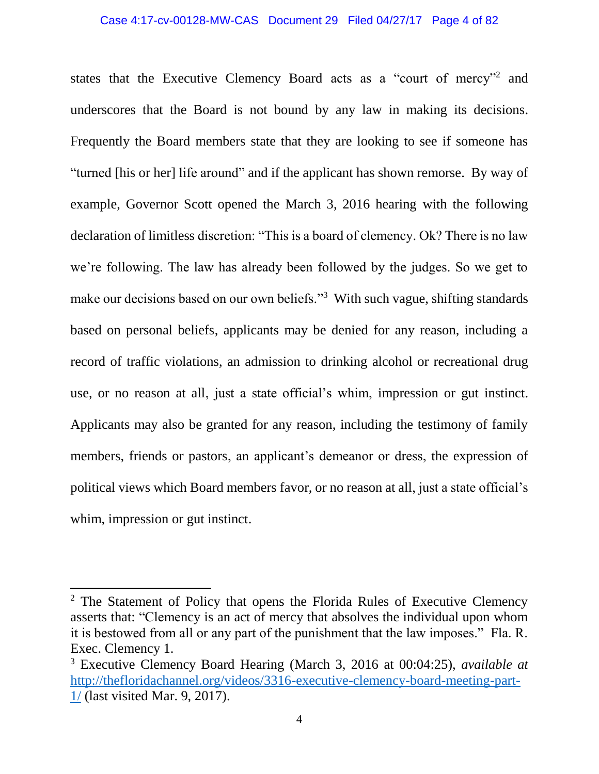#### Case 4:17-cv-00128-MW-CAS Document 29 Filed 04/27/17 Page 4 of 82

states that the Executive Clemency Board acts as a "court of mercy"<sup>2</sup> and underscores that the Board is not bound by any law in making its decisions. Frequently the Board members state that they are looking to see if someone has "turned [his or her] life around" and if the applicant has shown remorse. By way of example, Governor Scott opened the March 3, 2016 hearing with the following declaration of limitless discretion: "This is a board of clemency. Ok? There is no law we're following. The law has already been followed by the judges. So we get to make our decisions based on our own beliefs."<sup>3</sup> With such vague, shifting standards based on personal beliefs, applicants may be denied for any reason, including a record of traffic violations, an admission to drinking alcohol or recreational drug use, or no reason at all, just a state official's whim, impression or gut instinct. Applicants may also be granted for any reason, including the testimony of family members, friends or pastors, an applicant's demeanor or dress, the expression of political views which Board members favor, or no reason at all, just a state official's whim, impression or gut instinct.

 $\overline{a}$ 

<sup>&</sup>lt;sup>2</sup> The Statement of Policy that opens the Florida Rules of Executive Clemency asserts that: "Clemency is an act of mercy that absolves the individual upon whom it is bestowed from all or any part of the punishment that the law imposes." Fla. R. Exec. Clemency 1.

<sup>3</sup> Executive Clemency Board Hearing (March 3, 2016 at 00:04:25), *available at* [http://thefloridachannel.org/videos/3316-executive-clemency-board-meeting-part-](http://thefloridachannel.org/videos/3316-executive-clemency-board-meeting-part-1/)[1/](http://thefloridachannel.org/videos/3316-executive-clemency-board-meeting-part-1/) (last visited Mar. 9, 2017).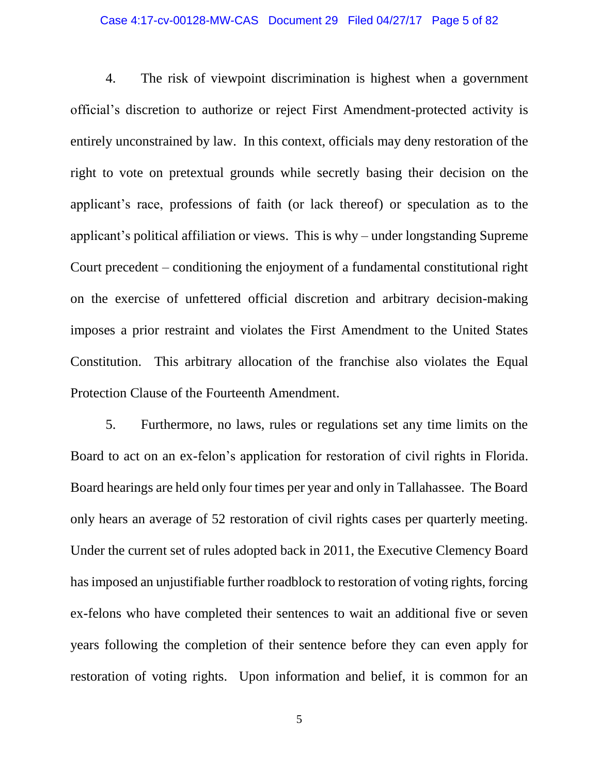### Case 4:17-cv-00128-MW-CAS Document 29 Filed 04/27/17 Page 5 of 82

4. The risk of viewpoint discrimination is highest when a government official's discretion to authorize or reject First Amendment-protected activity is entirely unconstrained by law. In this context, officials may deny restoration of the right to vote on pretextual grounds while secretly basing their decision on the applicant's race, professions of faith (or lack thereof) or speculation as to the applicant's political affiliation or views. This is why – under longstanding Supreme Court precedent – conditioning the enjoyment of a fundamental constitutional right on the exercise of unfettered official discretion and arbitrary decision-making imposes a prior restraint and violates the First Amendment to the United States Constitution. This arbitrary allocation of the franchise also violates the Equal Protection Clause of the Fourteenth Amendment.

5. Furthermore, no laws, rules or regulations set any time limits on the Board to act on an ex-felon's application for restoration of civil rights in Florida. Board hearings are held only four times per year and only in Tallahassee. The Board only hears an average of 52 restoration of civil rights cases per quarterly meeting. Under the current set of rules adopted back in 2011, the Executive Clemency Board has imposed an unjustifiable further roadblock to restoration of voting rights, forcing ex-felons who have completed their sentences to wait an additional five or seven years following the completion of their sentence before they can even apply for restoration of voting rights. Upon information and belief, it is common for an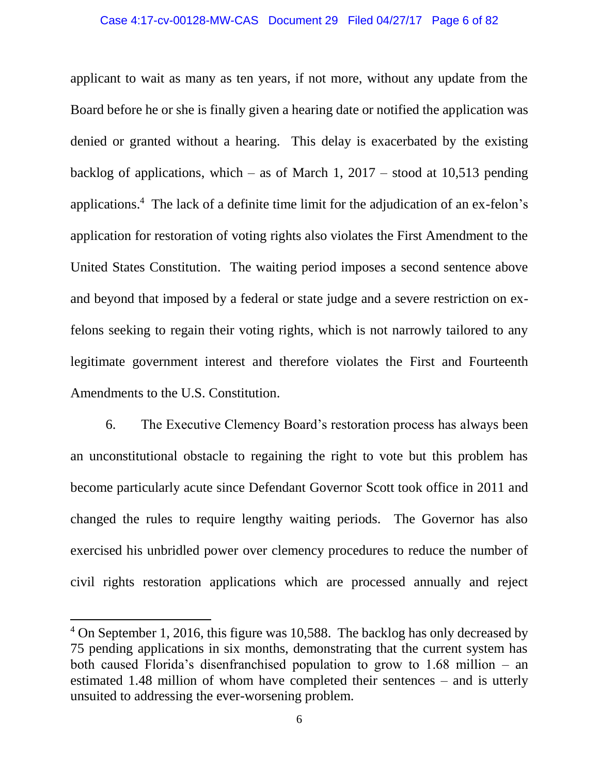#### Case 4:17-cv-00128-MW-CAS Document 29 Filed 04/27/17 Page 6 of 82

applicant to wait as many as ten years, if not more, without any update from the Board before he or she is finally given a hearing date or notified the application was denied or granted without a hearing. This delay is exacerbated by the existing backlog of applications, which – as of March 1,  $2017 -$  stood at 10,513 pending applications. <sup>4</sup> The lack of a definite time limit for the adjudication of an ex-felon's application for restoration of voting rights also violates the First Amendment to the United States Constitution. The waiting period imposes a second sentence above and beyond that imposed by a federal or state judge and a severe restriction on exfelons seeking to regain their voting rights, which is not narrowly tailored to any legitimate government interest and therefore violates the First and Fourteenth Amendments to the U.S. Constitution.

6. The Executive Clemency Board's restoration process has always been an unconstitutional obstacle to regaining the right to vote but this problem has become particularly acute since Defendant Governor Scott took office in 2011 and changed the rules to require lengthy waiting periods. The Governor has also exercised his unbridled power over clemency procedures to reduce the number of civil rights restoration applications which are processed annually and reject

<sup>&</sup>lt;sup>4</sup> On September 1, 2016, this figure was 10,588. The backlog has only decreased by 75 pending applications in six months, demonstrating that the current system has both caused Florida's disenfranchised population to grow to 1.68 million – an estimated 1.48 million of whom have completed their sentences – and is utterly unsuited to addressing the ever-worsening problem.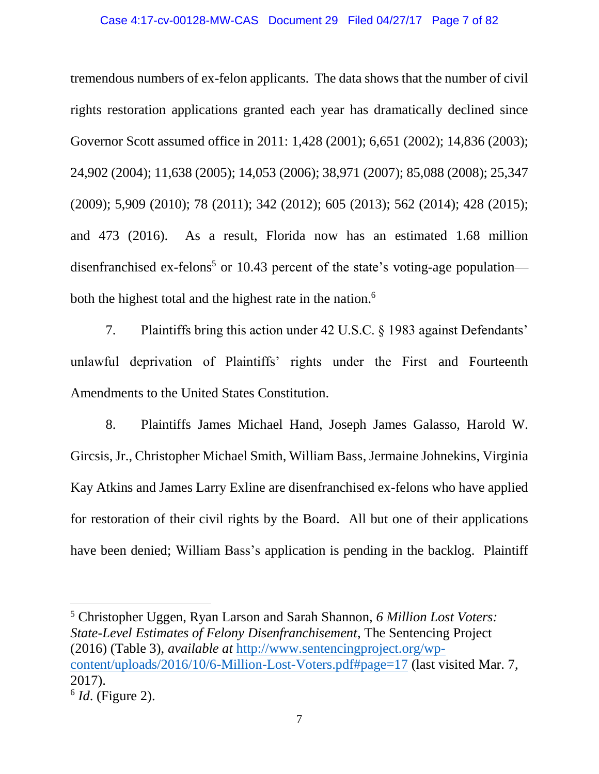tremendous numbers of ex-felon applicants. The data shows that the number of civil rights restoration applications granted each year has dramatically declined since Governor Scott assumed office in 2011: 1,428 (2001); 6,651 (2002); 14,836 (2003); 24,902 (2004); 11,638 (2005); 14,053 (2006); 38,971 (2007); 85,088 (2008); 25,347 (2009); 5,909 (2010); 78 (2011); 342 (2012); 605 (2013); 562 (2014); 428 (2015); and 473 (2016). As a result, Florida now has an estimated 1.68 million disenfranchised ex-felons<sup>5</sup> or 10.43 percent of the state's voting-age population both the highest total and the highest rate in the nation.<sup>6</sup>

7. Plaintiffs bring this action under 42 U.S.C. § 1983 against Defendants' unlawful deprivation of Plaintiffs' rights under the First and Fourteenth Amendments to the United States Constitution.

8. Plaintiffs James Michael Hand, Joseph James Galasso, Harold W. Gircsis, Jr., Christopher Michael Smith, William Bass, Jermaine Johnekins, Virginia Kay Atkins and James Larry Exline are disenfranchised ex-felons who have applied for restoration of their civil rights by the Board. All but one of their applications have been denied; William Bass's application is pending in the backlog. Plaintiff

<sup>5</sup> Christopher Uggen, Ryan Larson and Sarah Shannon, *6 Million Lost Voters: State-Level Estimates of Felony Disenfranchisement*, The Sentencing Project (2016) (Table 3), *available at* [http://www.sentencingproject.org/wp](http://www.sentencingproject.org/wp-content/uploads/2016/10/6-Million-Lost-Voters.pdf#page=17)[content/uploads/2016/10/6-Million-Lost-Voters.pdf#page=17](http://www.sentencingproject.org/wp-content/uploads/2016/10/6-Million-Lost-Voters.pdf#page=17) (last visited Mar. 7, 2017).

 $\overline{a}$ 

<sup>6</sup> *Id*. (Figure 2).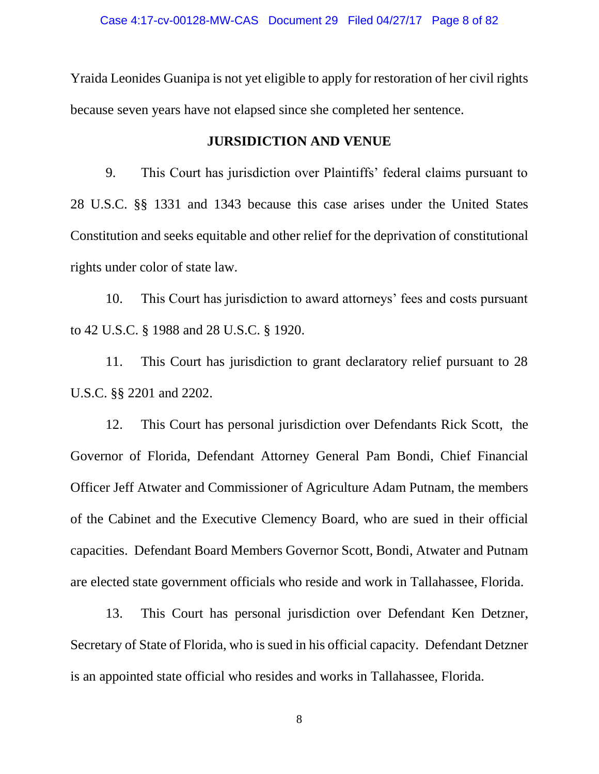Yraida Leonides Guanipa is not yet eligible to apply for restoration of her civil rights because seven years have not elapsed since she completed her sentence.

### **JURSIDICTION AND VENUE**

9. This Court has jurisdiction over Plaintiffs' federal claims pursuant to 28 U.S.C. §§ 1331 and 1343 because this case arises under the United States Constitution and seeks equitable and other relief for the deprivation of constitutional rights under color of state law.

10. This Court has jurisdiction to award attorneys' fees and costs pursuant to 42 U.S.C. § 1988 and 28 U.S.C. § 1920.

11. This Court has jurisdiction to grant declaratory relief pursuant to 28 U.S.C. §§ 2201 and 2202.

12. This Court has personal jurisdiction over Defendants Rick Scott, the Governor of Florida, Defendant Attorney General Pam Bondi, Chief Financial Officer Jeff Atwater and Commissioner of Agriculture Adam Putnam, the members of the Cabinet and the Executive Clemency Board, who are sued in their official capacities. Defendant Board Members Governor Scott, Bondi, Atwater and Putnam are elected state government officials who reside and work in Tallahassee, Florida.

13. This Court has personal jurisdiction over Defendant Ken Detzner, Secretary of State of Florida, who is sued in his official capacity. Defendant Detzner is an appointed state official who resides and works in Tallahassee, Florida.

8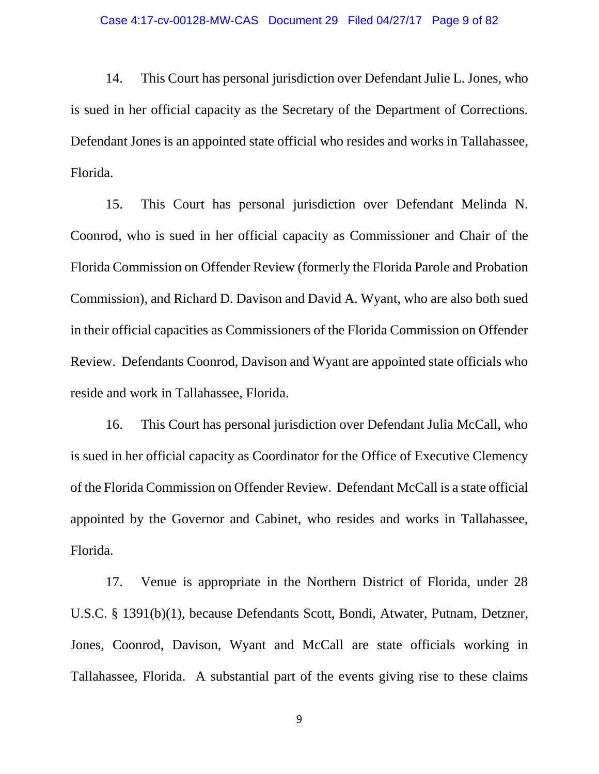14. This Court has personal jurisdiction over Defendant Julie L. Jones, who is sued in her official capacity as the Secretary of the Department of Corrections. Defendant Jones is an appointed state official who resides and works in Tallahassee, Florida.

15. This Court has personal jurisdiction over Defendant Melinda N. Coonrod, who is sued in her official capacity as Commissioner and Chair of the Florida Commission on Offender Review (formerly the Florida Parole and Probation Commission), and Richard D. Davison and David A. Wyant, who are also both sued in their official capacities as Commissioners of the Florida Commission on Offender Review. Defendants Coonrod, Davison and Wyant are appointed state officials who reside and work in Tallahassee, Florida.

16. This Court has personal jurisdiction over Defendant Julia McCall, who is sued in her official capacity as Coordinator for the Office of Executive Clemency of the Florida Commission on Offender Review. Defendant McCall is a state official appointed by the Governor and Cabinet, who resides and works in Tallahassee, Florida.

17. Venue is appropriate in the Northern District of Florida, under 28 U.S.C. § 1391(b)(1), because Defendants Scott, Bondi, Atwater, Putnam, Detzner, Jones, Coonrod, Davison, Wyant and McCall are state officials working in Tallahassee, Florida. A substantial part of the events giving rise to these claims

9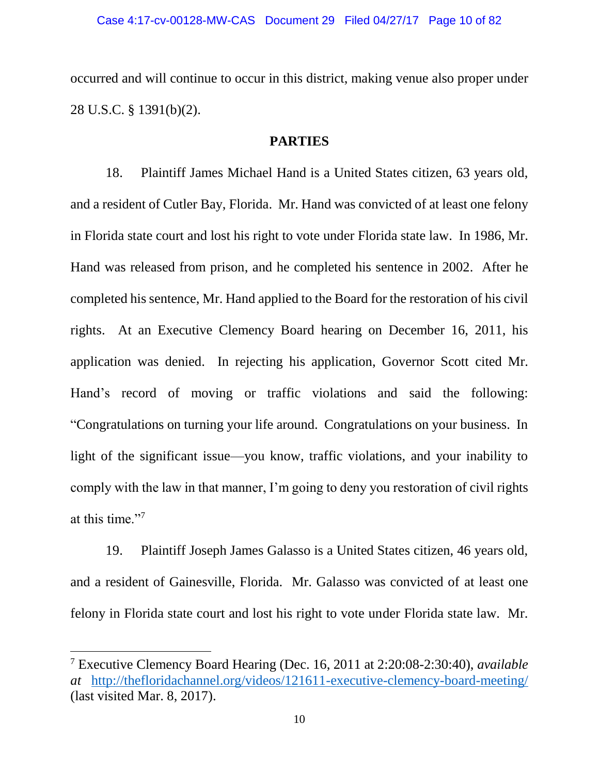occurred and will continue to occur in this district, making venue also proper under 28 U.S.C. § 1391(b)(2).

### **PARTIES**

18. Plaintiff James Michael Hand is a United States citizen, 63 years old, and a resident of Cutler Bay, Florida. Mr. Hand was convicted of at least one felony in Florida state court and lost his right to vote under Florida state law. In 1986, Mr. Hand was released from prison, and he completed his sentence in 2002. After he completed his sentence, Mr. Hand applied to the Board for the restoration of his civil rights. At an Executive Clemency Board hearing on December 16, 2011, his application was denied. In rejecting his application, Governor Scott cited Mr. Hand's record of moving or traffic violations and said the following: "Congratulations on turning your life around. Congratulations on your business. In light of the significant issue—you know, traffic violations, and your inability to comply with the law in that manner, I'm going to deny you restoration of civil rights at this time."<sup>7</sup>

19. Plaintiff Joseph James Galasso is a United States citizen, 46 years old, and a resident of Gainesville, Florida. Mr. Galasso was convicted of at least one felony in Florida state court and lost his right to vote under Florida state law. Mr.

<sup>7</sup> Executive Clemency Board Hearing (Dec. 16, 2011 at 2:20:08-2:30:40), *available at* <http://thefloridachannel.org/videos/121611-executive-clemency-board-meeting/> (last visited Mar. 8, 2017).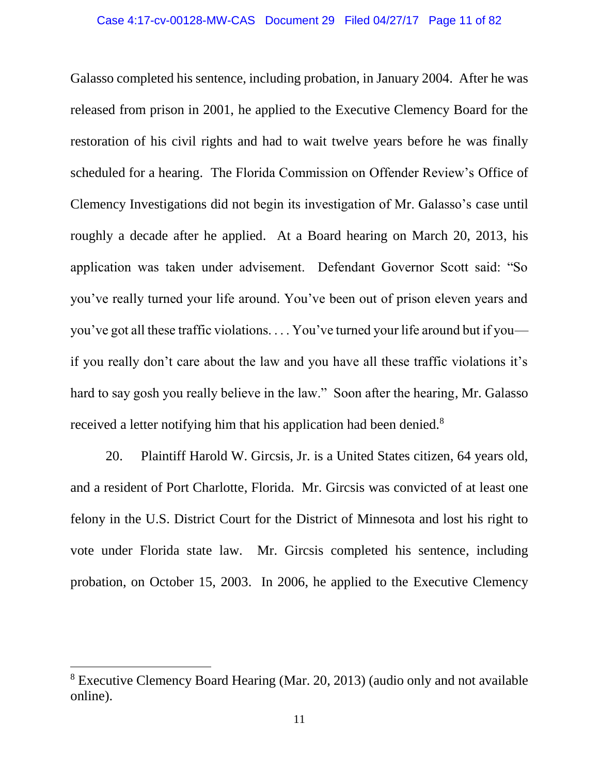Galasso completed his sentence, including probation, in January 2004. After he was released from prison in 2001, he applied to the Executive Clemency Board for the restoration of his civil rights and had to wait twelve years before he was finally scheduled for a hearing. The Florida Commission on Offender Review's Office of Clemency Investigations did not begin its investigation of Mr. Galasso's case until roughly a decade after he applied. At a Board hearing on March 20, 2013, his application was taken under advisement. Defendant Governor Scott said: "So you've really turned your life around. You've been out of prison eleven years and you've got all these traffic violations. . . . You've turned your life around but if you if you really don't care about the law and you have all these traffic violations it's hard to say gosh you really believe in the law." Soon after the hearing, Mr. Galasso received a letter notifying him that his application had been denied.<sup>8</sup>

20. Plaintiff Harold W. Gircsis, Jr. is a United States citizen, 64 years old, and a resident of Port Charlotte, Florida. Mr. Gircsis was convicted of at least one felony in the U.S. District Court for the District of Minnesota and lost his right to vote under Florida state law. Mr. Gircsis completed his sentence, including probation, on October 15, 2003. In 2006, he applied to the Executive Clemency

<sup>8</sup> Executive Clemency Board Hearing (Mar. 20, 2013) (audio only and not available online).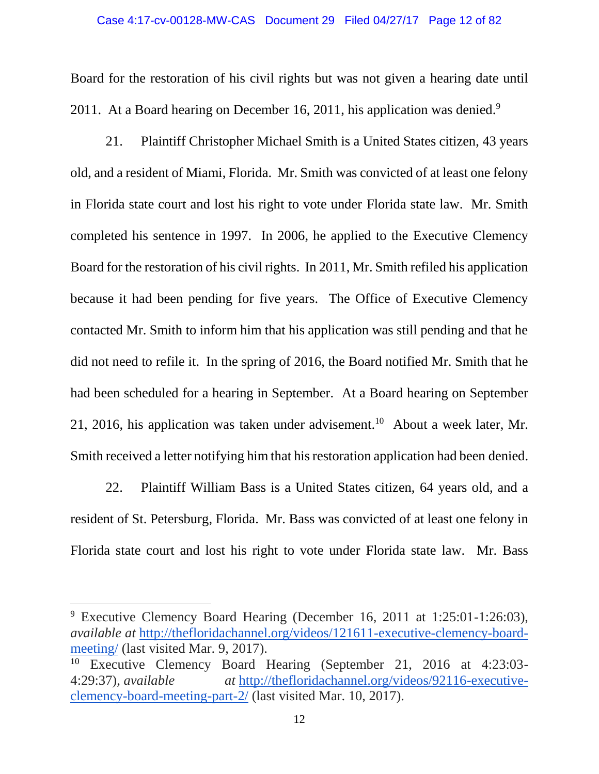Board for the restoration of his civil rights but was not given a hearing date until 2011. At a Board hearing on December 16, 2011, his application was denied.<sup>9</sup>

21. Plaintiff Christopher Michael Smith is a United States citizen, 43 years old, and a resident of Miami, Florida. Mr. Smith was convicted of at least one felony in Florida state court and lost his right to vote under Florida state law. Mr. Smith completed his sentence in 1997. In 2006, he applied to the Executive Clemency Board for the restoration of his civil rights. In 2011, Mr. Smith refiled his application because it had been pending for five years. The Office of Executive Clemency contacted Mr. Smith to inform him that his application was still pending and that he did not need to refile it. In the spring of 2016, the Board notified Mr. Smith that he had been scheduled for a hearing in September. At a Board hearing on September 21, 2016, his application was taken under advisement.<sup>10</sup> About a week later, Mr. Smith received a letter notifying him that his restoration application had been denied.

22. Plaintiff William Bass is a United States citizen, 64 years old, and a resident of St. Petersburg, Florida. Mr. Bass was convicted of at least one felony in Florida state court and lost his right to vote under Florida state law. Mr. Bass

 $\overline{a}$ 

<sup>9</sup> Executive Clemency Board Hearing (December 16, 2011 at 1:25:01-1:26:03), *available at* [http://thefloridachannel.org/videos/121611-executive-clemency-board](http://thefloridachannel.org/videos/121611-executive-clemency-board-meeting/)[meeting/](http://thefloridachannel.org/videos/121611-executive-clemency-board-meeting/) (last visited Mar. 9, 2017).

<sup>10</sup> Executive Clemency Board Hearing (September 21, 2016 at 4:23:03- 4:29:37), *available at* [http://thefloridachannel.org/videos/92116-executive](http://thefloridachannel.org/videos/92116-executive-clemency-board-meeting-part-2/)[clemency-board-meeting-part-2/](http://thefloridachannel.org/videos/92116-executive-clemency-board-meeting-part-2/) (last visited Mar. 10, 2017).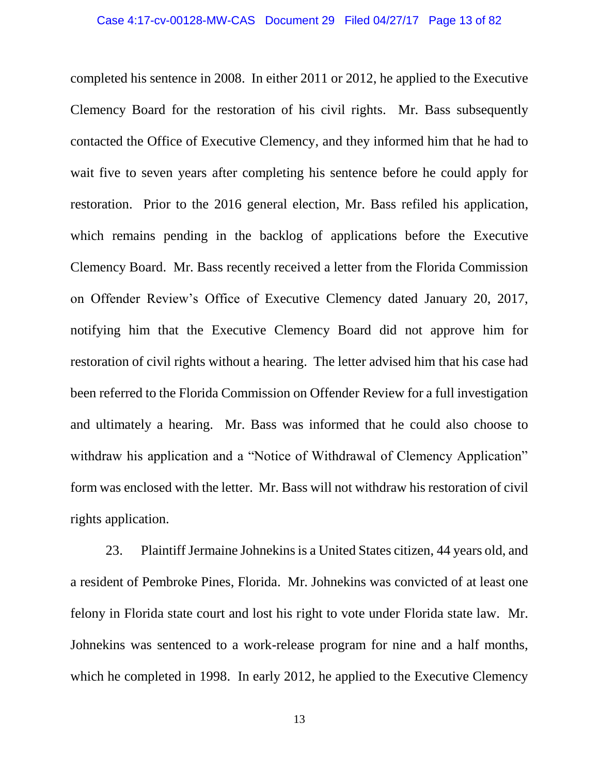completed his sentence in 2008. In either 2011 or 2012, he applied to the Executive Clemency Board for the restoration of his civil rights. Mr. Bass subsequently contacted the Office of Executive Clemency, and they informed him that he had to wait five to seven years after completing his sentence before he could apply for restoration. Prior to the 2016 general election, Mr. Bass refiled his application, which remains pending in the backlog of applications before the Executive Clemency Board. Mr. Bass recently received a letter from the Florida Commission on Offender Review's Office of Executive Clemency dated January 20, 2017, notifying him that the Executive Clemency Board did not approve him for restoration of civil rights without a hearing. The letter advised him that his case had been referred to the Florida Commission on Offender Review for a full investigation and ultimately a hearing. Mr. Bass was informed that he could also choose to withdraw his application and a "Notice of Withdrawal of Clemency Application" form was enclosed with the letter. Mr. Bass will not withdraw his restoration of civil rights application.

23. Plaintiff Jermaine Johnekins is a United States citizen, 44 years old, and a resident of Pembroke Pines, Florida. Mr. Johnekins was convicted of at least one felony in Florida state court and lost his right to vote under Florida state law. Mr. Johnekins was sentenced to a work-release program for nine and a half months, which he completed in 1998. In early 2012, he applied to the Executive Clemency

13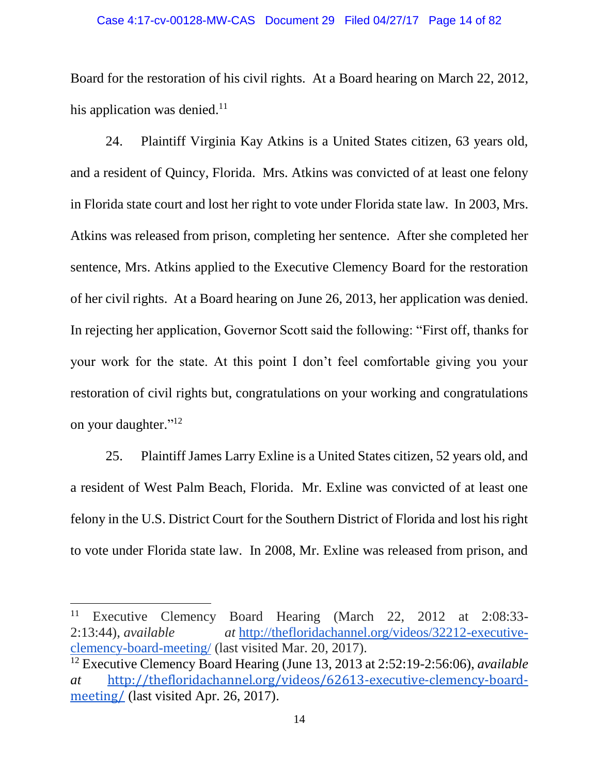#### Case 4:17-cv-00128-MW-CAS Document 29 Filed 04/27/17 Page 14 of 82

Board for the restoration of his civil rights. At a Board hearing on March 22, 2012, his application was denied. $11$ 

24. Plaintiff Virginia Kay Atkins is a United States citizen, 63 years old, and a resident of Quincy, Florida. Mrs. Atkins was convicted of at least one felony in Florida state court and lost her right to vote under Florida state law. In 2003, Mrs. Atkins was released from prison, completing her sentence. After she completed her sentence, Mrs. Atkins applied to the Executive Clemency Board for the restoration of her civil rights. At a Board hearing on June 26, 2013, her application was denied. In rejecting her application, Governor Scott said the following: "First off, thanks for your work for the state. At this point I don't feel comfortable giving you your restoration of civil rights but, congratulations on your working and congratulations on your daughter."<sup>12</sup>

25. Plaintiff James Larry Exline is a United States citizen, 52 years old, and a resident of West Palm Beach, Florida. Mr. Exline was convicted of at least one felony in the U.S. District Court for the Southern District of Florida and lost his right to vote under Florida state law. In 2008, Mr. Exline was released from prison, and

l

<sup>11</sup> Executive Clemency Board Hearing (March 22, 2012 at 2:08:33- 2:13:44), *available at* [http://thefloridachannel.org/videos/32212-executive](http://thefloridachannel.org/videos/32212-executive-clemency-board-meeting/)[clemency-board-meeting/](http://thefloridachannel.org/videos/32212-executive-clemency-board-meeting/) (last visited Mar. 20, 2017).

<sup>12</sup> Executive Clemency Board Hearing (June 13, 2013 at 2:52:19-2:56:06), *available at* [http://thefloridachannel.org/videos/62613-executive-clemency-board](http://thefloridachannel.org/videos/62613-executive-clemency-board-meeting/)[meeting/](http://thefloridachannel.org/videos/62613-executive-clemency-board-meeting/) (last visited Apr. 26, 2017).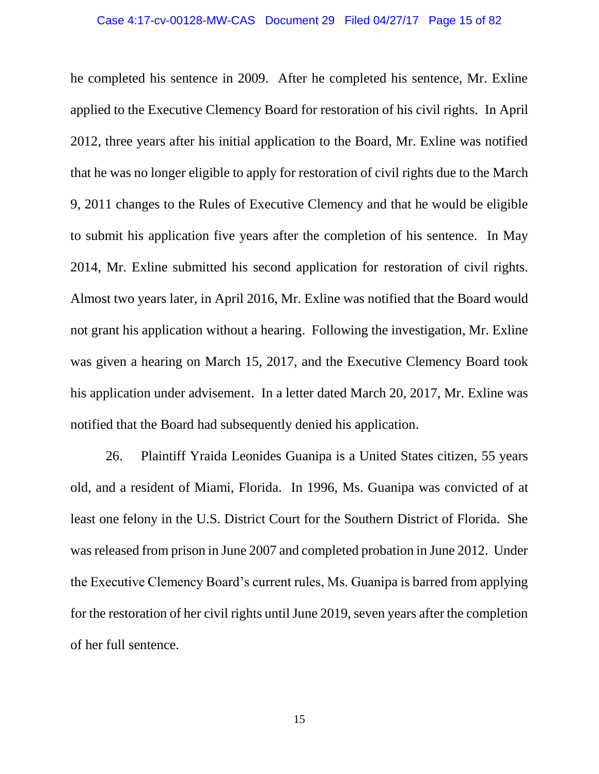he completed his sentence in 2009. After he completed his sentence, Mr. Exline applied to the Executive Clemency Board for restoration of his civil rights. In April 2012, three years after his initial application to the Board, Mr. Exline was notified that he was no longer eligible to apply for restoration of civil rights due to the March 9, 2011 changes to the Rules of Executive Clemency and that he would be eligible to submit his application five years after the completion of his sentence. In May 2014, Mr. Exline submitted his second application for restoration of civil rights. Almost two years later, in April 2016, Mr. Exline was notified that the Board would not grant his application without a hearing. Following the investigation, Mr. Exline was given a hearing on March 15, 2017, and the Executive Clemency Board took his application under advisement. In a letter dated March 20, 2017, Mr. Exline was notified that the Board had subsequently denied his application.

26. Plaintiff Yraida Leonides Guanipa is a United States citizen, 55 years old, and a resident of Miami, Florida. In 1996, Ms. Guanipa was convicted of at least one felony in the U.S. District Court for the Southern District of Florida. She was released from prison in June 2007 and completed probation in June 2012. Under the Executive Clemency Board's current rules, Ms. Guanipa is barred from applying for the restoration of her civil rights until June 2019, seven years after the completion of her full sentence.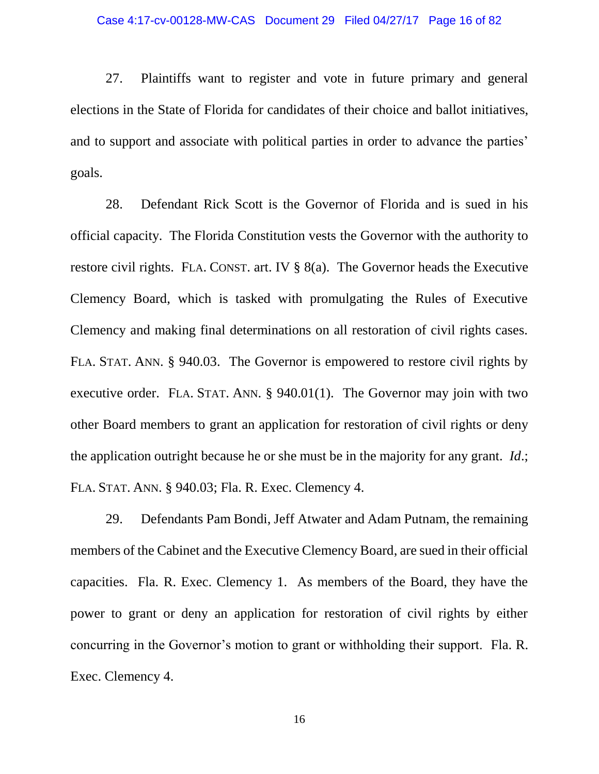27. Plaintiffs want to register and vote in future primary and general elections in the State of Florida for candidates of their choice and ballot initiatives, and to support and associate with political parties in order to advance the parties' goals.

28. Defendant Rick Scott is the Governor of Florida and is sued in his official capacity. The Florida Constitution vests the Governor with the authority to restore civil rights. FLA. CONST. art. IV § 8(a). The Governor heads the Executive Clemency Board, which is tasked with promulgating the Rules of Executive Clemency and making final determinations on all restoration of civil rights cases. FLA. STAT. ANN. § 940.03. The Governor is empowered to restore civil rights by executive order. FLA. STAT. ANN. § 940.01(1). The Governor may join with two other Board members to grant an application for restoration of civil rights or deny the application outright because he or she must be in the majority for any grant. *Id*.; FLA. STAT. ANN. § 940.03; Fla. R. Exec. Clemency 4.

29. Defendants Pam Bondi, Jeff Atwater and Adam Putnam, the remaining members of the Cabinet and the Executive Clemency Board, are sued in their official capacities. Fla. R. Exec. Clemency 1. As members of the Board, they have the power to grant or deny an application for restoration of civil rights by either concurring in the Governor's motion to grant or withholding their support. Fla. R. Exec. Clemency 4.

16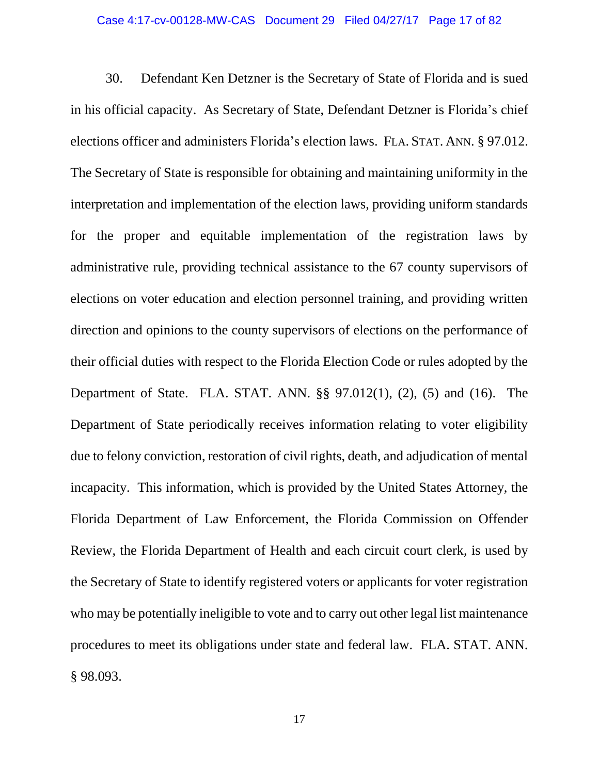30. Defendant Ken Detzner is the Secretary of State of Florida and is sued in his official capacity. As Secretary of State, Defendant Detzner is Florida's chief elections officer and administers Florida's election laws. FLA. STAT. ANN. § 97.012. The Secretary of State is responsible for obtaining and maintaining uniformity in the interpretation and implementation of the election laws, providing uniform standards for the proper and equitable implementation of the registration laws by administrative rule, providing technical assistance to the 67 county supervisors of elections on voter education and election personnel training, and providing written direction and opinions to the county supervisors of elections on the performance of their official duties with respect to the Florida Election Code or rules adopted by the Department of State. FLA. STAT. ANN. §§ 97.012(1), (2), (5) and (16). The Department of State periodically receives information relating to voter eligibility due to felony conviction, restoration of civil rights, death, and adjudication of mental incapacity. This information, which is provided by the United States Attorney, the Florida Department of Law Enforcement, the Florida Commission on Offender Review, the Florida Department of Health and each circuit court clerk, is used by the Secretary of State to identify registered voters or applicants for voter registration who may be potentially ineligible to vote and to carry out other legal list maintenance procedures to meet its obligations under state and federal law. FLA. STAT. ANN. § 98.093.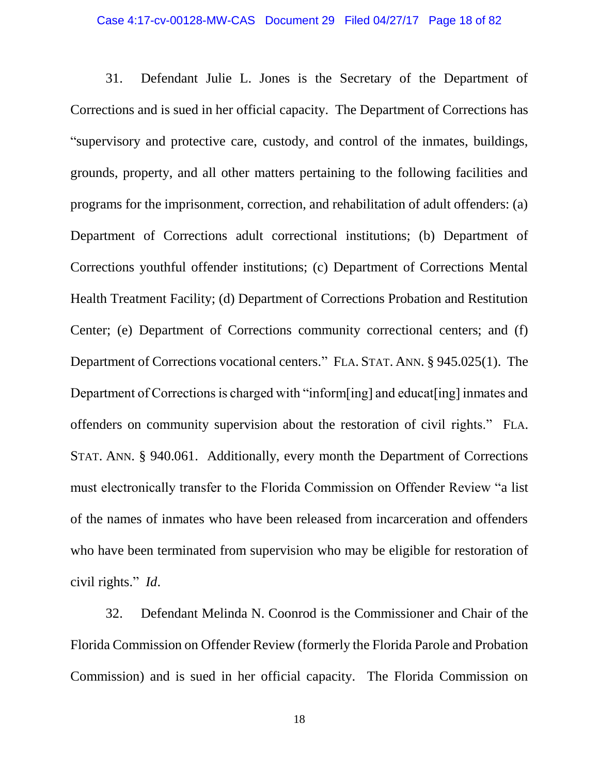## Case 4:17-cv-00128-MW-CAS Document 29 Filed 04/27/17 Page 18 of 82

31. Defendant Julie L. Jones is the Secretary of the Department of Corrections and is sued in her official capacity. The Department of Corrections has "supervisory and protective care, custody, and control of the inmates, buildings, grounds, property, and all other matters pertaining to the following facilities and programs for the imprisonment, correction, and rehabilitation of adult offenders: (a) Department of Corrections adult correctional institutions; (b) Department of Corrections youthful offender institutions; (c) Department of Corrections Mental Health Treatment Facility; (d) Department of Corrections Probation and Restitution Center; (e) Department of Corrections community correctional centers; and (f) Department of Corrections vocational centers." FLA. STAT. ANN. § 945.025(1). The Department of Corrections is charged with "inform[ing] and educat[ing] inmates and offenders on community supervision about the restoration of civil rights." FLA. STAT. ANN. § 940.061. Additionally, every month the Department of Corrections must electronically transfer to the Florida Commission on Offender Review "a list of the names of inmates who have been released from incarceration and offenders who have been terminated from supervision who may be eligible for restoration of civil rights." *Id*.

32. Defendant Melinda N. Coonrod is the Commissioner and Chair of the Florida Commission on Offender Review (formerly the Florida Parole and Probation Commission) and is sued in her official capacity. The Florida Commission on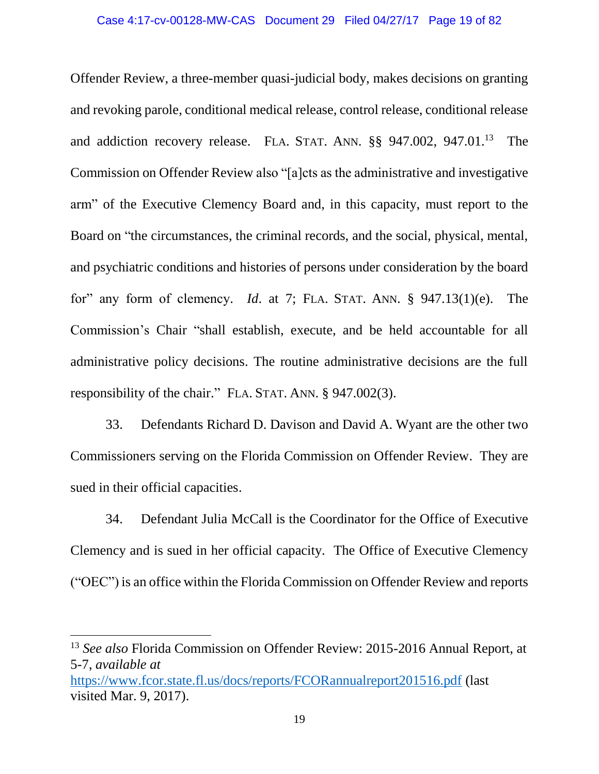Offender Review, a three-member quasi-judicial body, makes decisions on granting and revoking parole, conditional medical release, control release, conditional release and addiction recovery release. FLA. STAT. ANN. §§ 947.002, 947.01.<sup>13</sup> The Commission on Offender Review also "[a]cts as the administrative and investigative arm" of the Executive Clemency Board and, in this capacity, must report to the Board on "the circumstances, the criminal records, and the social, physical, mental, and psychiatric conditions and histories of persons under consideration by the board for" any form of clemency. *Id*. at 7; FLA. STAT. ANN. § 947.13(1)(e). The Commission's Chair "shall establish, execute, and be held accountable for all administrative policy decisions. The routine administrative decisions are the full responsibility of the chair." FLA. STAT. ANN. § 947.002(3).

33. Defendants Richard D. Davison and David A. Wyant are the other two Commissioners serving on the Florida Commission on Offender Review. They are sued in their official capacities.

34. Defendant Julia McCall is the Coordinator for the Office of Executive Clemency and is sued in her official capacity. The Office of Executive Clemency ("OEC") is an office within the Florida Commission on Offender Review and reports

<sup>13</sup> *See also* Florida Commission on Offender Review: 2015-2016 Annual Report, at 5-7, *available at*

<https://www.fcor.state.fl.us/docs/reports/FCORannualreport201516.pdf> (last visited Mar. 9, 2017).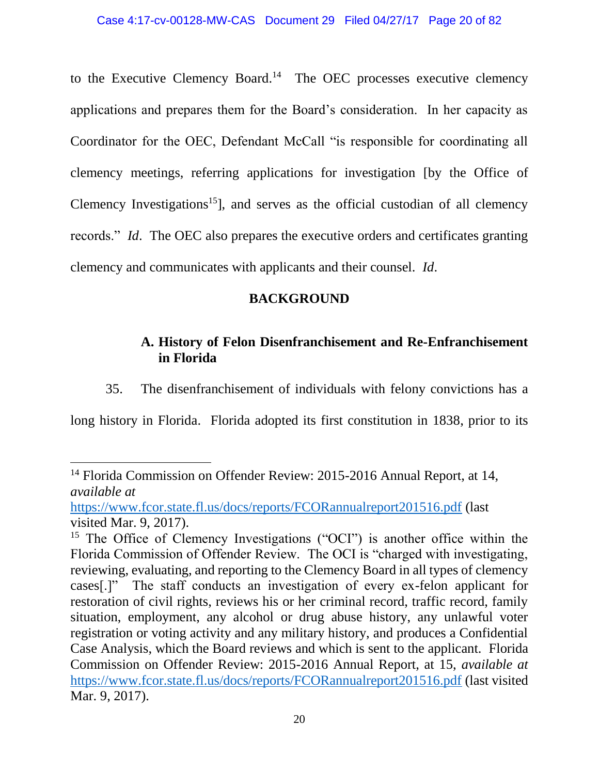to the Executive Clemency Board.<sup>14</sup> The OEC processes executive clemency applications and prepares them for the Board's consideration. In her capacity as Coordinator for the OEC, Defendant McCall "is responsible for coordinating all clemency meetings, referring applications for investigation [by the Office of Clemency Investigations<sup>15</sup>, and serves as the official custodian of all clemency records." *Id*. The OEC also prepares the executive orders and certificates granting clemency and communicates with applicants and their counsel. *Id*.

## **BACKGROUND**

# **A. History of Felon Disenfranchisement and Re-Enfranchisement in Florida**

35. The disenfranchisement of individuals with felony convictions has a

long history in Florida. Florida adopted its first constitution in 1838, prior to its

 $\overline{\phantom{a}}$ <sup>14</sup> Florida Commission on Offender Review: 2015-2016 Annual Report, at 14, *available at*

<https://www.fcor.state.fl.us/docs/reports/FCORannualreport201516.pdf> (last visited Mar. 9, 2017).

<sup>&</sup>lt;sup>15</sup> The Office of Clemency Investigations ("OCI") is another office within the Florida Commission of Offender Review. The OCI is "charged with investigating, reviewing, evaluating, and reporting to the Clemency Board in all types of clemency cases[.]" The staff conducts an investigation of every ex-felon applicant for restoration of civil rights, reviews his or her criminal record, traffic record, family situation, employment, any alcohol or drug abuse history, any unlawful voter registration or voting activity and any military history, and produces a Confidential Case Analysis, which the Board reviews and which is sent to the applicant. Florida Commission on Offender Review: 2015-2016 Annual Report, at 15, *available at* <https://www.fcor.state.fl.us/docs/reports/FCORannualreport201516.pdf> (last visited Mar. 9, 2017).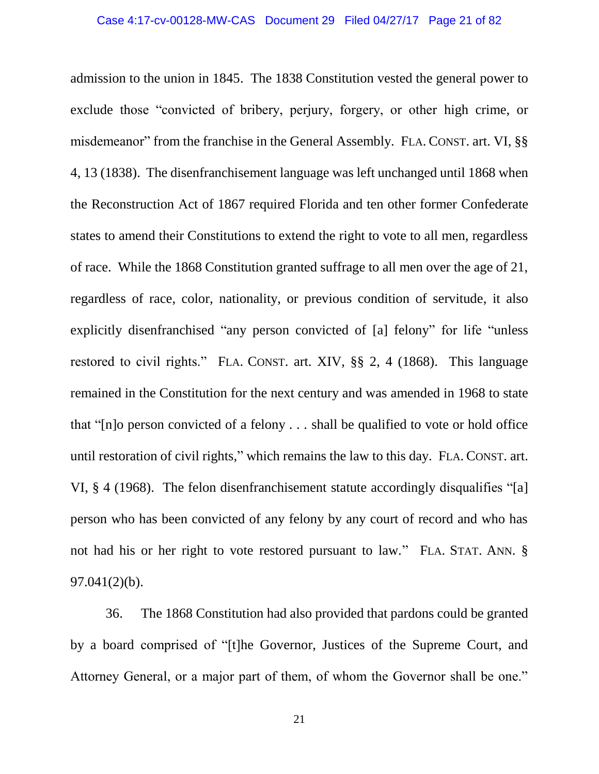admission to the union in 1845. The 1838 Constitution vested the general power to exclude those "convicted of bribery, perjury, forgery, or other high crime, or misdemeanor" from the franchise in the General Assembly. FLA. CONST. art. VI, §§ 4, 13 (1838). The disenfranchisement language was left unchanged until 1868 when the Reconstruction Act of 1867 required Florida and ten other former Confederate states to amend their Constitutions to extend the right to vote to all men, regardless of race. While the 1868 Constitution granted suffrage to all men over the age of 21, regardless of race, color, nationality, or previous condition of servitude, it also explicitly disenfranchised "any person convicted of [a] felony" for life "unless restored to civil rights." FLA. CONST. art. XIV, §§ 2, 4 (1868). This language remained in the Constitution for the next century and was amended in 1968 to state that "[n]o person convicted of a felony . . . shall be qualified to vote or hold office until restoration of civil rights," which remains the law to this day. FLA. CONST. art. VI, § 4 (1968). The felon disenfranchisement statute accordingly disqualifies "[a] person who has been convicted of any felony by any court of record and who has not had his or her right to vote restored pursuant to law." FLA. STAT. ANN. § 97.041(2)(b).

36. The 1868 Constitution had also provided that pardons could be granted by a board comprised of "[t]he Governor, Justices of the Supreme Court, and Attorney General, or a major part of them, of whom the Governor shall be one."

21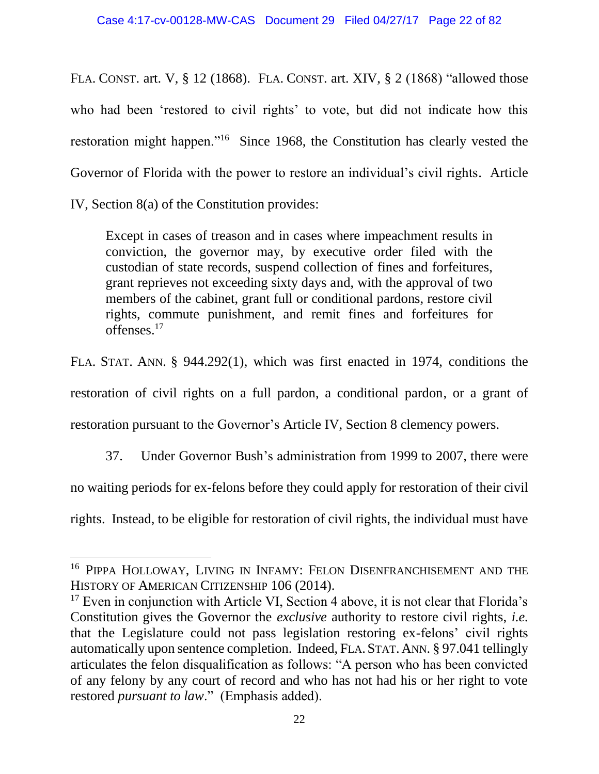FLA. CONST. art. V, § 12 (1868). FLA. CONST. art. XIV, § 2 (1868) "allowed those who had been 'restored to civil rights' to vote, but did not indicate how this restoration might happen."<sup>16</sup> Since 1968, the Constitution has clearly vested the Governor of Florida with the power to restore an individual's civil rights. Article IV, Section 8(a) of the Constitution provides:

Except in cases of treason and in cases where impeachment results in conviction, the governor may, by executive order filed with the custodian of state records, suspend collection of fines and forfeitures, grant reprieves not exceeding sixty days and, with the approval of two members of the cabinet, grant full or conditional pardons, restore civil rights, commute punishment, and remit fines and forfeitures for offenses.<sup>17</sup>

FLA. STAT. ANN. § 944.292(1), which was first enacted in 1974, conditions the restoration of civil rights on a full pardon, a conditional pardon, or a grant of restoration pursuant to the Governor's Article IV, Section 8 clemency powers.

37. Under Governor Bush's administration from 1999 to 2007, there were

no waiting periods for ex-felons before they could apply for restoration of their civil

rights. Instead, to be eligible for restoration of civil rights, the individual must have

l

<sup>&</sup>lt;sup>16</sup> PIPPA HOLLOWAY, LIVING IN INFAMY: FELON DISENFRANCHISEMENT AND THE HISTORY OF AMERICAN CITIZENSHIP 106 (2014).

<sup>&</sup>lt;sup>17</sup> Even in conjunction with Article VI, Section 4 above, it is not clear that Florida's Constitution gives the Governor the *exclusive* authority to restore civil rights, *i.e.* that the Legislature could not pass legislation restoring ex-felons' civil rights automatically upon sentence completion. Indeed, FLA. STAT.ANN. § 97.041 tellingly articulates the felon disqualification as follows: "A person who has been convicted of any felony by any court of record and who has not had his or her right to vote restored *pursuant to law*." (Emphasis added).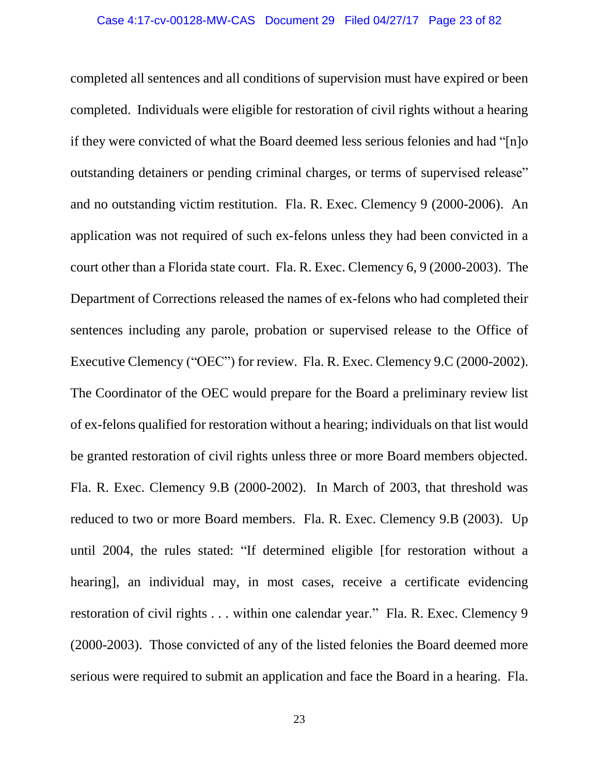completed all sentences and all conditions of supervision must have expired or been completed. Individuals were eligible for restoration of civil rights without a hearing if they were convicted of what the Board deemed less serious felonies and had "[n]o outstanding detainers or pending criminal charges, or terms of supervised release" and no outstanding victim restitution. Fla. R. Exec. Clemency 9 (2000-2006). An application was not required of such ex-felons unless they had been convicted in a court other than a Florida state court. Fla. R. Exec. Clemency 6, 9 (2000-2003). The Department of Corrections released the names of ex-felons who had completed their sentences including any parole, probation or supervised release to the Office of Executive Clemency ("OEC") for review. Fla. R. Exec. Clemency 9.C (2000-2002). The Coordinator of the OEC would prepare for the Board a preliminary review list of ex-felons qualified for restoration without a hearing; individuals on that list would be granted restoration of civil rights unless three or more Board members objected. Fla. R. Exec. Clemency 9.B (2000-2002). In March of 2003, that threshold was reduced to two or more Board members. Fla. R. Exec. Clemency 9.B (2003). Up until 2004, the rules stated: "If determined eligible [for restoration without a hearing], an individual may, in most cases, receive a certificate evidencing restoration of civil rights . . . within one calendar year." Fla. R. Exec. Clemency 9 (2000-2003). Those convicted of any of the listed felonies the Board deemed more serious were required to submit an application and face the Board in a hearing. Fla.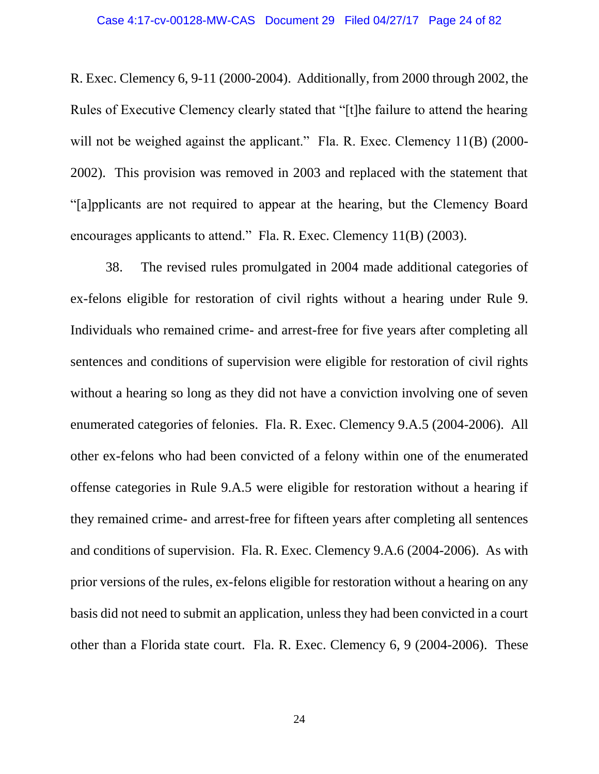R. Exec. Clemency 6, 9-11 (2000-2004). Additionally, from 2000 through 2002, the Rules of Executive Clemency clearly stated that "[t]he failure to attend the hearing will not be weighed against the applicant." Fla. R. Exec. Clemency 11(B) (2000-2002). This provision was removed in 2003 and replaced with the statement that "[a]pplicants are not required to appear at the hearing, but the Clemency Board encourages applicants to attend." Fla. R. Exec. Clemency 11(B) (2003).

38. The revised rules promulgated in 2004 made additional categories of ex-felons eligible for restoration of civil rights without a hearing under Rule 9. Individuals who remained crime- and arrest-free for five years after completing all sentences and conditions of supervision were eligible for restoration of civil rights without a hearing so long as they did not have a conviction involving one of seven enumerated categories of felonies. Fla. R. Exec. Clemency 9.A.5 (2004-2006). All other ex-felons who had been convicted of a felony within one of the enumerated offense categories in Rule 9.A.5 were eligible for restoration without a hearing if they remained crime- and arrest-free for fifteen years after completing all sentences and conditions of supervision. Fla. R. Exec. Clemency 9.A.6 (2004-2006). As with prior versions of the rules, ex-felons eligible for restoration without a hearing on any basis did not need to submit an application, unless they had been convicted in a court other than a Florida state court. Fla. R. Exec. Clemency 6, 9 (2004-2006). These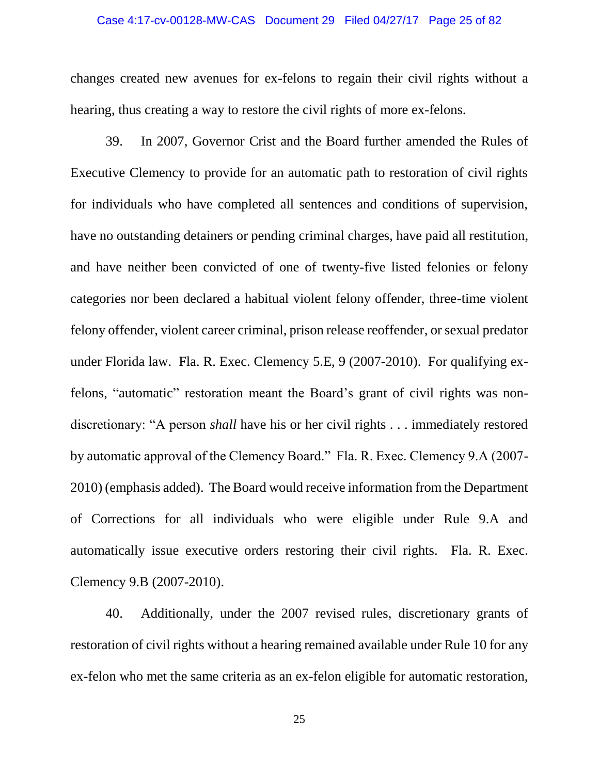#### Case 4:17-cv-00128-MW-CAS Document 29 Filed 04/27/17 Page 25 of 82

changes created new avenues for ex-felons to regain their civil rights without a hearing, thus creating a way to restore the civil rights of more ex-felons.

39. In 2007, Governor Crist and the Board further amended the Rules of Executive Clemency to provide for an automatic path to restoration of civil rights for individuals who have completed all sentences and conditions of supervision, have no outstanding detainers or pending criminal charges, have paid all restitution, and have neither been convicted of one of twenty-five listed felonies or felony categories nor been declared a habitual violent felony offender, three-time violent felony offender, violent career criminal, prison release reoffender, or sexual predator under Florida law. Fla. R. Exec. Clemency 5.E, 9 (2007-2010). For qualifying exfelons, "automatic" restoration meant the Board's grant of civil rights was nondiscretionary: "A person *shall* have his or her civil rights . . . immediately restored by automatic approval of the Clemency Board." Fla. R. Exec. Clemency 9.A (2007- 2010) (emphasis added). The Board would receive information from the Department of Corrections for all individuals who were eligible under Rule 9.A and automatically issue executive orders restoring their civil rights. Fla. R. Exec. Clemency 9.B (2007-2010).

40. Additionally, under the 2007 revised rules, discretionary grants of restoration of civil rights without a hearing remained available under Rule 10 for any ex-felon who met the same criteria as an ex-felon eligible for automatic restoration,

25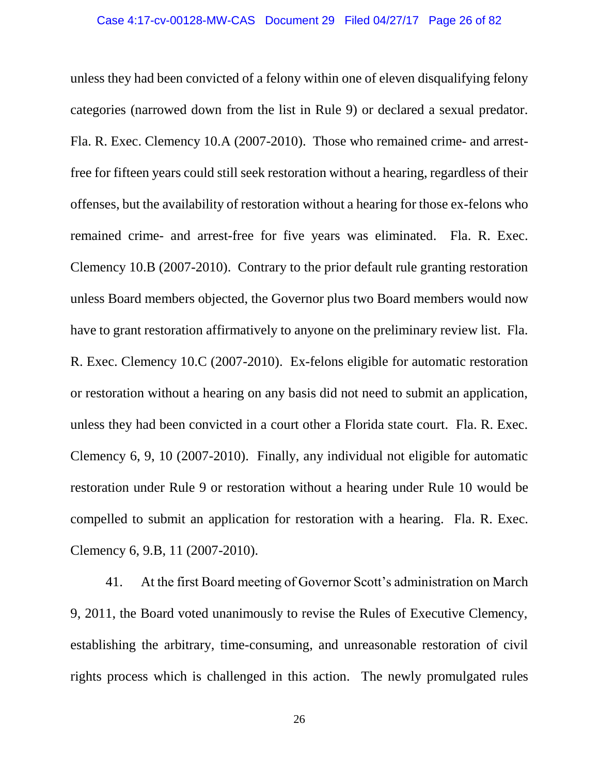unless they had been convicted of a felony within one of eleven disqualifying felony categories (narrowed down from the list in Rule 9) or declared a sexual predator. Fla. R. Exec. Clemency 10.A (2007-2010). Those who remained crime- and arrestfree for fifteen years could still seek restoration without a hearing, regardless of their offenses, but the availability of restoration without a hearing for those ex-felons who remained crime- and arrest-free for five years was eliminated. Fla. R. Exec. Clemency 10.B (2007-2010). Contrary to the prior default rule granting restoration unless Board members objected, the Governor plus two Board members would now have to grant restoration affirmatively to anyone on the preliminary review list. Fla. R. Exec. Clemency 10.C (2007-2010). Ex-felons eligible for automatic restoration or restoration without a hearing on any basis did not need to submit an application, unless they had been convicted in a court other a Florida state court. Fla. R. Exec. Clemency 6, 9, 10 (2007-2010). Finally, any individual not eligible for automatic restoration under Rule 9 or restoration without a hearing under Rule 10 would be compelled to submit an application for restoration with a hearing. Fla. R. Exec. Clemency 6, 9.B, 11 (2007-2010).

41. At the first Board meeting of Governor Scott's administration on March 9, 2011, the Board voted unanimously to revise the Rules of Executive Clemency, establishing the arbitrary, time-consuming, and unreasonable restoration of civil rights process which is challenged in this action. The newly promulgated rules

26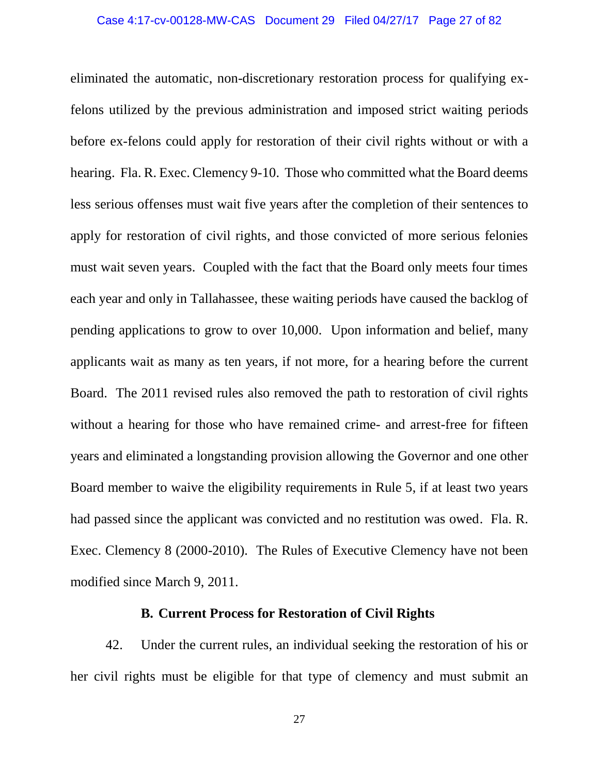#### Case 4:17-cv-00128-MW-CAS Document 29 Filed 04/27/17 Page 27 of 82

eliminated the automatic, non-discretionary restoration process for qualifying exfelons utilized by the previous administration and imposed strict waiting periods before ex-felons could apply for restoration of their civil rights without or with a hearing. Fla. R. Exec. Clemency 9-10. Those who committed what the Board deems less serious offenses must wait five years after the completion of their sentences to apply for restoration of civil rights, and those convicted of more serious felonies must wait seven years. Coupled with the fact that the Board only meets four times each year and only in Tallahassee, these waiting periods have caused the backlog of pending applications to grow to over 10,000. Upon information and belief, many applicants wait as many as ten years, if not more, for a hearing before the current Board. The 2011 revised rules also removed the path to restoration of civil rights without a hearing for those who have remained crime- and arrest-free for fifteen years and eliminated a longstanding provision allowing the Governor and one other Board member to waive the eligibility requirements in Rule 5, if at least two years had passed since the applicant was convicted and no restitution was owed. Fla. R. Exec. Clemency 8 (2000-2010). The Rules of Executive Clemency have not been modified since March 9, 2011.

### **B. Current Process for Restoration of Civil Rights**

42. Under the current rules, an individual seeking the restoration of his or her civil rights must be eligible for that type of clemency and must submit an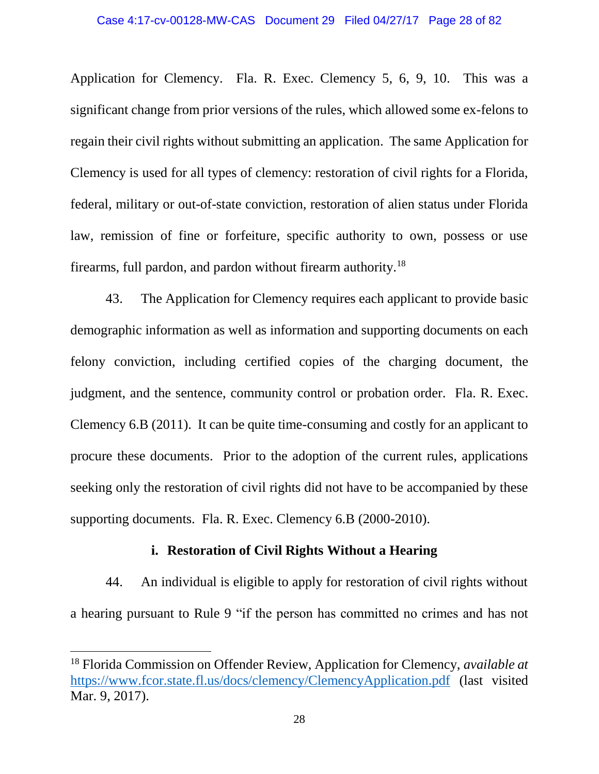Application for Clemency. Fla. R. Exec. Clemency 5, 6, 9, 10. This was a significant change from prior versions of the rules, which allowed some ex-felons to regain their civil rights without submitting an application. The same Application for Clemency is used for all types of clemency: restoration of civil rights for a Florida, federal, military or out-of-state conviction, restoration of alien status under Florida law, remission of fine or forfeiture, specific authority to own, possess or use firearms, full pardon, and pardon without firearm authority.<sup>18</sup>

43. The Application for Clemency requires each applicant to provide basic demographic information as well as information and supporting documents on each felony conviction, including certified copies of the charging document, the judgment, and the sentence, community control or probation order. Fla. R. Exec. Clemency 6.B (2011). It can be quite time-consuming and costly for an applicant to procure these documents. Prior to the adoption of the current rules, applications seeking only the restoration of civil rights did not have to be accompanied by these supporting documents. Fla. R. Exec. Clemency 6.B (2000-2010).

## **i. Restoration of Civil Rights Without a Hearing**

44. An individual is eligible to apply for restoration of civil rights without a hearing pursuant to Rule 9 "if the person has committed no crimes and has not

<sup>18</sup> Florida Commission on Offender Review, Application for Clemency, *available at*  <https://www.fcor.state.fl.us/docs/clemency/ClemencyApplication.pdf> (last visited Mar. 9, 2017).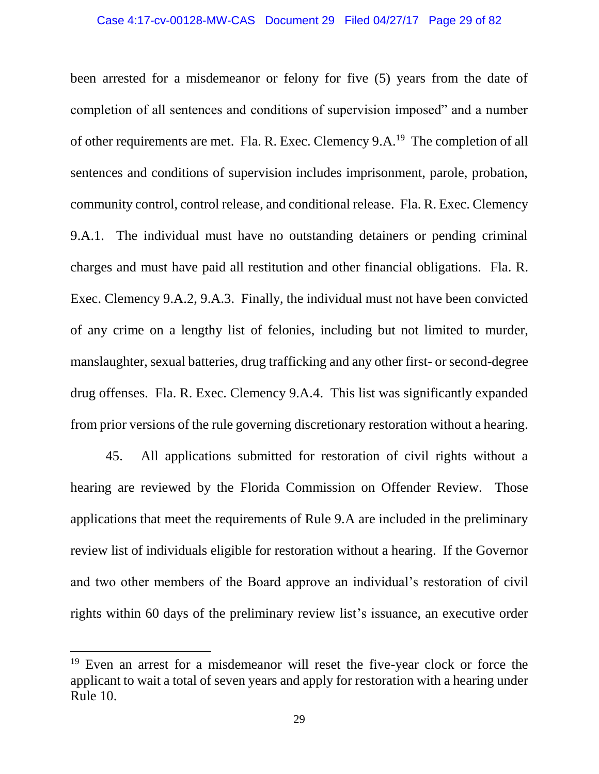been arrested for a misdemeanor or felony for five (5) years from the date of completion of all sentences and conditions of supervision imposed" and a number of other requirements are met. Fla. R. Exec. Clemency 9.A.<sup>19</sup> The completion of all sentences and conditions of supervision includes imprisonment, parole, probation, community control, control release, and conditional release. Fla. R. Exec. Clemency 9.A.1. The individual must have no outstanding detainers or pending criminal charges and must have paid all restitution and other financial obligations. Fla. R. Exec. Clemency 9.A.2, 9.A.3. Finally, the individual must not have been convicted of any crime on a lengthy list of felonies, including but not limited to murder, manslaughter, sexual batteries, drug trafficking and any other first- or second-degree drug offenses. Fla. R. Exec. Clemency 9.A.4. This list was significantly expanded from prior versions of the rule governing discretionary restoration without a hearing.

45. All applications submitted for restoration of civil rights without a hearing are reviewed by the Florida Commission on Offender Review. Those applications that meet the requirements of Rule 9.A are included in the preliminary review list of individuals eligible for restoration without a hearing. If the Governor and two other members of the Board approve an individual's restoration of civil rights within 60 days of the preliminary review list's issuance, an executive order

<sup>&</sup>lt;sup>19</sup> Even an arrest for a misdemeanor will reset the five-year clock or force the applicant to wait a total of seven years and apply for restoration with a hearing under Rule 10.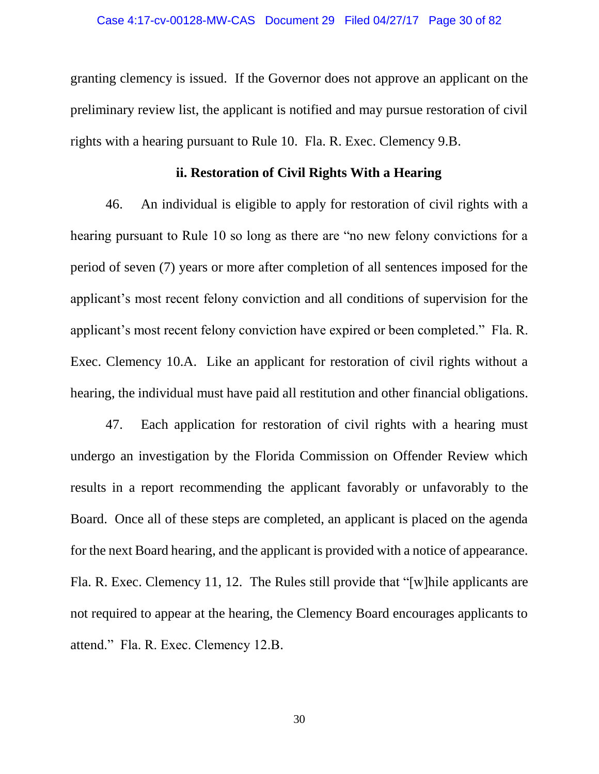granting clemency is issued. If the Governor does not approve an applicant on the preliminary review list, the applicant is notified and may pursue restoration of civil rights with a hearing pursuant to Rule 10. Fla. R. Exec. Clemency 9.B.

### **ii. Restoration of Civil Rights With a Hearing**

46. An individual is eligible to apply for restoration of civil rights with a hearing pursuant to Rule 10 so long as there are "no new felony convictions for a period of seven (7) years or more after completion of all sentences imposed for the applicant's most recent felony conviction and all conditions of supervision for the applicant's most recent felony conviction have expired or been completed." Fla. R. Exec. Clemency 10.A. Like an applicant for restoration of civil rights without a hearing, the individual must have paid all restitution and other financial obligations.

47. Each application for restoration of civil rights with a hearing must undergo an investigation by the Florida Commission on Offender Review which results in a report recommending the applicant favorably or unfavorably to the Board. Once all of these steps are completed, an applicant is placed on the agenda for the next Board hearing, and the applicant is provided with a notice of appearance. Fla. R. Exec. Clemency 11, 12. The Rules still provide that "[w]hile applicants are not required to appear at the hearing, the Clemency Board encourages applicants to attend." Fla. R. Exec. Clemency 12.B.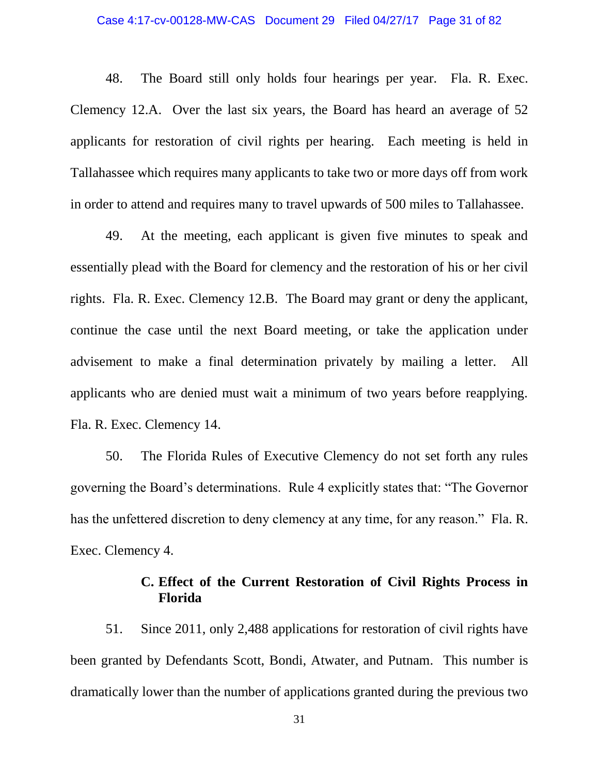#### Case 4:17-cv-00128-MW-CAS Document 29 Filed 04/27/17 Page 31 of 82

48. The Board still only holds four hearings per year. Fla. R. Exec. Clemency 12.A. Over the last six years, the Board has heard an average of 52 applicants for restoration of civil rights per hearing. Each meeting is held in Tallahassee which requires many applicants to take two or more days off from work in order to attend and requires many to travel upwards of 500 miles to Tallahassee.

49. At the meeting, each applicant is given five minutes to speak and essentially plead with the Board for clemency and the restoration of his or her civil rights. Fla. R. Exec. Clemency 12.B. The Board may grant or deny the applicant, continue the case until the next Board meeting, or take the application under advisement to make a final determination privately by mailing a letter. All applicants who are denied must wait a minimum of two years before reapplying. Fla. R. Exec. Clemency 14.

50. The Florida Rules of Executive Clemency do not set forth any rules governing the Board's determinations. Rule 4 explicitly states that: "The Governor has the unfettered discretion to deny clemency at any time, for any reason." Fla. R. Exec. Clemency 4.

# **C. Effect of the Current Restoration of Civil Rights Process in Florida**

51. Since 2011, only 2,488 applications for restoration of civil rights have been granted by Defendants Scott, Bondi, Atwater, and Putnam. This number is dramatically lower than the number of applications granted during the previous two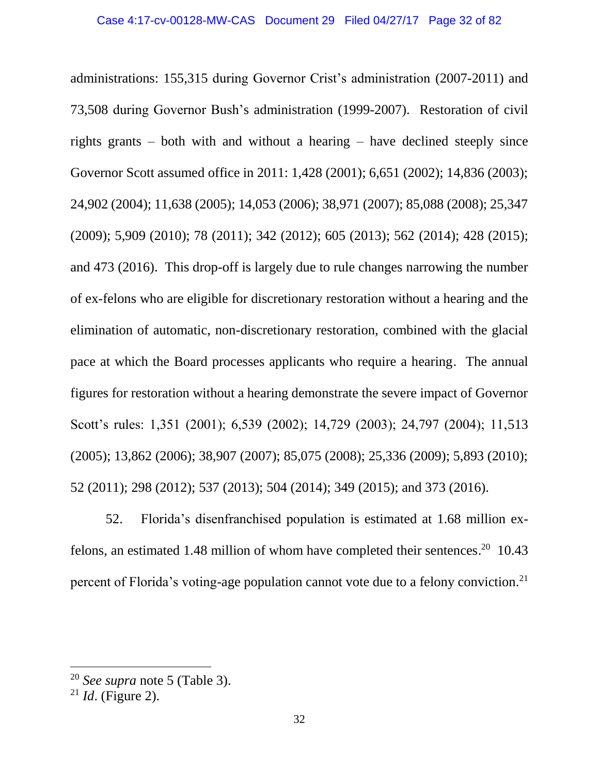administrations: 155,315 during Governor Crist's administration (2007-2011) and 73,508 during Governor Bush's administration (1999-2007). Restoration of civil rights grants – both with and without a hearing – have declined steeply since Governor Scott assumed office in 2011: 1,428 (2001); 6,651 (2002); 14,836 (2003); 24,902 (2004); 11,638 (2005); 14,053 (2006); 38,971 (2007); 85,088 (2008); 25,347 (2009); 5,909 (2010); 78 (2011); 342 (2012); 605 (2013); 562 (2014); 428 (2015); and 473 (2016). This drop-off is largely due to rule changes narrowing the number of ex-felons who are eligible for discretionary restoration without a hearing and the elimination of automatic, non-discretionary restoration, combined with the glacial pace at which the Board processes applicants who require a hearing. The annual figures for restoration without a hearing demonstrate the severe impact of Governor Scott's rules: 1,351 (2001); 6,539 (2002); 14,729 (2003); 24,797 (2004); 11,513 (2005); 13,862 (2006); 38,907 (2007); 85,075 (2008); 25,336 (2009); 5,893 (2010); 52 (2011); 298 (2012); 537 (2013); 504 (2014); 349 (2015); and 373 (2016).

52. Florida's disenfranchised population is estimated at 1.68 million exfelons, an estimated 1.48 million of whom have completed their sentences.<sup>20</sup> 10.43 percent of Florida's voting-age population cannot vote due to a felony conviction.<sup>21</sup>

<sup>20</sup> *See supra* note 5 (Table 3).

<sup>21</sup> *Id*. (Figure 2).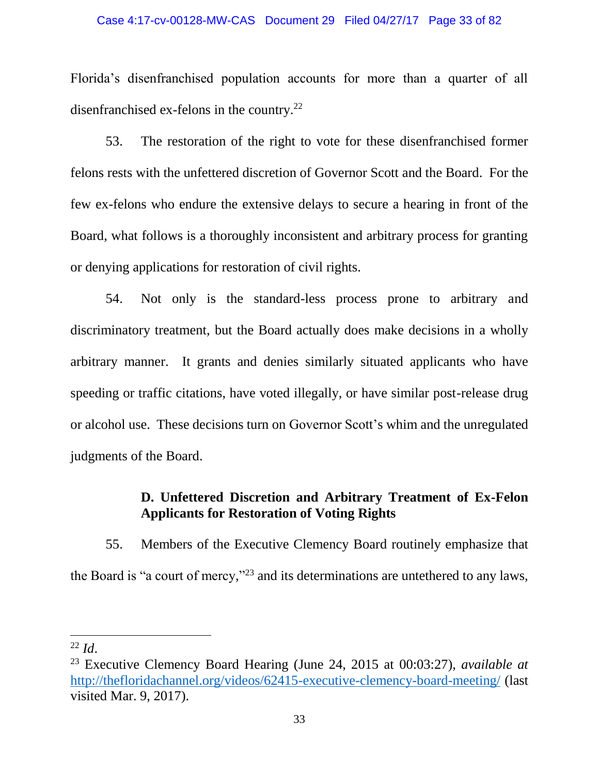#### Case 4:17-cv-00128-MW-CAS Document 29 Filed 04/27/17 Page 33 of 82

Florida's disenfranchised population accounts for more than a quarter of all disenfranchised ex-felons in the country.<sup>22</sup>

53. The restoration of the right to vote for these disenfranchised former felons rests with the unfettered discretion of Governor Scott and the Board. For the few ex-felons who endure the extensive delays to secure a hearing in front of the Board, what follows is a thoroughly inconsistent and arbitrary process for granting or denying applications for restoration of civil rights.

54. Not only is the standard-less process prone to arbitrary and discriminatory treatment, but the Board actually does make decisions in a wholly arbitrary manner. It grants and denies similarly situated applicants who have speeding or traffic citations, have voted illegally, or have similar post-release drug or alcohol use. These decisions turn on Governor Scott's whim and the unregulated judgments of the Board.

## **D. Unfettered Discretion and Arbitrary Treatment of Ex-Felon Applicants for Restoration of Voting Rights**

55. Members of the Executive Clemency Board routinely emphasize that the Board is "a court of mercy,"<sup>23</sup> and its determinations are untethered to any laws,

 $^{22}$  *Id.* 

<sup>23</sup> Executive Clemency Board Hearing (June 24, 2015 at 00:03:27), *available at*  <http://thefloridachannel.org/videos/62415-executive-clemency-board-meeting/> (last visited Mar. 9, 2017).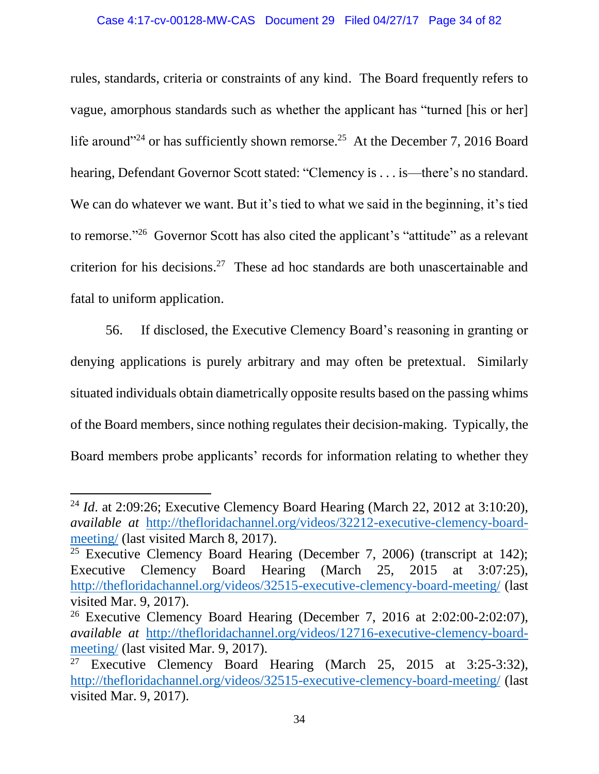### Case 4:17-cv-00128-MW-CAS Document 29 Filed 04/27/17 Page 34 of 82

rules, standards, criteria or constraints of any kind. The Board frequently refers to vague, amorphous standards such as whether the applicant has "turned [his or her] life around"<sup>24</sup> or has sufficiently shown remorse.<sup>25</sup> At the December 7, 2016 Board hearing, Defendant Governor Scott stated: "Clemency is . . . is—there's no standard. We can do whatever we want. But it's tied to what we said in the beginning, it's tied to remorse."<sup>26</sup> Governor Scott has also cited the applicant's "attitude" as a relevant criterion for his decisions. 27 These ad hoc standards are both unascertainable and fatal to uniform application.

56. If disclosed, the Executive Clemency Board's reasoning in granting or denying applications is purely arbitrary and may often be pretextual. Similarly situated individuals obtain diametrically opposite results based on the passing whims of the Board members, since nothing regulates their decision-making. Typically, the Board members probe applicants' records for information relating to whether they

<sup>24</sup> *Id*. at 2:09:26; Executive Clemency Board Hearing (March 22, 2012 at 3:10:20), *available at* [http://thefloridachannel.org/videos/32212-executive-clemency-board](http://thefloridachannel.org/videos/32212-executive-clemency-board-meeting/)[meeting/](http://thefloridachannel.org/videos/32212-executive-clemency-board-meeting/) (last visited March 8, 2017).

<sup>&</sup>lt;sup>25</sup> Executive Clemency Board Hearing (December 7, 2006) (transcript at 142); Executive Clemency Board Hearing (March 25, 2015 at 3:07:25), <http://thefloridachannel.org/videos/32515-executive-clemency-board-meeting/> (last visited Mar. 9, 2017).

<sup>&</sup>lt;sup>26</sup> Executive Clemency Board Hearing (December 7, 2016 at  $2:02:00-2:02:07$ ), *available at* [http://thefloridachannel.org/videos/12716-executive-clemency-board](http://thefloridachannel.org/videos/12716-executive-clemency-board-meeting/)[meeting/](http://thefloridachannel.org/videos/12716-executive-clemency-board-meeting/) (last visited Mar. 9, 2017).

<sup>&</sup>lt;sup>27</sup> Executive Clemency Board Hearing (March 25, 2015 at 3:25-3:32), <http://thefloridachannel.org/videos/32515-executive-clemency-board-meeting/> (last visited Mar. 9, 2017).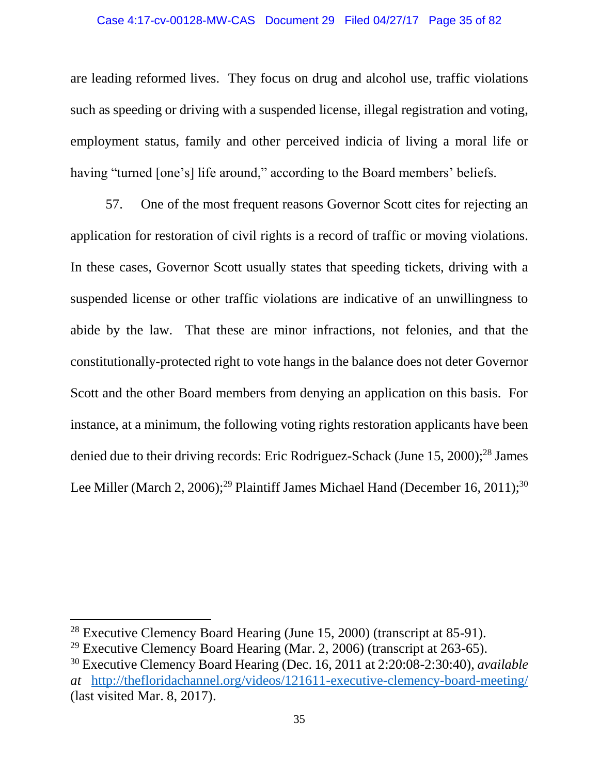### Case 4:17-cv-00128-MW-CAS Document 29 Filed 04/27/17 Page 35 of 82

are leading reformed lives. They focus on drug and alcohol use, traffic violations such as speeding or driving with a suspended license, illegal registration and voting, employment status, family and other perceived indicia of living a moral life or having "turned [one's] life around," according to the Board members' beliefs.

57. One of the most frequent reasons Governor Scott cites for rejecting an application for restoration of civil rights is a record of traffic or moving violations. In these cases, Governor Scott usually states that speeding tickets, driving with a suspended license or other traffic violations are indicative of an unwillingness to abide by the law. That these are minor infractions, not felonies, and that the constitutionally-protected right to vote hangs in the balance does not deter Governor Scott and the other Board members from denying an application on this basis. For instance, at a minimum, the following voting rights restoration applicants have been denied due to their driving records: Eric Rodriguez-Schack (June  $15, 2000$ );<sup>28</sup> James Lee Miller (March 2, 2006);<sup>29</sup> Plaintiff James Michael Hand (December 16, 2011);<sup>30</sup>

<sup>&</sup>lt;sup>28</sup> Executive Clemency Board Hearing (June 15, 2000) (transcript at 85-91).

<sup>&</sup>lt;sup>29</sup> Executive Clemency Board Hearing (Mar. 2, 2006) (transcript at  $263-65$ ).

<sup>30</sup> Executive Clemency Board Hearing (Dec. 16, 2011 at 2:20:08-2:30:40), *available at* <http://thefloridachannel.org/videos/121611-executive-clemency-board-meeting/> (last visited Mar. 8, 2017).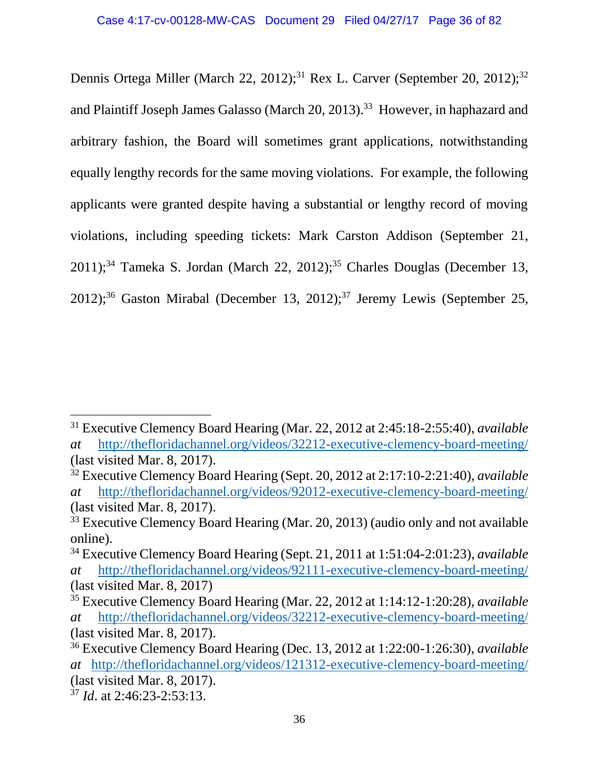Dennis Ortega Miller (March 22, 2012);<sup>31</sup> Rex L. Carver (September 20, 2012);<sup>32</sup> and Plaintiff Joseph James Galasso (March 20, 2013).<sup>33</sup> However, in haphazard and arbitrary fashion, the Board will sometimes grant applications, notwithstanding equally lengthy records for the same moving violations. For example, the following applicants were granted despite having a substantial or lengthy record of moving violations, including speeding tickets: Mark Carston Addison (September 21,  $2011$ ;<sup>34</sup> Tameka S. Jordan (March 22, 2012);<sup>35</sup> Charles Douglas (December 13, 2012);<sup>36</sup> Gaston Mirabal (December 13, 2012);<sup>37</sup> Jeremy Lewis (September 25,

<sup>31</sup> Executive Clemency Board Hearing (Mar. 22, 2012 at 2:45:18-2:55:40), *available at* <http://thefloridachannel.org/videos/32212-executive-clemency-board-meeting/> (last visited Mar. 8, 2017).

<sup>32</sup> Executive Clemency Board Hearing (Sept. 20, 2012 at 2:17:10-2:21:40), *available at* <http://thefloridachannel.org/videos/92012-executive-clemency-board-meeting/> (last visited Mar. 8, 2017).

<sup>&</sup>lt;sup>33</sup> Executive Clemency Board Hearing (Mar. 20, 2013) (audio only and not available online).

<sup>34</sup> Executive Clemency Board Hearing (Sept. 21, 2011 at 1:51:04-2:01:23), *available at* <http://thefloridachannel.org/videos/92111-executive-clemency-board-meeting/> (last visited Mar. 8, 2017)

<sup>35</sup> Executive Clemency Board Hearing (Mar. 22, 2012 at 1:14:12-1:20:28), *available at* <http://thefloridachannel.org/videos/32212-executive-clemency-board-meeting/> (last visited Mar. 8, 2017).

<sup>36</sup> Executive Clemency Board Hearing (Dec. 13, 2012 at 1:22:00-1:26:30), *available at* <http://thefloridachannel.org/videos/121312-executive-clemency-board-meeting/> (last visited Mar. 8, 2017).

<sup>37</sup> *Id*. at 2:46:23-2:53:13.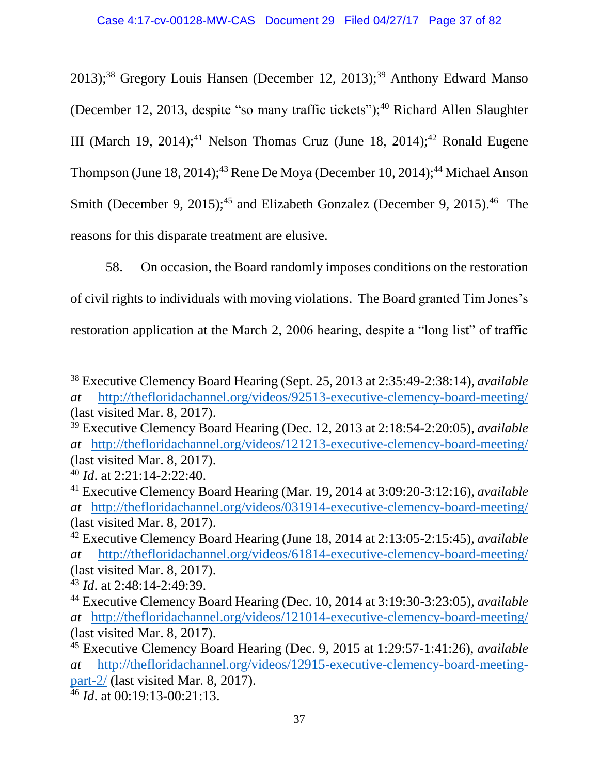$2013$ ;<sup>38</sup> Gregory Louis Hansen (December 12, 2013);<sup>39</sup> Anthony Edward Manso (December 12, 2013, despite "so many traffic tickets"); $40$  Richard Allen Slaughter III (March 19, 2014);<sup>41</sup> Nelson Thomas Cruz (June 18, 2014);<sup>42</sup> Ronald Eugene Thompson (June 18, 2014);<sup>43</sup> Rene De Moya (December 10, 2014);<sup>44</sup> Michael Anson Smith (December 9, 2015);<sup>45</sup> and Elizabeth Gonzalez (December 9, 2015).<sup>46</sup> The reasons for this disparate treatment are elusive.

58. On occasion, the Board randomly imposes conditions on the restoration of civil rights to individuals with moving violations. The Board granted Tim Jones's restoration application at the March 2, 2006 hearing, despite a "long list" of traffic

 $\overline{a}$ 

<sup>38</sup> Executive Clemency Board Hearing (Sept. 25, 2013 at 2:35:49-2:38:14), *available at* <http://thefloridachannel.org/videos/92513-executive-clemency-board-meeting/> (last visited Mar. 8, 2017).

<sup>39</sup> Executive Clemency Board Hearing (Dec. 12, 2013 at 2:18:54-2:20:05), *available at* <http://thefloridachannel.org/videos/121213-executive-clemency-board-meeting/> (last visited Mar. 8, 2017).

<sup>40</sup> *Id*. at 2:21:14-2:22:40.

<sup>41</sup> Executive Clemency Board Hearing (Mar. 19, 2014 at 3:09:20-3:12:16), *available at* <http://thefloridachannel.org/videos/031914-executive-clemency-board-meeting/> (last visited Mar. 8, 2017).

<sup>42</sup> Executive Clemency Board Hearing (June 18, 2014 at 2:13:05-2:15:45), *available at* <http://thefloridachannel.org/videos/61814-executive-clemency-board-meeting/> (last visited Mar. 8, 2017).

<sup>43</sup> *Id*. at 2:48:14-2:49:39.

<sup>44</sup> Executive Clemency Board Hearing (Dec. 10, 2014 at 3:19:30-3:23:05), *available at* <http://thefloridachannel.org/videos/121014-executive-clemency-board-meeting/> (last visited Mar. 8, 2017).

<sup>45</sup> Executive Clemency Board Hearing (Dec. 9, 2015 at 1:29:57-1:41:26), *available at* [http://thefloridachannel.org/videos/12915-executive-clemency-board-meeting](http://thefloridachannel.org/videos/12915-executive-clemency-board-meeting-part-2/)[part-2/](http://thefloridachannel.org/videos/12915-executive-clemency-board-meeting-part-2/) (last visited Mar. 8, 2017).

<sup>46</sup> *Id*. at 00:19:13-00:21:13.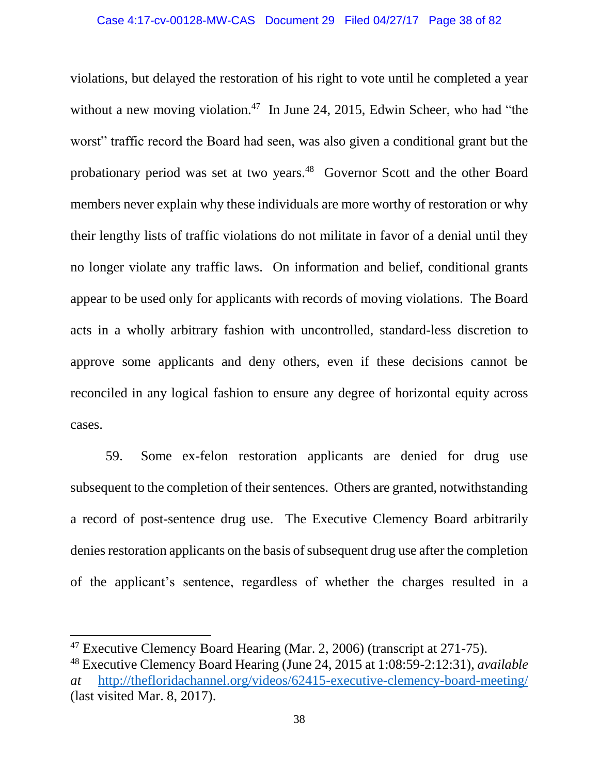violations, but delayed the restoration of his right to vote until he completed a year without a new moving violation.<sup>47</sup> In June 24, 2015, Edwin Scheer, who had "the worst" traffic record the Board had seen, was also given a conditional grant but the probationary period was set at two years.<sup>48</sup> Governor Scott and the other Board members never explain why these individuals are more worthy of restoration or why their lengthy lists of traffic violations do not militate in favor of a denial until they no longer violate any traffic laws. On information and belief, conditional grants appear to be used only for applicants with records of moving violations. The Board acts in a wholly arbitrary fashion with uncontrolled, standard-less discretion to approve some applicants and deny others, even if these decisions cannot be reconciled in any logical fashion to ensure any degree of horizontal equity across cases.

59. Some ex-felon restoration applicants are denied for drug use subsequent to the completion of their sentences. Others are granted, notwithstanding a record of post-sentence drug use. The Executive Clemency Board arbitrarily denies restoration applicants on the basis of subsequent drug use after the completion of the applicant's sentence, regardless of whether the charges resulted in a

 $\overline{\phantom{a}}$ 

<sup>47</sup> Executive Clemency Board Hearing (Mar. 2, 2006) (transcript at 271-75).

<sup>48</sup> Executive Clemency Board Hearing (June 24, 2015 at 1:08:59-2:12:31), *available at* <http://thefloridachannel.org/videos/62415-executive-clemency-board-meeting/> (last visited Mar. 8, 2017).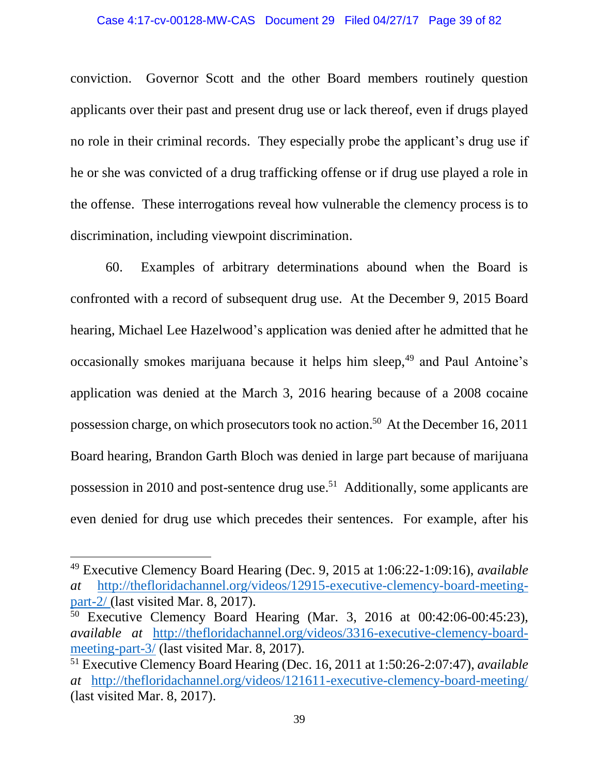#### Case 4:17-cv-00128-MW-CAS Document 29 Filed 04/27/17 Page 39 of 82

conviction. Governor Scott and the other Board members routinely question applicants over their past and present drug use or lack thereof, even if drugs played no role in their criminal records. They especially probe the applicant's drug use if he or she was convicted of a drug trafficking offense or if drug use played a role in the offense. These interrogations reveal how vulnerable the clemency process is to discrimination, including viewpoint discrimination.

60. Examples of arbitrary determinations abound when the Board is confronted with a record of subsequent drug use. At the December 9, 2015 Board hearing, Michael Lee Hazelwood's application was denied after he admitted that he occasionally smokes marijuana because it helps him sleep,<sup>49</sup> and Paul Antoine's application was denied at the March 3, 2016 hearing because of a 2008 cocaine possession charge, on which prosecutors took no action.<sup>50</sup> At the December 16, 2011 Board hearing, Brandon Garth Bloch was denied in large part because of marijuana possession in 2010 and post-sentence drug use.<sup>51</sup> Additionally, some applicants are even denied for drug use which precedes their sentences. For example, after his

l

<sup>49</sup> Executive Clemency Board Hearing (Dec. 9, 2015 at 1:06:22-1:09:16), *available at* [http://thefloridachannel.org/videos/12915-executive-clemency-board-meeting](http://thefloridachannel.org/videos/12915-executive-clemency-board-meeting-part-2/)[part-2/](http://thefloridachannel.org/videos/12915-executive-clemency-board-meeting-part-2/) (last visited Mar. 8, 2017).

<sup>50</sup> Executive Clemency Board Hearing (Mar. 3, 2016 at 00:42:06-00:45:23), *available at* [http://thefloridachannel.org/videos/3316-executive-clemency-board](http://thefloridachannel.org/videos/3316-executive-clemency-board-meeting-part-3/)[meeting-part-3/](http://thefloridachannel.org/videos/3316-executive-clemency-board-meeting-part-3/) (last visited Mar. 8, 2017).

<sup>51</sup> Executive Clemency Board Hearing (Dec. 16, 2011 at 1:50:26-2:07:47), *available at* <http://thefloridachannel.org/videos/121611-executive-clemency-board-meeting/> (last visited Mar. 8, 2017).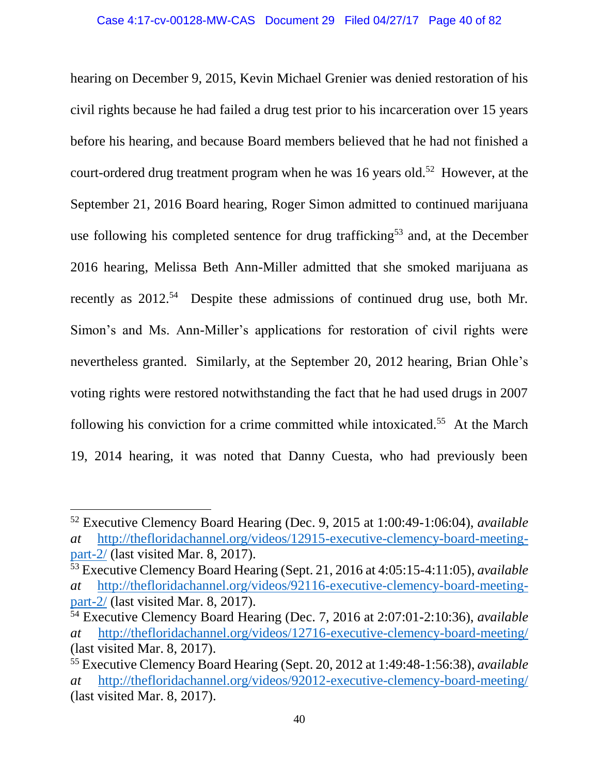hearing on December 9, 2015, Kevin Michael Grenier was denied restoration of his civil rights because he had failed a drug test prior to his incarceration over 15 years before his hearing, and because Board members believed that he had not finished a court-ordered drug treatment program when he was 16 years old.<sup>52</sup> However, at the September 21, 2016 Board hearing, Roger Simon admitted to continued marijuana use following his completed sentence for drug trafficking<sup>53</sup> and, at the December 2016 hearing, Melissa Beth Ann-Miller admitted that she smoked marijuana as recently as 2012.<sup>54</sup> Despite these admissions of continued drug use, both Mr. Simon's and Ms. Ann-Miller's applications for restoration of civil rights were nevertheless granted. Similarly, at the September 20, 2012 hearing, Brian Ohle's voting rights were restored notwithstanding the fact that he had used drugs in 2007 following his conviction for a crime committed while intoxicated.<sup>55</sup> At the March 19, 2014 hearing, it was noted that Danny Cuesta, who had previously been

l

<sup>52</sup> Executive Clemency Board Hearing (Dec. 9, 2015 at 1:00:49-1:06:04), *available at* [http://thefloridachannel.org/videos/12915-executive-clemency-board-meeting](http://thefloridachannel.org/videos/12915-executive-clemency-board-meeting-part-2/)[part-2/](http://thefloridachannel.org/videos/12915-executive-clemency-board-meeting-part-2/) (last visited Mar. 8, 2017).

<sup>53</sup> Executive Clemency Board Hearing (Sept. 21, 2016 at 4:05:15-4:11:05), *available at* [http://thefloridachannel.org/videos/92116-executive-clemency-board-meeting](http://thefloridachannel.org/videos/92116-executive-clemency-board-meeting-part-2/)[part-2/](http://thefloridachannel.org/videos/92116-executive-clemency-board-meeting-part-2/) (last visited Mar. 8, 2017).

<sup>54</sup> Executive Clemency Board Hearing (Dec. 7, 2016 at 2:07:01-2:10:36), *available at* <http://thefloridachannel.org/videos/12716-executive-clemency-board-meeting/> (last visited Mar. 8, 2017).

<sup>55</sup> Executive Clemency Board Hearing (Sept. 20, 2012 at 1:49:48-1:56:38), *available at* <http://thefloridachannel.org/videos/92012-executive-clemency-board-meeting/> (last visited Mar. 8, 2017).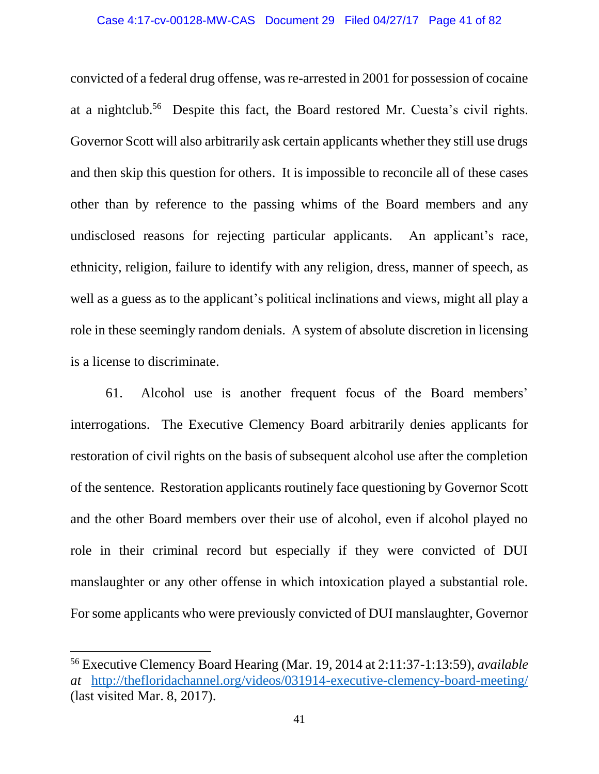#### Case 4:17-cv-00128-MW-CAS Document 29 Filed 04/27/17 Page 41 of 82

convicted of a federal drug offense, was re-arrested in 2001 for possession of cocaine at a nightclub.<sup>56</sup> Despite this fact, the Board restored Mr. Cuesta's civil rights. Governor Scott will also arbitrarily ask certain applicants whether they still use drugs and then skip this question for others. It is impossible to reconcile all of these cases other than by reference to the passing whims of the Board members and any undisclosed reasons for rejecting particular applicants. An applicant's race, ethnicity, religion, failure to identify with any religion, dress, manner of speech, as well as a guess as to the applicant's political inclinations and views, might all play a role in these seemingly random denials. A system of absolute discretion in licensing is a license to discriminate.

61. Alcohol use is another frequent focus of the Board members' interrogations. The Executive Clemency Board arbitrarily denies applicants for restoration of civil rights on the basis of subsequent alcohol use after the completion of the sentence. Restoration applicants routinely face questioning by Governor Scott and the other Board members over their use of alcohol, even if alcohol played no role in their criminal record but especially if they were convicted of DUI manslaughter or any other offense in which intoxication played a substantial role. For some applicants who were previously convicted of DUI manslaughter, Governor

 $\overline{\phantom{a}}$ 

<sup>56</sup> Executive Clemency Board Hearing (Mar. 19, 2014 at 2:11:37-1:13:59), *available at* <http://thefloridachannel.org/videos/031914-executive-clemency-board-meeting/> (last visited Mar. 8, 2017).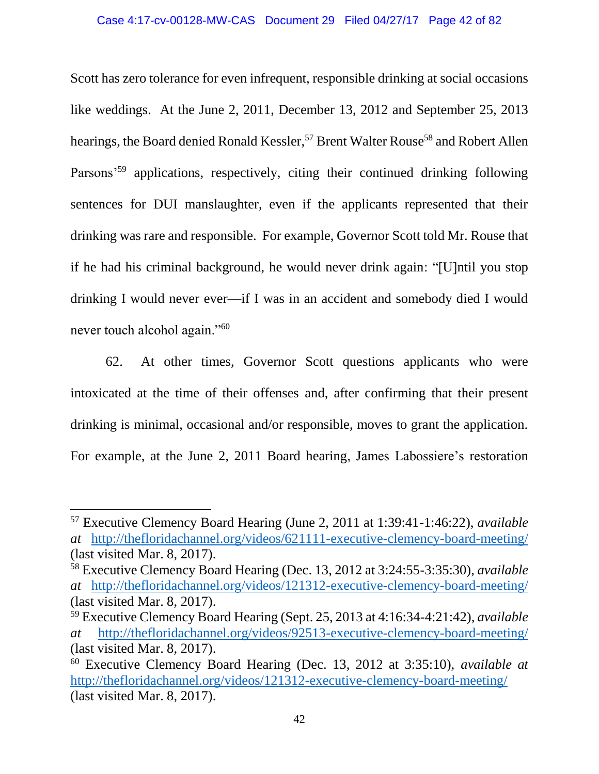Scott has zero tolerance for even infrequent, responsible drinking at social occasions like weddings. At the June 2, 2011, December 13, 2012 and September 25, 2013 hearings, the Board denied Ronald Kessler,<sup>57</sup> Brent Walter Rouse<sup>58</sup> and Robert Allen Parsons'<sup>59</sup> applications, respectively, citing their continued drinking following sentences for DUI manslaughter, even if the applicants represented that their drinking was rare and responsible. For example, Governor Scott told Mr. Rouse that if he had his criminal background, he would never drink again: "[U]ntil you stop drinking I would never ever—if I was in an accident and somebody died I would never touch alcohol again."<sup>60</sup>

62. At other times, Governor Scott questions applicants who were intoxicated at the time of their offenses and, after confirming that their present drinking is minimal, occasional and/or responsible, moves to grant the application. For example, at the June 2, 2011 Board hearing, James Labossiere's restoration

l

<sup>57</sup> Executive Clemency Board Hearing (June 2, 2011 at 1:39:41-1:46:22), *available at* <http://thefloridachannel.org/videos/621111-executive-clemency-board-meeting/> (last visited Mar. 8, 2017).

<sup>58</sup> Executive Clemency Board Hearing (Dec. 13, 2012 at 3:24:55-3:35:30), *available at* <http://thefloridachannel.org/videos/121312-executive-clemency-board-meeting/> (last visited Mar. 8, 2017).

<sup>59</sup> Executive Clemency Board Hearing (Sept. 25, 2013 at 4:16:34-4:21:42), *available at* <http://thefloridachannel.org/videos/92513-executive-clemency-board-meeting/> (last visited Mar. 8, 2017).

<sup>60</sup> Executive Clemency Board Hearing (Dec. 13, 2012 at 3:35:10), *available at* <http://thefloridachannel.org/videos/121312-executive-clemency-board-meeting/> (last visited Mar. 8, 2017).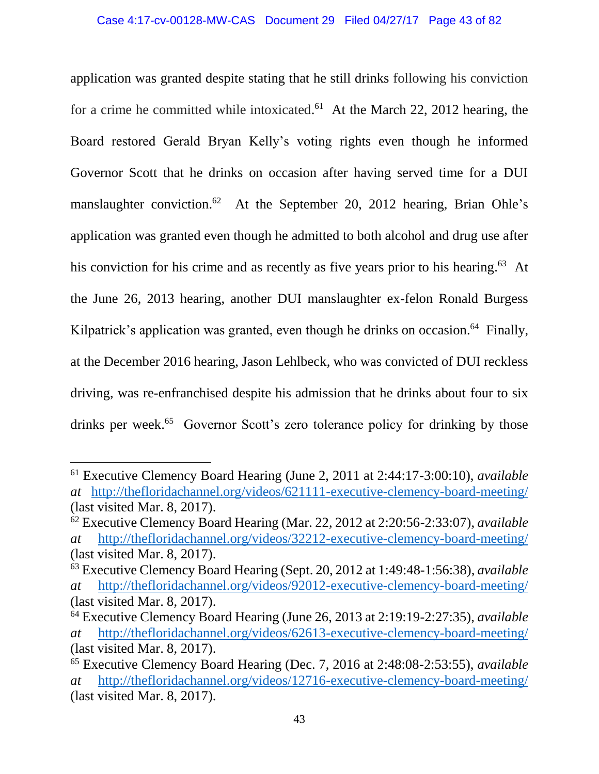application was granted despite stating that he still drinks following his conviction for a crime he committed while intoxicated.<sup>61</sup> At the March 22, 2012 hearing, the Board restored Gerald Bryan Kelly's voting rights even though he informed Governor Scott that he drinks on occasion after having served time for a DUI manslaughter conviction.<sup>62</sup> At the September 20, 2012 hearing, Brian Ohle's application was granted even though he admitted to both alcohol and drug use after his conviction for his crime and as recently as five years prior to his hearing.<sup>63</sup> At the June 26, 2013 hearing, another DUI manslaughter ex-felon Ronald Burgess Kilpatrick's application was granted, even though he drinks on occasion.<sup>64</sup> Finally, at the December 2016 hearing, Jason Lehlbeck, who was convicted of DUI reckless driving, was re-enfranchised despite his admission that he drinks about four to six drinks per week.<sup>65</sup> Governor Scott's zero tolerance policy for drinking by those

 $\overline{\phantom{a}}$ <sup>61</sup> Executive Clemency Board Hearing (June 2, 2011 at 2:44:17-3:00:10), *available at* <http://thefloridachannel.org/videos/621111-executive-clemency-board-meeting/> (last visited Mar. 8, 2017).

<sup>62</sup> Executive Clemency Board Hearing (Mar. 22, 2012 at 2:20:56-2:33:07), *available at* <http://thefloridachannel.org/videos/32212-executive-clemency-board-meeting/> (last visited Mar. 8, 2017).

<sup>63</sup> Executive Clemency Board Hearing (Sept. 20, 2012 at 1:49:48-1:56:38), *available at* <http://thefloridachannel.org/videos/92012-executive-clemency-board-meeting/> (last visited Mar. 8, 2017).

<sup>64</sup> Executive Clemency Board Hearing (June 26, 2013 at 2:19:19-2:27:35), *available at* <http://thefloridachannel.org/videos/62613-executive-clemency-board-meeting/> (last visited Mar. 8, 2017).

<sup>65</sup> Executive Clemency Board Hearing (Dec. 7, 2016 at 2:48:08-2:53:55), *available at* <http://thefloridachannel.org/videos/12716-executive-clemency-board-meeting/> (last visited Mar. 8, 2017).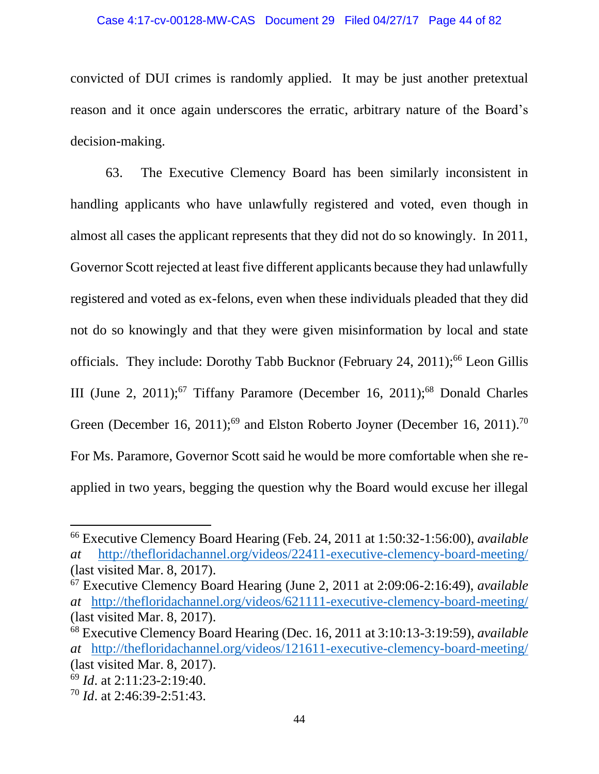#### Case 4:17-cv-00128-MW-CAS Document 29 Filed 04/27/17 Page 44 of 82

convicted of DUI crimes is randomly applied. It may be just another pretextual reason and it once again underscores the erratic, arbitrary nature of the Board's decision-making.

63. The Executive Clemency Board has been similarly inconsistent in handling applicants who have unlawfully registered and voted, even though in almost all cases the applicant represents that they did not do so knowingly. In 2011, Governor Scott rejected at least five different applicants because they had unlawfully registered and voted as ex-felons, even when these individuals pleaded that they did not do so knowingly and that they were given misinformation by local and state officials. They include: Dorothy Tabb Bucknor (February 24, 2011);<sup>66</sup> Leon Gillis III (June 2, 2011);<sup>67</sup> Tiffany Paramore (December 16, 2011);<sup>68</sup> Donald Charles Green (December 16, 2011);<sup>69</sup> and Elston Roberto Joyner (December 16, 2011).<sup>70</sup> For Ms. Paramore, Governor Scott said he would be more comfortable when she reapplied in two years, begging the question why the Board would excuse her illegal

 $\overline{a}$ 

<sup>66</sup> Executive Clemency Board Hearing (Feb. 24, 2011 at 1:50:32-1:56:00), *available at* <http://thefloridachannel.org/videos/22411-executive-clemency-board-meeting/> (last visited Mar. 8, 2017).

<sup>67</sup> Executive Clemency Board Hearing (June 2, 2011 at 2:09:06-2:16:49), *available at* <http://thefloridachannel.org/videos/621111-executive-clemency-board-meeting/> (last visited Mar. 8, 2017).

<sup>68</sup> Executive Clemency Board Hearing (Dec. 16, 2011 at 3:10:13-3:19:59), *available at* <http://thefloridachannel.org/videos/121611-executive-clemency-board-meeting/> (last visited Mar. 8, 2017).

<sup>69</sup> *Id*. at 2:11:23-2:19:40.

<sup>70</sup> *Id*. at 2:46:39-2:51:43.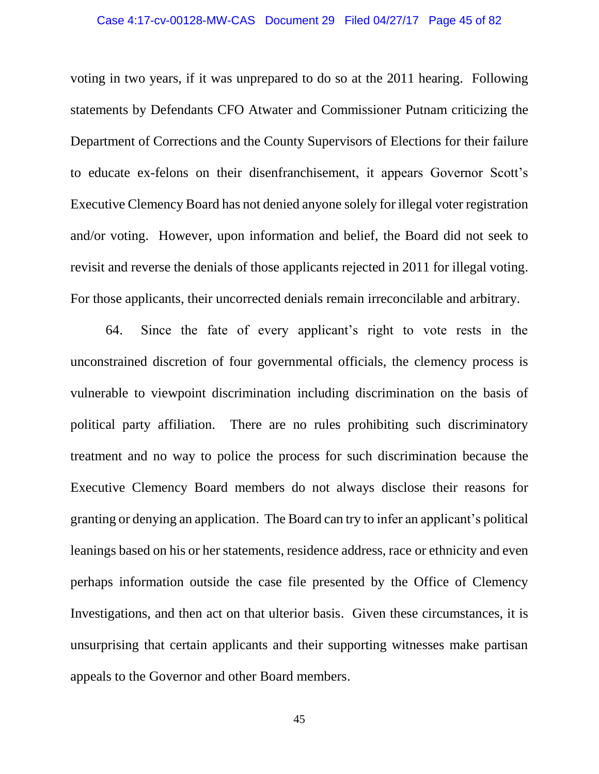#### Case 4:17-cv-00128-MW-CAS Document 29 Filed 04/27/17 Page 45 of 82

voting in two years, if it was unprepared to do so at the 2011 hearing. Following statements by Defendants CFO Atwater and Commissioner Putnam criticizing the Department of Corrections and the County Supervisors of Elections for their failure to educate ex-felons on their disenfranchisement, it appears Governor Scott's Executive Clemency Board has not denied anyone solely for illegal voter registration and/or voting. However, upon information and belief, the Board did not seek to revisit and reverse the denials of those applicants rejected in 2011 for illegal voting. For those applicants, their uncorrected denials remain irreconcilable and arbitrary.

64. Since the fate of every applicant's right to vote rests in the unconstrained discretion of four governmental officials, the clemency process is vulnerable to viewpoint discrimination including discrimination on the basis of political party affiliation. There are no rules prohibiting such discriminatory treatment and no way to police the process for such discrimination because the Executive Clemency Board members do not always disclose their reasons for granting or denying an application. The Board can try to infer an applicant's political leanings based on his or her statements, residence address, race or ethnicity and even perhaps information outside the case file presented by the Office of Clemency Investigations, and then act on that ulterior basis. Given these circumstances, it is unsurprising that certain applicants and their supporting witnesses make partisan appeals to the Governor and other Board members.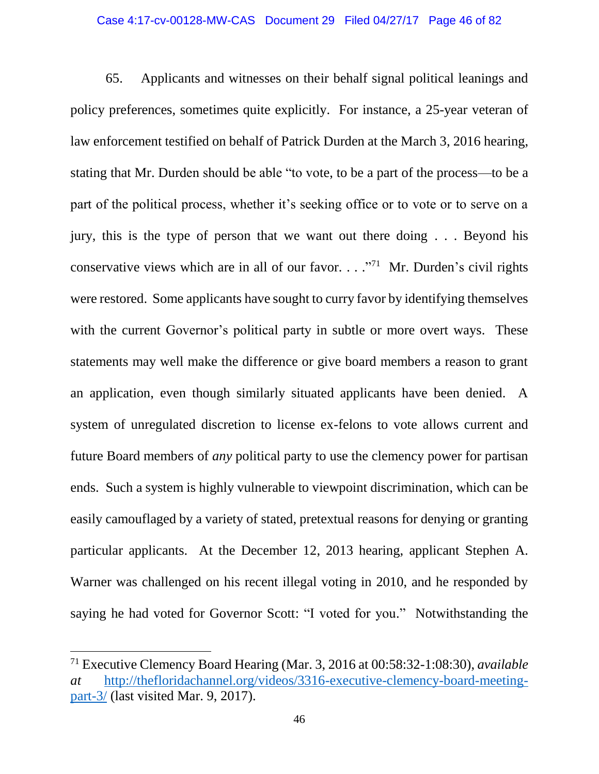#### Case 4:17-cv-00128-MW-CAS Document 29 Filed 04/27/17 Page 46 of 82

65. Applicants and witnesses on their behalf signal political leanings and policy preferences, sometimes quite explicitly. For instance, a 25-year veteran of law enforcement testified on behalf of Patrick Durden at the March 3, 2016 hearing, stating that Mr. Durden should be able "to vote, to be a part of the process—to be a part of the political process, whether it's seeking office or to vote or to serve on a jury, this is the type of person that we want out there doing . . . Beyond his conservative views which are in all of our favor. . . . "<sup>71</sup> Mr. Durden's civil rights were restored. Some applicants have sought to curry favor by identifying themselves with the current Governor's political party in subtle or more overt ways. These statements may well make the difference or give board members a reason to grant an application, even though similarly situated applicants have been denied. A system of unregulated discretion to license ex-felons to vote allows current and future Board members of *any* political party to use the clemency power for partisan ends. Such a system is highly vulnerable to viewpoint discrimination, which can be easily camouflaged by a variety of stated, pretextual reasons for denying or granting particular applicants. At the December 12, 2013 hearing, applicant Stephen A. Warner was challenged on his recent illegal voting in 2010, and he responded by saying he had voted for Governor Scott: "I voted for you." Notwithstanding the

 $\overline{\phantom{a}}$ 

<sup>71</sup> Executive Clemency Board Hearing (Mar. 3, 2016 at 00:58:32-1:08:30), *available at* [http://thefloridachannel.org/videos/3316-executive-clemency-board-meeting](http://thefloridachannel.org/videos/3316-executive-clemency-board-meeting-part-3/)[part-3/](http://thefloridachannel.org/videos/3316-executive-clemency-board-meeting-part-3/) (last visited Mar. 9, 2017).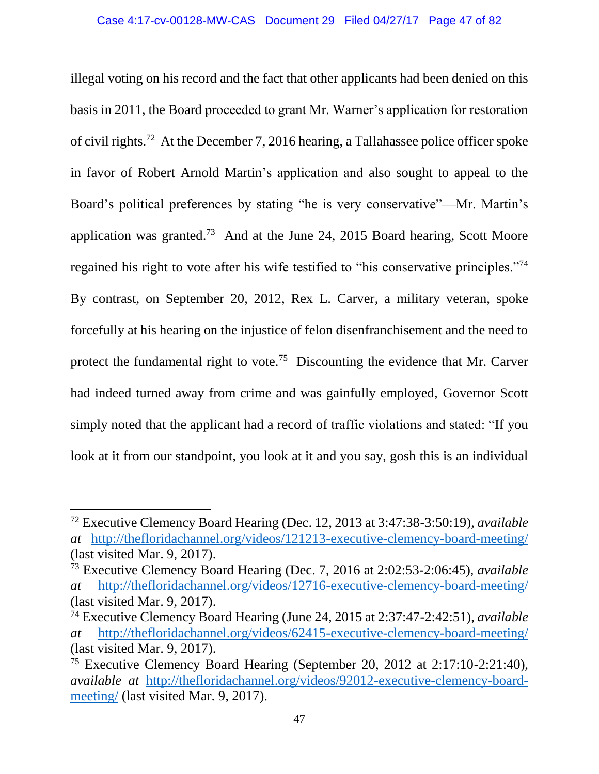illegal voting on his record and the fact that other applicants had been denied on this basis in 2011, the Board proceeded to grant Mr. Warner's application for restoration of civil rights.<sup>72</sup> At the December 7, 2016 hearing, a Tallahassee police officer spoke in favor of Robert Arnold Martin's application and also sought to appeal to the Board's political preferences by stating "he is very conservative"—Mr. Martin's application was granted.<sup>73</sup> And at the June 24, 2015 Board hearing, Scott Moore regained his right to vote after his wife testified to "his conservative principles."<sup>74</sup> By contrast, on September 20, 2012, Rex L. Carver, a military veteran, spoke forcefully at his hearing on the injustice of felon disenfranchisement and the need to protect the fundamental right to vote.<sup>75</sup> Discounting the evidence that Mr. Carver had indeed turned away from crime and was gainfully employed, Governor Scott simply noted that the applicant had a record of traffic violations and stated: "If you look at it from our standpoint, you look at it and you say, gosh this is an individual

l

<sup>72</sup> Executive Clemency Board Hearing (Dec. 12, 2013 at 3:47:38-3:50:19), *available at* <http://thefloridachannel.org/videos/121213-executive-clemency-board-meeting/> (last visited Mar. 9, 2017).

<sup>73</sup> Executive Clemency Board Hearing (Dec. 7, 2016 at 2:02:53-2:06:45), *available at* <http://thefloridachannel.org/videos/12716-executive-clemency-board-meeting/> (last visited Mar. 9, 2017).

<sup>74</sup> Executive Clemency Board Hearing (June 24, 2015 at 2:37:47-2:42:51), *available at* <http://thefloridachannel.org/videos/62415-executive-clemency-board-meeting/> (last visited Mar. 9, 2017).

 $75$  Executive Clemency Board Hearing (September 20, 2012 at 2:17:10-2:21:40), *available at* [http://thefloridachannel.org/videos/92012-executive-clemency-board](http://thefloridachannel.org/videos/92012-executive-clemency-board-meeting/)[meeting/](http://thefloridachannel.org/videos/92012-executive-clemency-board-meeting/) (last visited Mar. 9, 2017).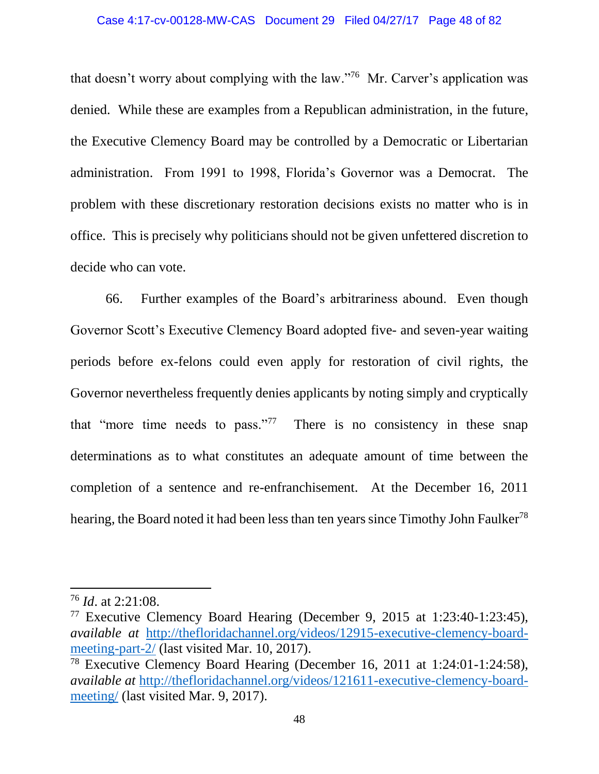#### Case 4:17-cv-00128-MW-CAS Document 29 Filed 04/27/17 Page 48 of 82

that doesn't worry about complying with the law."<sup>76</sup> Mr. Carver's application was denied. While these are examples from a Republican administration, in the future, the Executive Clemency Board may be controlled by a Democratic or Libertarian administration. From 1991 to 1998, Florida's Governor was a Democrat. The problem with these discretionary restoration decisions exists no matter who is in office. This is precisely why politicians should not be given unfettered discretion to decide who can vote.

66. Further examples of the Board's arbitrariness abound. Even though Governor Scott's Executive Clemency Board adopted five- and seven-year waiting periods before ex-felons could even apply for restoration of civil rights, the Governor nevertheless frequently denies applicants by noting simply and cryptically that "more time needs to pass."<sup>77</sup> There is no consistency in these snap determinations as to what constitutes an adequate amount of time between the completion of a sentence and re-enfranchisement. At the December 16, 2011 hearing, the Board noted it had been less than ten years since Timothy John Faulker<sup>78</sup>

 $\overline{a}$ 

<sup>76</sup> *Id*. at 2:21:08.

<sup>77</sup> Executive Clemency Board Hearing (December 9, 2015 at 1:23:40-1:23:45), *available at* [http://thefloridachannel.org/videos/12915-executive-clemency-board](http://thefloridachannel.org/videos/12915-executive-clemency-board-meeting-part-2/)[meeting-part-2/](http://thefloridachannel.org/videos/12915-executive-clemency-board-meeting-part-2/) (last visited Mar. 10, 2017).

<sup>78</sup> Executive Clemency Board Hearing (December 16, 2011 at 1:24:01-1:24:58), *available at* [http://thefloridachannel.org/videos/121611-executive-clemency-board](http://thefloridachannel.org/videos/121611-executive-clemency-board-meeting/)[meeting/](http://thefloridachannel.org/videos/121611-executive-clemency-board-meeting/) (last visited Mar. 9, 2017).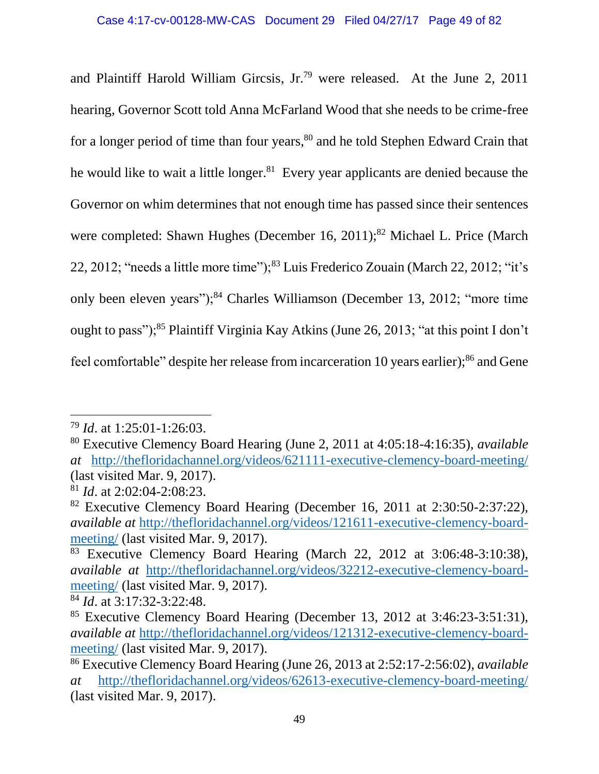and Plaintiff Harold William Gircsis, Jr.<sup>79</sup> were released. At the June 2, 2011 hearing, Governor Scott told Anna McFarland Wood that she needs to be crime-free for a longer period of time than four years, <sup>80</sup> and he told Stephen Edward Crain that he would like to wait a little longer.<sup>81</sup> Every year applicants are denied because the Governor on whim determines that not enough time has passed since their sentences were completed: Shawn Hughes (December 16, 2011);<sup>82</sup> Michael L. Price (March 22, 2012; "needs a little more time");<sup>83</sup> Luis Frederico Zouain (March 22, 2012; "it's only been eleven years");<sup>84</sup> Charles Williamson (December 13, 2012; "more time ought to pass");<sup>85</sup> Plaintiff Virginia Kay Atkins (June 26, 2013; "at this point I don't feel comfortable" despite her release from incarceration 10 years earlier);<sup>86</sup> and Gene

 $\overline{\phantom{a}}$ 

<sup>79</sup> *Id*. at 1:25:01-1:26:03.

<sup>80</sup> Executive Clemency Board Hearing (June 2, 2011 at 4:05:18-4:16:35), *available at* <http://thefloridachannel.org/videos/621111-executive-clemency-board-meeting/> (last visited Mar. 9, 2017).

<sup>81</sup> *Id*. at 2:02:04-2:08:23.

<sup>82</sup> Executive Clemency Board Hearing (December 16, 2011 at 2:30:50-2:37:22), *available at* [http://thefloridachannel.org/videos/121611-executive-clemency-board](http://thefloridachannel.org/videos/121611-executive-clemency-board-meeting/)[meeting/](http://thefloridachannel.org/videos/121611-executive-clemency-board-meeting/) (last visited Mar. 9, 2017).

<sup>83</sup> Executive Clemency Board Hearing (March 22, 2012 at 3:06:48-3:10:38), *available at* [http://thefloridachannel.org/videos/32212-executive-clemency-board](http://thefloridachannel.org/videos/32212-executive-clemency-board-meeting/)[meeting/](http://thefloridachannel.org/videos/32212-executive-clemency-board-meeting/) (last visited Mar. 9, 2017).

<sup>84</sup> *Id*. at 3:17:32-3:22:48.

<sup>85</sup> Executive Clemency Board Hearing (December 13, 2012 at 3:46:23-3:51:31), *available at* [http://thefloridachannel.org/videos/121312-executive-clemency-board](http://thefloridachannel.org/videos/121312-executive-clemency-board-meeting/)[meeting/](http://thefloridachannel.org/videos/121312-executive-clemency-board-meeting/) (last visited Mar. 9, 2017).

<sup>86</sup> Executive Clemency Board Hearing (June 26, 2013 at 2:52:17-2:56:02), *available at* <http://thefloridachannel.org/videos/62613-executive-clemency-board-meeting/> (last visited Mar. 9, 2017).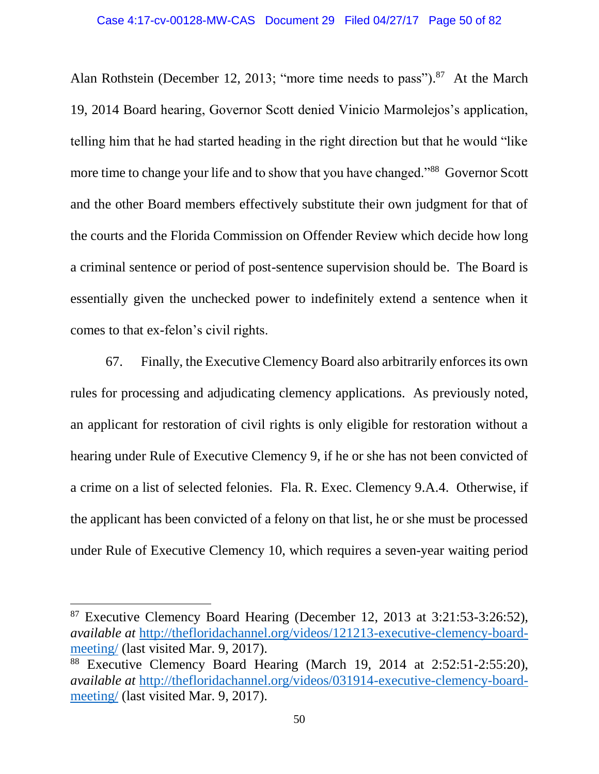Alan Rothstein (December 12, 2013; "more time needs to pass").<sup>87</sup> At the March 19, 2014 Board hearing, Governor Scott denied Vinicio Marmolejos's application, telling him that he had started heading in the right direction but that he would "like more time to change your life and to show that you have changed."<sup>88</sup> Governor Scott and the other Board members effectively substitute their own judgment for that of the courts and the Florida Commission on Offender Review which decide how long a criminal sentence or period of post-sentence supervision should be. The Board is essentially given the unchecked power to indefinitely extend a sentence when it comes to that ex-felon's civil rights.

67. Finally, the Executive Clemency Board also arbitrarily enforces its own rules for processing and adjudicating clemency applications. As previously noted, an applicant for restoration of civil rights is only eligible for restoration without a hearing under Rule of Executive Clemency 9, if he or she has not been convicted of a crime on a list of selected felonies. Fla. R. Exec. Clemency 9.A.4. Otherwise, if the applicant has been convicted of a felony on that list, he or she must be processed under Rule of Executive Clemency 10, which requires a seven-year waiting period

 $\overline{a}$ 

 $87$  Executive Clemency Board Hearing (December 12, 2013 at 3:21:53-3:26:52), *available at* [http://thefloridachannel.org/videos/121213-executive-clemency-board](http://thefloridachannel.org/videos/121213-executive-clemency-board-meeting/)[meeting/](http://thefloridachannel.org/videos/121213-executive-clemency-board-meeting/) (last visited Mar. 9, 2017).

<sup>88</sup> Executive Clemency Board Hearing (March 19, 2014 at 2:52:51-2:55:20), *available at* [http://thefloridachannel.org/videos/031914-executive-clemency-board](http://thefloridachannel.org/videos/031914-executive-clemency-board-meeting/)[meeting/](http://thefloridachannel.org/videos/031914-executive-clemency-board-meeting/) (last visited Mar. 9, 2017).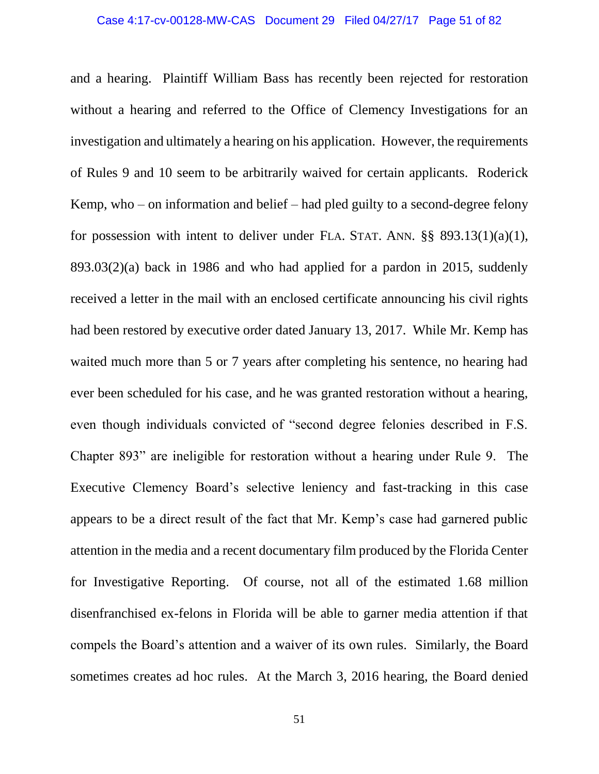and a hearing. Plaintiff William Bass has recently been rejected for restoration without a hearing and referred to the Office of Clemency Investigations for an investigation and ultimately a hearing on his application. However, the requirements of Rules 9 and 10 seem to be arbitrarily waived for certain applicants. Roderick Kemp, who – on information and belief – had pled guilty to a second-degree felony for possession with intent to deliver under FLA. STAT. ANN. §§ 893.13(1)(a)(1), 893.03(2)(a) back in 1986 and who had applied for a pardon in 2015, suddenly received a letter in the mail with an enclosed certificate announcing his civil rights had been restored by executive order dated January 13, 2017. While Mr. Kemp has waited much more than 5 or 7 years after completing his sentence, no hearing had ever been scheduled for his case, and he was granted restoration without a hearing, even though individuals convicted of "second degree felonies described in F.S. Chapter 893" are ineligible for restoration without a hearing under Rule 9. The Executive Clemency Board's selective leniency and fast-tracking in this case appears to be a direct result of the fact that Mr. Kemp's case had garnered public attention in the media and a recent documentary film produced by the Florida Center for Investigative Reporting. Of course, not all of the estimated 1.68 million disenfranchised ex-felons in Florida will be able to garner media attention if that compels the Board's attention and a waiver of its own rules. Similarly, the Board sometimes creates ad hoc rules. At the March 3, 2016 hearing, the Board denied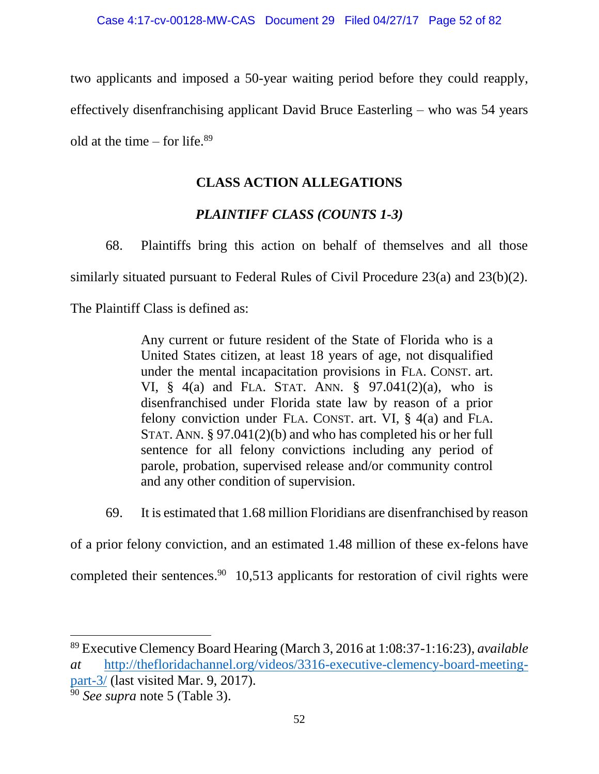two applicants and imposed a 50-year waiting period before they could reapply, effectively disenfranchising applicant David Bruce Easterling – who was 54 years old at the time – for life. $89$ 

# **CLASS ACTION ALLEGATIONS**

# *PLAINTIFF CLASS (COUNTS 1-3)*

68. Plaintiffs bring this action on behalf of themselves and all those

similarly situated pursuant to Federal Rules of Civil Procedure 23(a) and 23(b)(2).

The Plaintiff Class is defined as:

Any current or future resident of the State of Florida who is a United States citizen, at least 18 years of age, not disqualified under the mental incapacitation provisions in FLA. CONST. art. VI, § 4(a) and FLA. STAT. ANN. § 97.041(2)(a), who is disenfranchised under Florida state law by reason of a prior felony conviction under FLA. CONST. art. VI, § 4(a) and FLA. STAT. ANN. § 97.041(2)(b) and who has completed his or her full sentence for all felony convictions including any period of parole, probation, supervised release and/or community control and any other condition of supervision.

69. It is estimated that 1.68 million Floridians are disenfranchised by reason

of a prior felony conviction, and an estimated 1.48 million of these ex-felons have

completed their sentences.<sup>90</sup> 10,513 applicants for restoration of civil rights were

 $\overline{\phantom{a}}$ 

<sup>89</sup> Executive Clemency Board Hearing (March 3, 2016 at 1:08:37-1:16:23), *available at* [http://thefloridachannel.org/videos/3316-executive-clemency-board-meeting](http://thefloridachannel.org/videos/3316-executive-clemency-board-meeting-part-3/)[part-3/](http://thefloridachannel.org/videos/3316-executive-clemency-board-meeting-part-3/) (last visited Mar. 9, 2017).

<sup>90</sup> *See supra* note 5 (Table 3).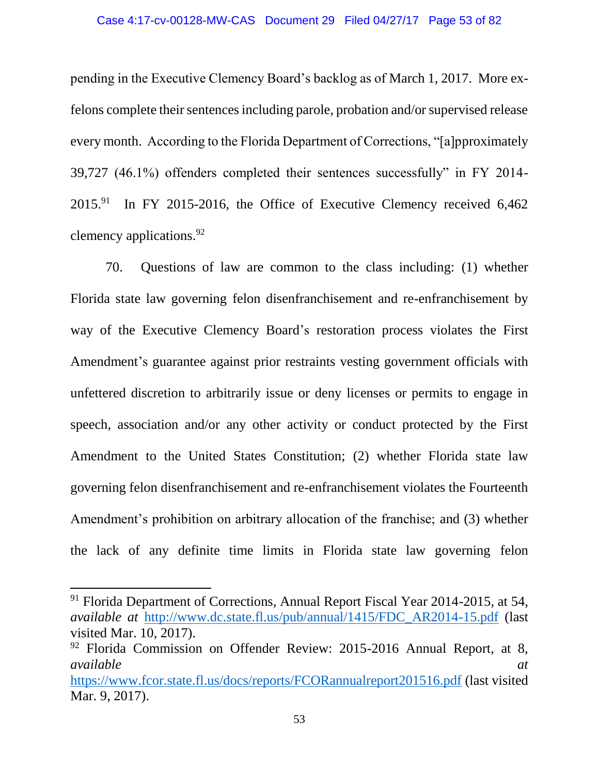pending in the Executive Clemency Board's backlog as of March 1, 2017. More exfelons complete their sentences including parole, probation and/or supervised release every month. According to the Florida Department of Corrections, "[a]pproximately 39,727 (46.1%) offenders completed their sentences successfully" in FY 2014-  $2015.<sup>91</sup>$  In FY 2015-2016, the Office of Executive Clemency received 6,462 clemency applications.<sup>92</sup>

70. Questions of law are common to the class including: (1) whether Florida state law governing felon disenfranchisement and re-enfranchisement by way of the Executive Clemency Board's restoration process violates the First Amendment's guarantee against prior restraints vesting government officials with unfettered discretion to arbitrarily issue or deny licenses or permits to engage in speech, association and/or any other activity or conduct protected by the First Amendment to the United States Constitution; (2) whether Florida state law governing felon disenfranchisement and re-enfranchisement violates the Fourteenth Amendment's prohibition on arbitrary allocation of the franchise; and (3) whether the lack of any definite time limits in Florida state law governing felon

 $\overline{a}$ 

<sup>&</sup>lt;sup>91</sup> Florida Department of Corrections, Annual Report Fiscal Year 2014-2015, at 54, *available at* [http://www.dc.state.fl.us/pub/annual/1415/FDC\\_AR2014-15.pdf](http://www.dc.state.fl.us/pub/annual/1415/FDC_AR2014-15.pdf) (last visited Mar. 10, 2017).

<sup>92</sup> Florida Commission on Offender Review: 2015-2016 Annual Report, at 8, *available at*

<https://www.fcor.state.fl.us/docs/reports/FCORannualreport201516.pdf> (last visited Mar. 9, 2017).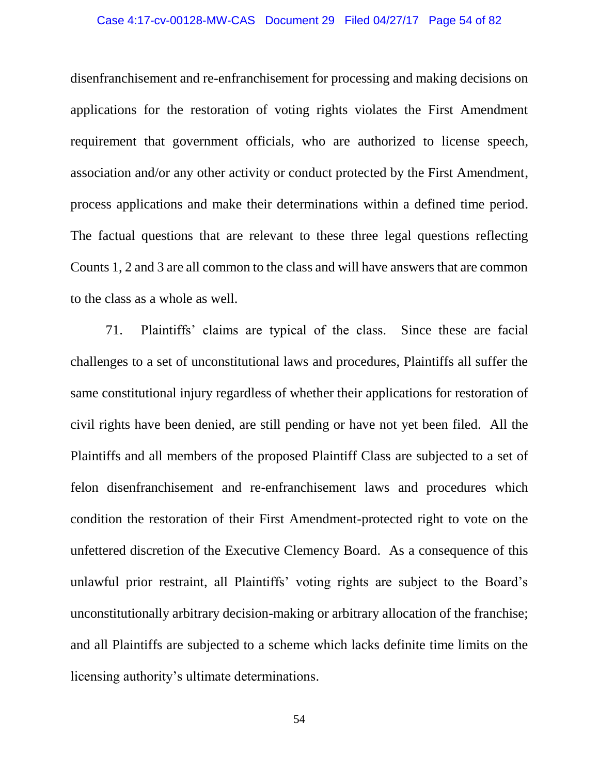#### Case 4:17-cv-00128-MW-CAS Document 29 Filed 04/27/17 Page 54 of 82

disenfranchisement and re-enfranchisement for processing and making decisions on applications for the restoration of voting rights violates the First Amendment requirement that government officials, who are authorized to license speech, association and/or any other activity or conduct protected by the First Amendment, process applications and make their determinations within a defined time period. The factual questions that are relevant to these three legal questions reflecting Counts 1, 2 and 3 are all common to the class and will have answers that are common to the class as a whole as well.

71. Plaintiffs' claims are typical of the class. Since these are facial challenges to a set of unconstitutional laws and procedures, Plaintiffs all suffer the same constitutional injury regardless of whether their applications for restoration of civil rights have been denied, are still pending or have not yet been filed. All the Plaintiffs and all members of the proposed Plaintiff Class are subjected to a set of felon disenfranchisement and re-enfranchisement laws and procedures which condition the restoration of their First Amendment-protected right to vote on the unfettered discretion of the Executive Clemency Board. As a consequence of this unlawful prior restraint, all Plaintiffs' voting rights are subject to the Board's unconstitutionally arbitrary decision-making or arbitrary allocation of the franchise; and all Plaintiffs are subjected to a scheme which lacks definite time limits on the licensing authority's ultimate determinations.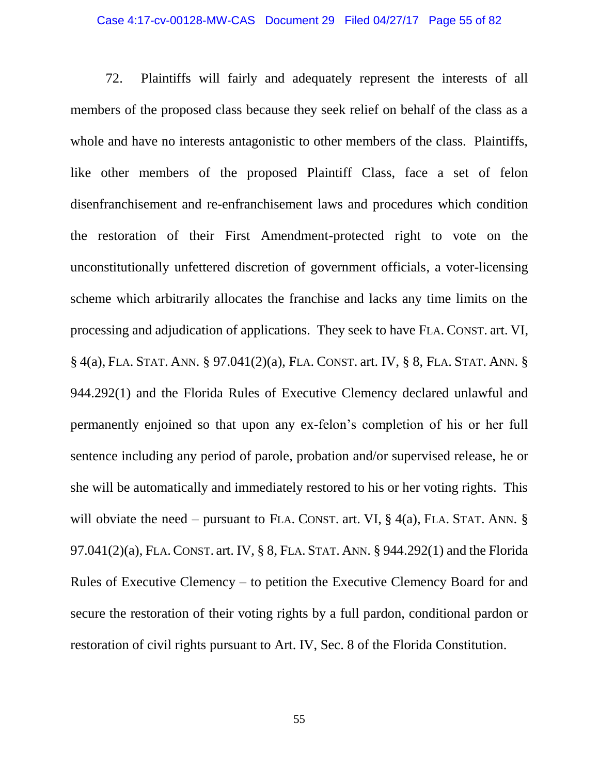#### Case 4:17-cv-00128-MW-CAS Document 29 Filed 04/27/17 Page 55 of 82

72. Plaintiffs will fairly and adequately represent the interests of all members of the proposed class because they seek relief on behalf of the class as a whole and have no interests antagonistic to other members of the class. Plaintiffs, like other members of the proposed Plaintiff Class, face a set of felon disenfranchisement and re-enfranchisement laws and procedures which condition the restoration of their First Amendment-protected right to vote on the unconstitutionally unfettered discretion of government officials, a voter-licensing scheme which arbitrarily allocates the franchise and lacks any time limits on the processing and adjudication of applications. They seek to have FLA. CONST. art. VI, § 4(a), FLA. STAT. ANN. § 97.041(2)(a), FLA. CONST. art. IV, § 8, FLA. STAT. ANN. § 944.292(1) and the Florida Rules of Executive Clemency declared unlawful and permanently enjoined so that upon any ex-felon's completion of his or her full sentence including any period of parole, probation and/or supervised release, he or she will be automatically and immediately restored to his or her voting rights. This will obviate the need – pursuant to FLA. CONST. art. VI,  $\S$  4(a), FLA. STAT. ANN.  $\S$ 97.041(2)(a), FLA.CONST. art. IV, § 8, FLA. STAT. ANN. § 944.292(1) and the Florida Rules of Executive Clemency – to petition the Executive Clemency Board for and secure the restoration of their voting rights by a full pardon, conditional pardon or restoration of civil rights pursuant to Art. IV, Sec. 8 of the Florida Constitution.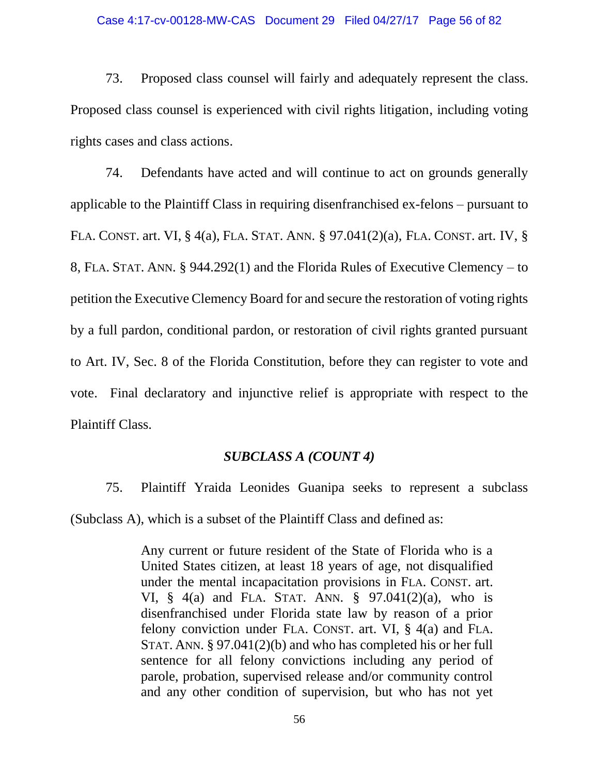#### Case 4:17-cv-00128-MW-CAS Document 29 Filed 04/27/17 Page 56 of 82

73. Proposed class counsel will fairly and adequately represent the class. Proposed class counsel is experienced with civil rights litigation, including voting rights cases and class actions.

74. Defendants have acted and will continue to act on grounds generally applicable to the Plaintiff Class in requiring disenfranchised ex-felons – pursuant to FLA. CONST. art. VI, § 4(a), FLA. STAT. ANN. § 97.041(2)(a), FLA. CONST. art. IV, § 8, FLA. STAT. ANN. § 944.292(1) and the Florida Rules of Executive Clemency – to petition the Executive Clemency Board for and secure the restoration of voting rights by a full pardon, conditional pardon, or restoration of civil rights granted pursuant to Art. IV, Sec. 8 of the Florida Constitution, before they can register to vote and vote. Final declaratory and injunctive relief is appropriate with respect to the Plaintiff Class.

### *SUBCLASS A (COUNT 4)*

75. Plaintiff Yraida Leonides Guanipa seeks to represent a subclass (Subclass A), which is a subset of the Plaintiff Class and defined as:

> Any current or future resident of the State of Florida who is a United States citizen, at least 18 years of age, not disqualified under the mental incapacitation provisions in FLA. CONST. art. VI, § 4(a) and FLA. STAT. ANN. § 97.041(2)(a), who is disenfranchised under Florida state law by reason of a prior felony conviction under FLA. CONST. art. VI, § 4(a) and FLA. STAT. ANN. § 97.041(2)(b) and who has completed his or her full sentence for all felony convictions including any period of parole, probation, supervised release and/or community control and any other condition of supervision, but who has not yet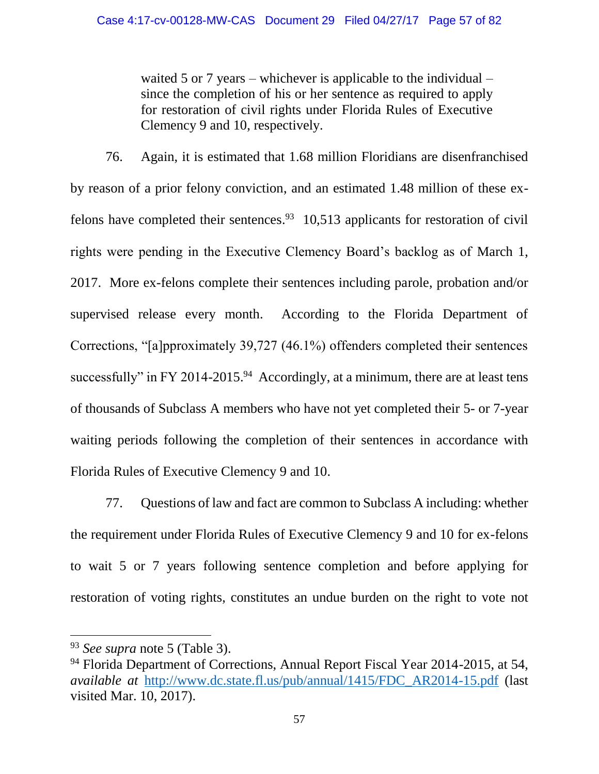waited 5 or 7 years – whichever is applicable to the individual – since the completion of his or her sentence as required to apply for restoration of civil rights under Florida Rules of Executive Clemency 9 and 10, respectively.

76. Again, it is estimated that 1.68 million Floridians are disenfranchised by reason of a prior felony conviction, and an estimated 1.48 million of these exfelons have completed their sentences.<sup>93</sup> 10,513 applicants for restoration of civil rights were pending in the Executive Clemency Board's backlog as of March 1, 2017. More ex-felons complete their sentences including parole, probation and/or supervised release every month. According to the Florida Department of Corrections, "[a]pproximately 39,727 (46.1%) offenders completed their sentences successfully" in FY 2014-2015.<sup>94</sup> Accordingly, at a minimum, there are at least tens of thousands of Subclass A members who have not yet completed their 5- or 7-year waiting periods following the completion of their sentences in accordance with Florida Rules of Executive Clemency 9 and 10.

77. Questions of law and fact are common to Subclass A including: whether the requirement under Florida Rules of Executive Clemency 9 and 10 for ex-felons to wait 5 or 7 years following sentence completion and before applying for restoration of voting rights, constitutes an undue burden on the right to vote not

 $\overline{\phantom{a}}$ 

<sup>93</sup> *See supra* note 5 (Table 3).

<sup>&</sup>lt;sup>94</sup> Florida Department of Corrections, Annual Report Fiscal Year 2014-2015, at 54, *available at* [http://www.dc.state.fl.us/pub/annual/1415/FDC\\_AR2014-15.pdf](http://www.dc.state.fl.us/pub/annual/1415/FDC_AR2014-15.pdf) (last visited Mar. 10, 2017).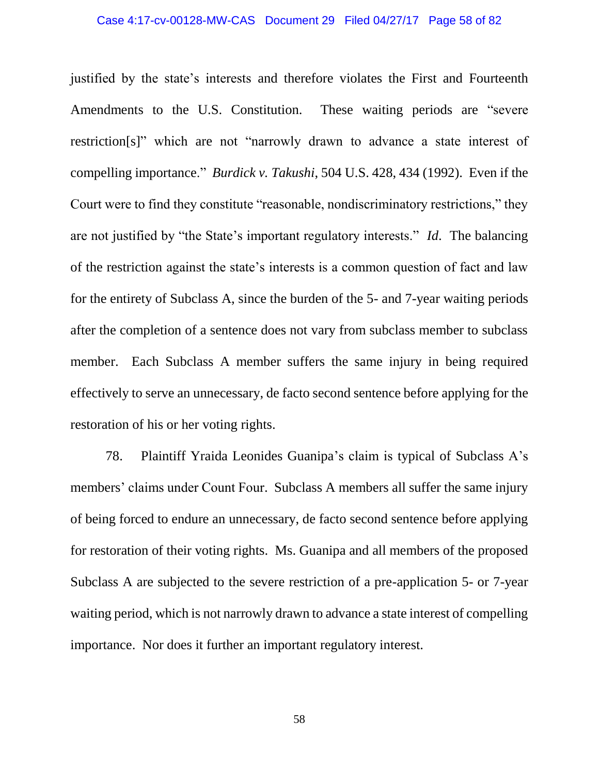#### Case 4:17-cv-00128-MW-CAS Document 29 Filed 04/27/17 Page 58 of 82

justified by the state's interests and therefore violates the First and Fourteenth Amendments to the U.S. Constitution. These waiting periods are "severe restriction[s]" which are not "narrowly drawn to advance a state interest of compelling importance." *Burdick v. Takushi*, 504 U.S. 428, 434 (1992). Even if the Court were to find they constitute "reasonable, nondiscriminatory restrictions," they are not justified by "the State's important regulatory interests." *Id*. The balancing of the restriction against the state's interests is a common question of fact and law for the entirety of Subclass A, since the burden of the 5- and 7-year waiting periods after the completion of a sentence does not vary from subclass member to subclass member. Each Subclass A member suffers the same injury in being required effectively to serve an unnecessary, de facto second sentence before applying for the restoration of his or her voting rights.

78. Plaintiff Yraida Leonides Guanipa's claim is typical of Subclass A's members' claims under Count Four. Subclass A members all suffer the same injury of being forced to endure an unnecessary, de facto second sentence before applying for restoration of their voting rights. Ms. Guanipa and all members of the proposed Subclass A are subjected to the severe restriction of a pre-application 5- or 7-year waiting period, which is not narrowly drawn to advance a state interest of compelling importance. Nor does it further an important regulatory interest.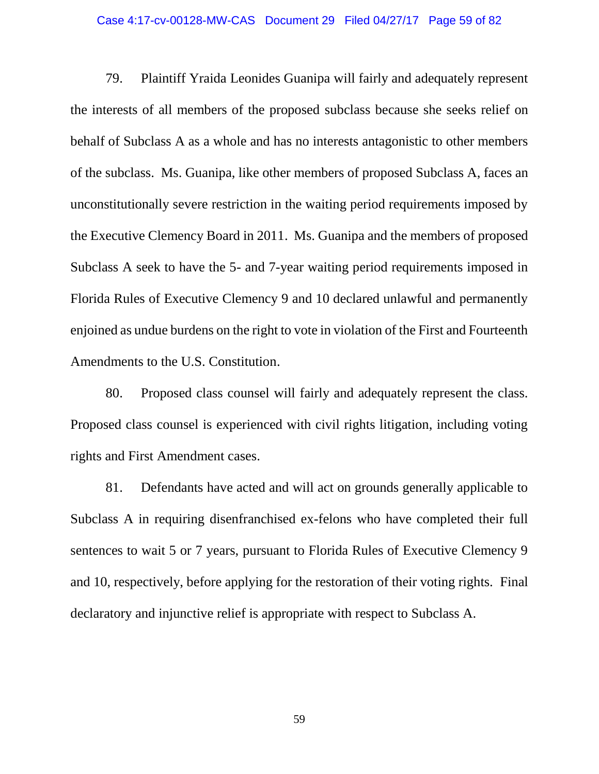#### Case 4:17-cv-00128-MW-CAS Document 29 Filed 04/27/17 Page 59 of 82

79. Plaintiff Yraida Leonides Guanipa will fairly and adequately represent the interests of all members of the proposed subclass because she seeks relief on behalf of Subclass A as a whole and has no interests antagonistic to other members of the subclass. Ms. Guanipa, like other members of proposed Subclass A, faces an unconstitutionally severe restriction in the waiting period requirements imposed by the Executive Clemency Board in 2011. Ms. Guanipa and the members of proposed Subclass A seek to have the 5- and 7-year waiting period requirements imposed in Florida Rules of Executive Clemency 9 and 10 declared unlawful and permanently enjoined as undue burdens on the right to vote in violation of the First and Fourteenth Amendments to the U.S. Constitution.

80. Proposed class counsel will fairly and adequately represent the class. Proposed class counsel is experienced with civil rights litigation, including voting rights and First Amendment cases.

81. Defendants have acted and will act on grounds generally applicable to Subclass A in requiring disenfranchised ex-felons who have completed their full sentences to wait 5 or 7 years, pursuant to Florida Rules of Executive Clemency 9 and 10, respectively, before applying for the restoration of their voting rights. Final declaratory and injunctive relief is appropriate with respect to Subclass A.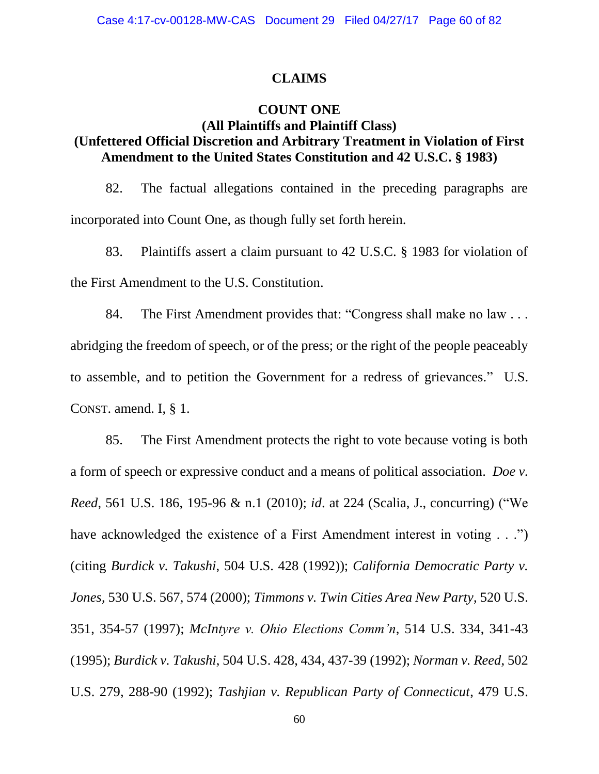### **CLAIMS**

### **COUNT ONE**

## **(All Plaintiffs and Plaintiff Class) (Unfettered Official Discretion and Arbitrary Treatment in Violation of First Amendment to the United States Constitution and 42 U.S.C. § 1983)**

82. The factual allegations contained in the preceding paragraphs are incorporated into Count One, as though fully set forth herein.

83. Plaintiffs assert a claim pursuant to 42 U.S.C. § 1983 for violation of the First Amendment to the U.S. Constitution.

84. The First Amendment provides that: "Congress shall make no law . . . abridging the freedom of speech, or of the press; or the right of the people peaceably to assemble, and to petition the Government for a redress of grievances." U.S. CONST. amend. I, § 1.

85. The First Amendment protects the right to vote because voting is both a form of speech or expressive conduct and a means of political association. *Doe v. Reed*, 561 U.S. 186, 195-96 & n.1 (2010); *id*. at 224 (Scalia, J., concurring) ("We have acknowledged the existence of a First Amendment interest in voting . . .") (citing *Burdick v. Takushi*, 504 U.S. 428 (1992)); *California Democratic Party v. Jones*, 530 U.S. 567, 574 (2000); *Timmons v. Twin Cities Area New Party*, 520 U.S. 351, 354-57 (1997); *McIntyre v. Ohio Elections Comm'n*, 514 U.S. 334, 341-43 (1995); *Burdick v. Takushi*, 504 U.S. 428, 434, 437-39 (1992); *Norman v. Reed*, 502 U.S. 279, 288-90 (1992); *Tashjian v. Republican Party of Connecticut*, 479 U.S.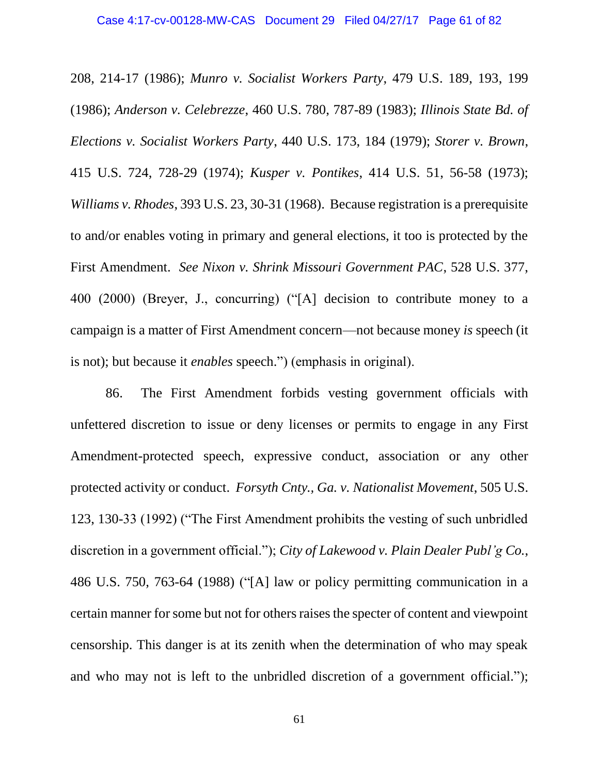208, 214-17 (1986); *Munro v. Socialist Workers Party*, 479 U.S. 189, 193, 199 (1986); *Anderson v. Celebrezze*, 460 U.S. 780, 787-89 (1983); *Illinois State Bd. of Elections v. Socialist Workers Party*, 440 U.S. 173, 184 (1979); *Storer v. Brown*, 415 U.S. 724, 728-29 (1974); *Kusper v. Pontikes*, 414 U.S. 51, 56-58 (1973); *Williams v. Rhodes*, 393 U.S. 23, 30-31 (1968). Because registration is a prerequisite to and/or enables voting in primary and general elections, it too is protected by the First Amendment. *See Nixon v. Shrink Missouri Government PAC*, 528 U.S. 377, 400 (2000) (Breyer, J., concurring) ("[A] decision to contribute money to a campaign is a matter of First Amendment concern—not because money *is* speech (it is not); but because it *enables* speech.") (emphasis in original).

86. The First Amendment forbids vesting government officials with unfettered discretion to issue or deny licenses or permits to engage in any First Amendment-protected speech, expressive conduct, association or any other protected activity or conduct. *Forsyth Cnty., Ga. v. Nationalist Movement*, 505 U.S. 123, 130-33 (1992) ("The First Amendment prohibits the vesting of such unbridled discretion in a government official."); *City of Lakewood v. Plain Dealer Publ'g Co.*, 486 U.S. 750, 763-64 (1988) ("[A] law or policy permitting communication in a certain manner for some but not for others raises the specter of content and viewpoint censorship. This danger is at its zenith when the determination of who may speak and who may not is left to the unbridled discretion of a government official.");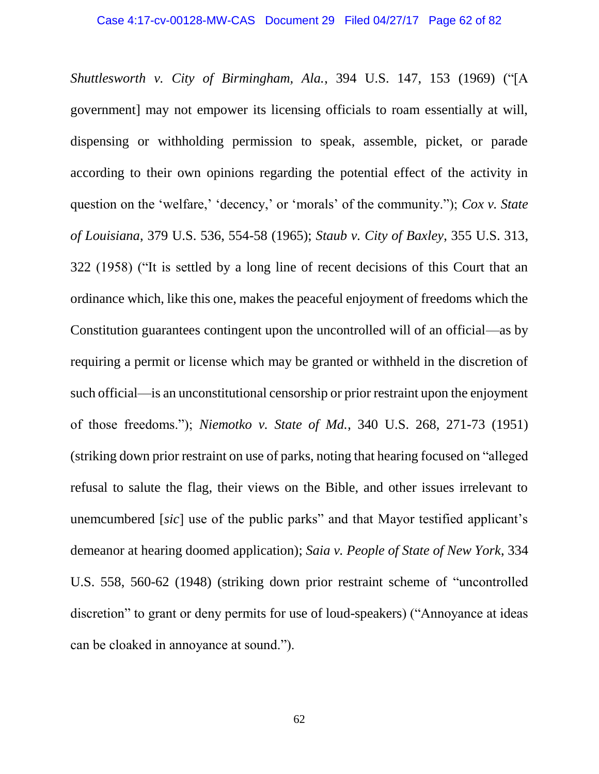*Shuttlesworth v. City of Birmingham, Ala.*, 394 U.S. 147, 153 (1969) ("[A government] may not empower its licensing officials to roam essentially at will, dispensing or withholding permission to speak, assemble, picket, or parade according to their own opinions regarding the potential effect of the activity in question on the 'welfare,' 'decency,' or 'morals' of the community."); *Cox v. State of Louisiana*, 379 U.S. 536, 554-58 (1965); *Staub v. City of Baxley*, 355 U.S. 313, 322 (1958) ("It is settled by a long line of recent decisions of this Court that an ordinance which, like this one, makes the peaceful enjoyment of freedoms which the Constitution guarantees contingent upon the uncontrolled will of an official—as by requiring a permit or license which may be granted or withheld in the discretion of such official—is an unconstitutional censorship or prior restraint upon the enjoyment of those freedoms."); *Niemotko v. State of Md.*, 340 U.S. 268, 271-73 (1951) (striking down prior restraint on use of parks, noting that hearing focused on "alleged refusal to salute the flag, their views on the Bible, and other issues irrelevant to unemcumbered [*sic*] use of the public parks" and that Mayor testified applicant's demeanor at hearing doomed application); *Saia v. People of State of New York*, 334 U.S. 558, 560-62 (1948) (striking down prior restraint scheme of "uncontrolled discretion" to grant or deny permits for use of loud-speakers) ("Annoyance at ideas can be cloaked in annoyance at sound.").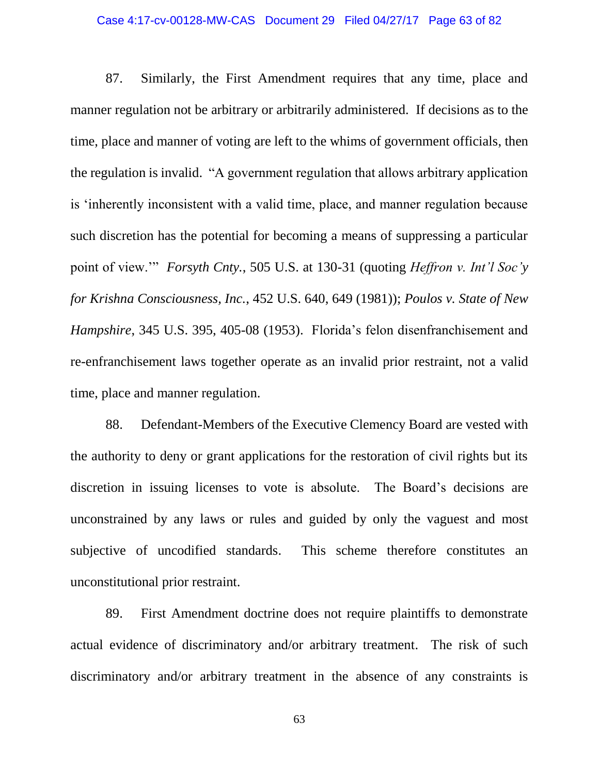#### Case 4:17-cv-00128-MW-CAS Document 29 Filed 04/27/17 Page 63 of 82

87. Similarly, the First Amendment requires that any time, place and manner regulation not be arbitrary or arbitrarily administered. If decisions as to the time, place and manner of voting are left to the whims of government officials, then the regulation is invalid. "A government regulation that allows arbitrary application is 'inherently inconsistent with a valid time, place, and manner regulation because such discretion has the potential for becoming a means of suppressing a particular point of view.'" *Forsyth Cnty.*, 505 U.S. at 130-31 (quoting *Heffron v. Int'l Soc'y for Krishna Consciousness, Inc.*, 452 U.S. 640, 649 (1981)); *Poulos v. State of New Hampshire*, 345 U.S. 395, 405-08 (1953). Florida's felon disenfranchisement and re-enfranchisement laws together operate as an invalid prior restraint, not a valid time, place and manner regulation.

88. Defendant-Members of the Executive Clemency Board are vested with the authority to deny or grant applications for the restoration of civil rights but its discretion in issuing licenses to vote is absolute. The Board's decisions are unconstrained by any laws or rules and guided by only the vaguest and most subjective of uncodified standards. This scheme therefore constitutes an unconstitutional prior restraint.

89. First Amendment doctrine does not require plaintiffs to demonstrate actual evidence of discriminatory and/or arbitrary treatment. The risk of such discriminatory and/or arbitrary treatment in the absence of any constraints is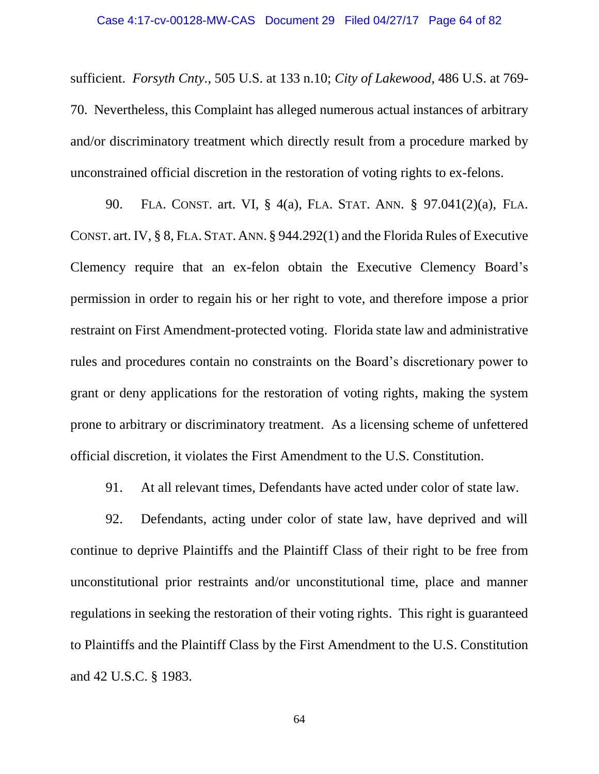sufficient. *Forsyth Cnty.*, 505 U.S. at 133 n.10; *City of Lakewood*, 486 U.S. at 769- 70. Nevertheless, this Complaint has alleged numerous actual instances of arbitrary and/or discriminatory treatment which directly result from a procedure marked by unconstrained official discretion in the restoration of voting rights to ex-felons.

90. FLA. CONST. art. VI, § 4(a), FLA. STAT. ANN. § 97.041(2)(a), FLA. CONST. art. IV, § 8, FLA. STAT. ANN. § 944.292(1) and the Florida Rules of Executive Clemency require that an ex-felon obtain the Executive Clemency Board's permission in order to regain his or her right to vote, and therefore impose a prior restraint on First Amendment-protected voting. Florida state law and administrative rules and procedures contain no constraints on the Board's discretionary power to grant or deny applications for the restoration of voting rights, making the system prone to arbitrary or discriminatory treatment. As a licensing scheme of unfettered official discretion, it violates the First Amendment to the U.S. Constitution.

91. At all relevant times, Defendants have acted under color of state law.

92. Defendants, acting under color of state law, have deprived and will continue to deprive Plaintiffs and the Plaintiff Class of their right to be free from unconstitutional prior restraints and/or unconstitutional time, place and manner regulations in seeking the restoration of their voting rights. This right is guaranteed to Plaintiffs and the Plaintiff Class by the First Amendment to the U.S. Constitution and 42 U.S.C. § 1983.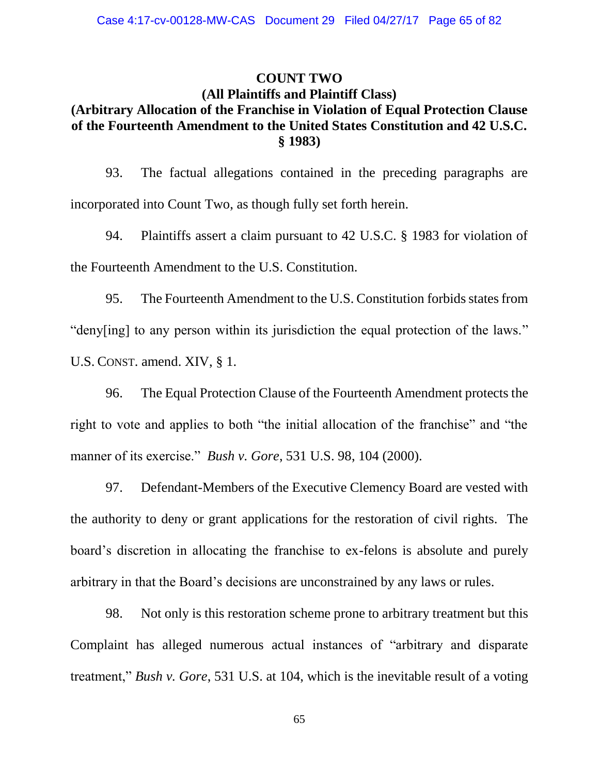### **COUNT TWO**

### **(All Plaintiffs and Plaintiff Class) (Arbitrary Allocation of the Franchise in Violation of Equal Protection Clause of the Fourteenth Amendment to the United States Constitution and 42 U.S.C. § 1983)**

93. The factual allegations contained in the preceding paragraphs are incorporated into Count Two, as though fully set forth herein.

94. Plaintiffs assert a claim pursuant to 42 U.S.C. § 1983 for violation of the Fourteenth Amendment to the U.S. Constitution.

95. The Fourteenth Amendment to the U.S. Constitution forbids states from "deny[ing] to any person within its jurisdiction the equal protection of the laws." U.S. CONST. amend. XIV, § 1.

96. The Equal Protection Clause of the Fourteenth Amendment protects the right to vote and applies to both "the initial allocation of the franchise" and "the manner of its exercise." *Bush v. Gore*, 531 U.S. 98, 104 (2000).

97. Defendant-Members of the Executive Clemency Board are vested with the authority to deny or grant applications for the restoration of civil rights. The board's discretion in allocating the franchise to ex-felons is absolute and purely arbitrary in that the Board's decisions are unconstrained by any laws or rules.

98. Not only is this restoration scheme prone to arbitrary treatment but this Complaint has alleged numerous actual instances of "arbitrary and disparate treatment," *Bush v. Gore*, 531 U.S. at 104, which is the inevitable result of a voting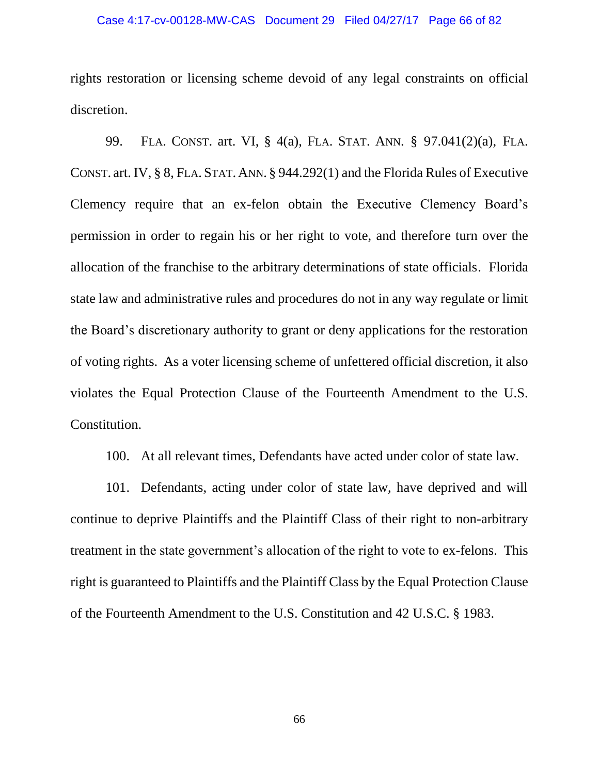#### Case 4:17-cv-00128-MW-CAS Document 29 Filed 04/27/17 Page 66 of 82

rights restoration or licensing scheme devoid of any legal constraints on official discretion.

99. FLA. CONST. art. VI, § 4(a), FLA. STAT. ANN. § 97.041(2)(a), FLA. CONST. art. IV, § 8, FLA. STAT. ANN. § 944.292(1) and the Florida Rules of Executive Clemency require that an ex-felon obtain the Executive Clemency Board's permission in order to regain his or her right to vote, and therefore turn over the allocation of the franchise to the arbitrary determinations of state officials. Florida state law and administrative rules and procedures do not in any way regulate or limit the Board's discretionary authority to grant or deny applications for the restoration of voting rights. As a voter licensing scheme of unfettered official discretion, it also violates the Equal Protection Clause of the Fourteenth Amendment to the U.S. Constitution.

100. At all relevant times, Defendants have acted under color of state law.

101. Defendants, acting under color of state law, have deprived and will continue to deprive Plaintiffs and the Plaintiff Class of their right to non-arbitrary treatment in the state government's allocation of the right to vote to ex-felons. This right is guaranteed to Plaintiffs and the Plaintiff Class by the Equal Protection Clause of the Fourteenth Amendment to the U.S. Constitution and 42 U.S.C. § 1983.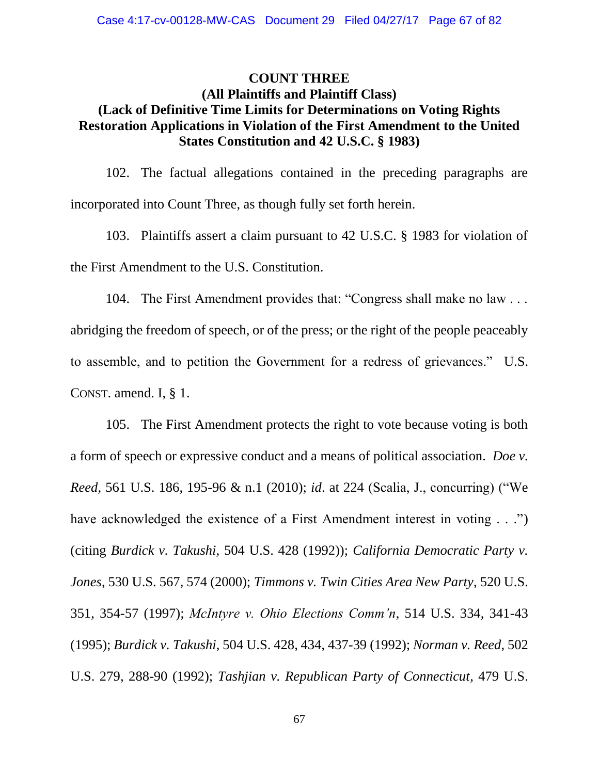### **COUNT THREE (All Plaintiffs and Plaintiff Class) (Lack of Definitive Time Limits for Determinations on Voting Rights Restoration Applications in Violation of the First Amendment to the United States Constitution and 42 U.S.C. § 1983)**

102. The factual allegations contained in the preceding paragraphs are incorporated into Count Three, as though fully set forth herein.

103. Plaintiffs assert a claim pursuant to 42 U.S.C. § 1983 for violation of the First Amendment to the U.S. Constitution.

104. The First Amendment provides that: "Congress shall make no law . . . abridging the freedom of speech, or of the press; or the right of the people peaceably to assemble, and to petition the Government for a redress of grievances." U.S. CONST. amend. I, § 1.

105. The First Amendment protects the right to vote because voting is both a form of speech or expressive conduct and a means of political association. *Doe v. Reed*, 561 U.S. 186, 195-96 & n.1 (2010); *id*. at 224 (Scalia, J., concurring) ("We have acknowledged the existence of a First Amendment interest in voting . . .") (citing *Burdick v. Takushi*, 504 U.S. 428 (1992)); *California Democratic Party v. Jones*, 530 U.S. 567, 574 (2000); *Timmons v. Twin Cities Area New Party*, 520 U.S. 351, 354-57 (1997); *McIntyre v. Ohio Elections Comm'n*, 514 U.S. 334, 341-43 (1995); *Burdick v. Takushi*, 504 U.S. 428, 434, 437-39 (1992); *Norman v. Reed*, 502 U.S. 279, 288-90 (1992); *Tashjian v. Republican Party of Connecticut*, 479 U.S.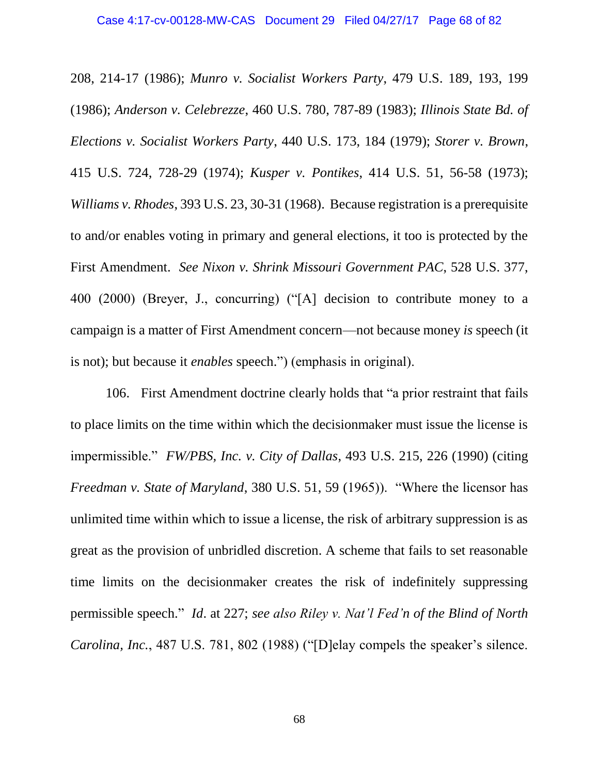208, 214-17 (1986); *Munro v. Socialist Workers Party*, 479 U.S. 189, 193, 199 (1986); *Anderson v. Celebrezze*, 460 U.S. 780, 787-89 (1983); *Illinois State Bd. of Elections v. Socialist Workers Party*, 440 U.S. 173, 184 (1979); *Storer v. Brown*, 415 U.S. 724, 728-29 (1974); *Kusper v. Pontikes*, 414 U.S. 51, 56-58 (1973); *Williams v. Rhodes*, 393 U.S. 23, 30-31 (1968). Because registration is a prerequisite to and/or enables voting in primary and general elections, it too is protected by the First Amendment. *See Nixon v. Shrink Missouri Government PAC*, 528 U.S. 377, 400 (2000) (Breyer, J., concurring) ("[A] decision to contribute money to a campaign is a matter of First Amendment concern—not because money *is* speech (it is not); but because it *enables* speech.") (emphasis in original).

106. First Amendment doctrine clearly holds that "a prior restraint that fails to place limits on the time within which the decisionmaker must issue the license is impermissible." *FW/PBS, Inc. v. City of Dallas*, 493 U.S. 215, 226 (1990) (citing *Freedman v. State of Maryland*, 380 U.S. 51, 59 (1965)). "Where the licensor has unlimited time within which to issue a license, the risk of arbitrary suppression is as great as the provision of unbridled discretion. A scheme that fails to set reasonable time limits on the decisionmaker creates the risk of indefinitely suppressing permissible speech." *Id*. at 227; *see also Riley v. Nat'l Fed'n of the Blind of North Carolina, Inc.*, 487 U.S. 781, 802 (1988) ("[D]elay compels the speaker's silence.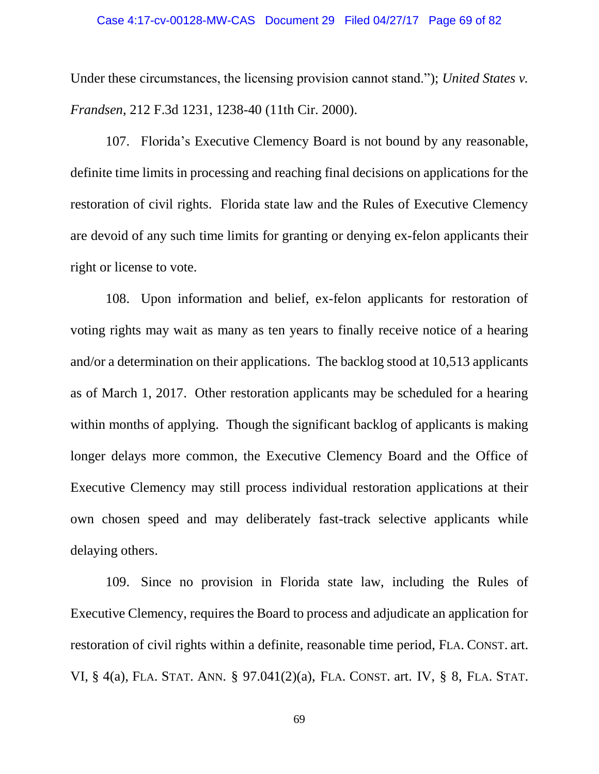Under these circumstances, the licensing provision cannot stand."); *United States v. Frandsen*, 212 F.3d 1231, 1238-40 (11th Cir. 2000).

107. Florida's Executive Clemency Board is not bound by any reasonable, definite time limits in processing and reaching final decisions on applications for the restoration of civil rights. Florida state law and the Rules of Executive Clemency are devoid of any such time limits for granting or denying ex-felon applicants their right or license to vote.

108. Upon information and belief, ex-felon applicants for restoration of voting rights may wait as many as ten years to finally receive notice of a hearing and/or a determination on their applications. The backlog stood at 10,513 applicants as of March 1, 2017. Other restoration applicants may be scheduled for a hearing within months of applying. Though the significant backlog of applicants is making longer delays more common, the Executive Clemency Board and the Office of Executive Clemency may still process individual restoration applications at their own chosen speed and may deliberately fast-track selective applicants while delaying others.

109. Since no provision in Florida state law, including the Rules of Executive Clemency, requires the Board to process and adjudicate an application for restoration of civil rights within a definite, reasonable time period, FLA. CONST. art. VI, § 4(a), FLA. STAT. ANN. § 97.041(2)(a), FLA. CONST. art. IV, § 8, FLA. STAT.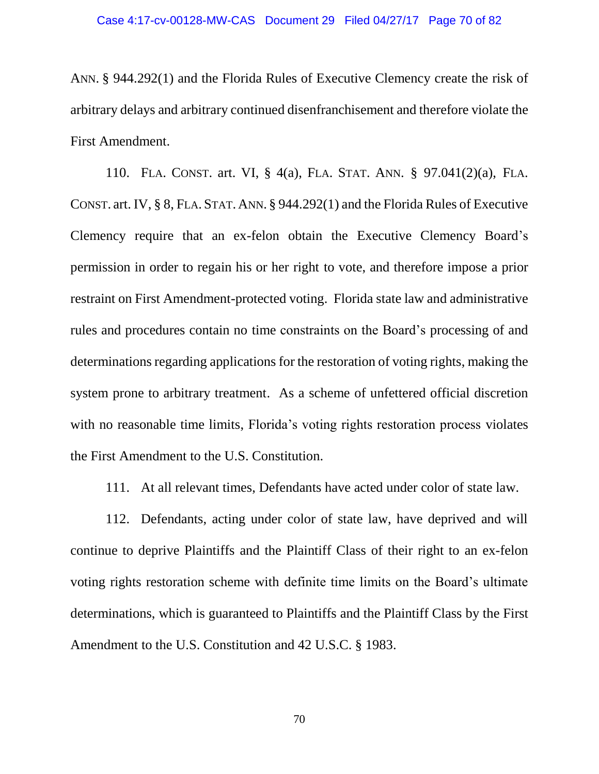ANN. § 944.292(1) and the Florida Rules of Executive Clemency create the risk of arbitrary delays and arbitrary continued disenfranchisement and therefore violate the First Amendment.

110. FLA. CONST. art. VI, § 4(a), FLA. STAT. ANN. § 97.041(2)(a), FLA. CONST. art. IV, § 8, FLA. STAT. ANN. § 944.292(1) and the Florida Rules of Executive Clemency require that an ex-felon obtain the Executive Clemency Board's permission in order to regain his or her right to vote, and therefore impose a prior restraint on First Amendment-protected voting. Florida state law and administrative rules and procedures contain no time constraints on the Board's processing of and determinations regarding applications for the restoration of voting rights, making the system prone to arbitrary treatment. As a scheme of unfettered official discretion with no reasonable time limits, Florida's voting rights restoration process violates the First Amendment to the U.S. Constitution.

111. At all relevant times, Defendants have acted under color of state law.

112. Defendants, acting under color of state law, have deprived and will continue to deprive Plaintiffs and the Plaintiff Class of their right to an ex-felon voting rights restoration scheme with definite time limits on the Board's ultimate determinations, which is guaranteed to Plaintiffs and the Plaintiff Class by the First Amendment to the U.S. Constitution and 42 U.S.C. § 1983.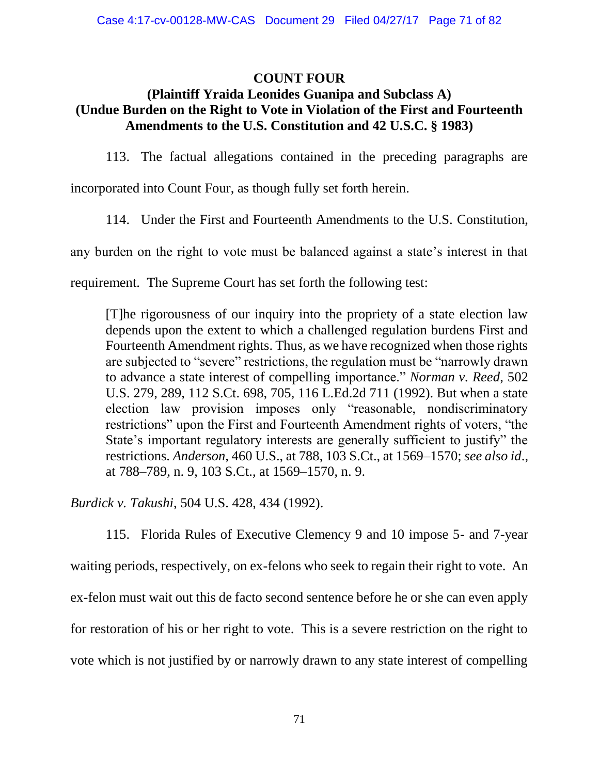## **COUNT FOUR**

## **(Plaintiff Yraida Leonides Guanipa and Subclass A) (Undue Burden on the Right to Vote in Violation of the First and Fourteenth Amendments to the U.S. Constitution and 42 U.S.C. § 1983)**

113. The factual allegations contained in the preceding paragraphs are

incorporated into Count Four, as though fully set forth herein.

114. Under the First and Fourteenth Amendments to the U.S. Constitution,

any burden on the right to vote must be balanced against a state's interest in that

requirement. The Supreme Court has set forth the following test:

[T]he rigorousness of our inquiry into the propriety of a state election law depends upon the extent to which a challenged regulation burdens First and Fourteenth Amendment rights. Thus, as we have recognized when those rights are subjected to "severe" restrictions, the regulation must be "narrowly drawn to advance a state interest of compelling importance." *Norman v. Reed*, 502 U.S. 279, 289, 112 S.Ct. 698, 705, 116 L.Ed.2d 711 (1992). But when a state election law provision imposes only "reasonable, nondiscriminatory restrictions" upon the First and Fourteenth Amendment rights of voters, "the State's important regulatory interests are generally sufficient to justify" the restrictions. *Anderson*, 460 U.S., at 788, 103 S.Ct., at 1569–1570; *see also id*., at 788–789, n. 9, 103 S.Ct., at 1569–1570, n. 9.

*Burdick v. Takushi*, 504 U.S. 428, 434 (1992).

115. Florida Rules of Executive Clemency 9 and 10 impose 5- and 7-year waiting periods, respectively, on ex-felons who seek to regain their right to vote. An ex-felon must wait out this de facto second sentence before he or she can even apply for restoration of his or her right to vote. This is a severe restriction on the right to vote which is not justified by or narrowly drawn to any state interest of compelling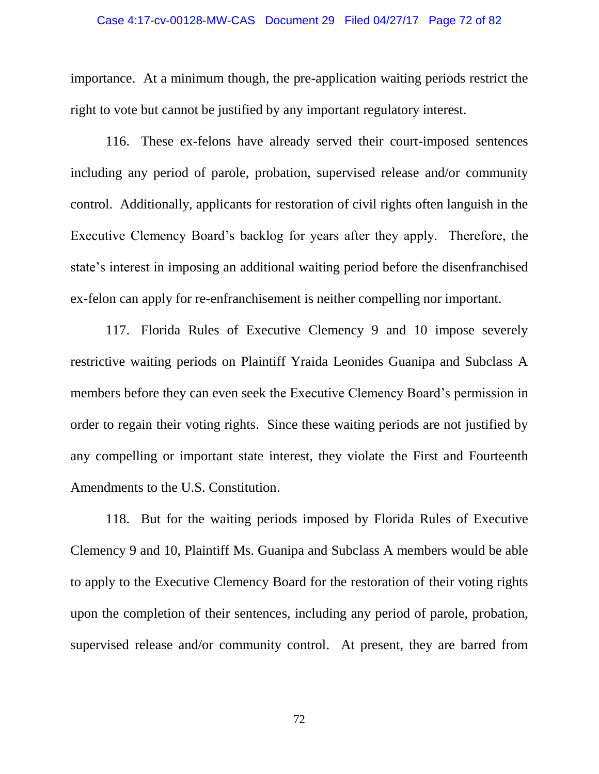#### Case 4:17-cv-00128-MW-CAS Document 29 Filed 04/27/17 Page 72 of 82

importance. At a minimum though, the pre-application waiting periods restrict the right to vote but cannot be justified by any important regulatory interest.

116. These ex-felons have already served their court-imposed sentences including any period of parole, probation, supervised release and/or community control. Additionally, applicants for restoration of civil rights often languish in the Executive Clemency Board's backlog for years after they apply. Therefore, the state's interest in imposing an additional waiting period before the disenfranchised ex-felon can apply for re-enfranchisement is neither compelling nor important.

117. Florida Rules of Executive Clemency 9 and 10 impose severely restrictive waiting periods on Plaintiff Yraida Leonides Guanipa and Subclass A members before they can even seek the Executive Clemency Board's permission in order to regain their voting rights. Since these waiting periods are not justified by any compelling or important state interest, they violate the First and Fourteenth Amendments to the U.S. Constitution.

118. But for the waiting periods imposed by Florida Rules of Executive Clemency 9 and 10, Plaintiff Ms. Guanipa and Subclass A members would be able to apply to the Executive Clemency Board for the restoration of their voting rights upon the completion of their sentences, including any period of parole, probation, supervised release and/or community control. At present, they are barred from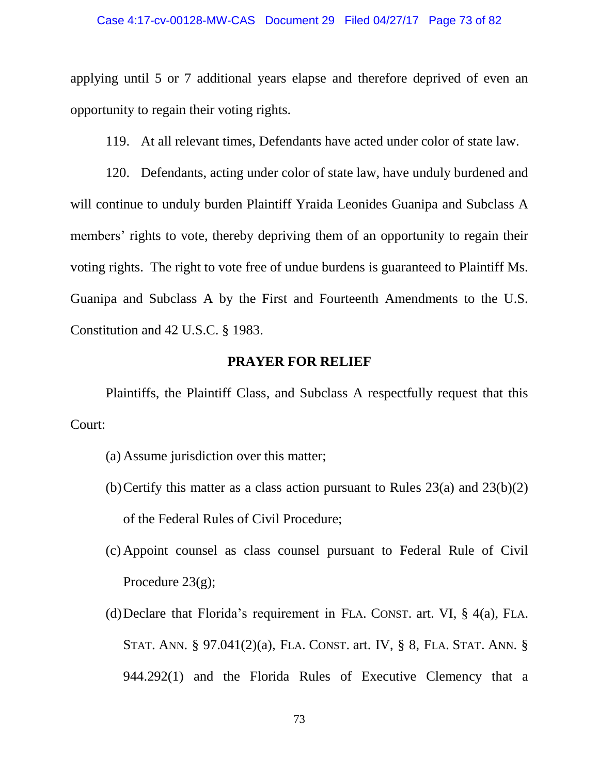applying until 5 or 7 additional years elapse and therefore deprived of even an opportunity to regain their voting rights.

119. At all relevant times, Defendants have acted under color of state law.

120. Defendants, acting under color of state law, have unduly burdened and will continue to unduly burden Plaintiff Yraida Leonides Guanipa and Subclass A members' rights to vote, thereby depriving them of an opportunity to regain their voting rights. The right to vote free of undue burdens is guaranteed to Plaintiff Ms. Guanipa and Subclass A by the First and Fourteenth Amendments to the U.S. Constitution and 42 U.S.C. § 1983.

## **PRAYER FOR RELIEF**

Plaintiffs, the Plaintiff Class, and Subclass A respectfully request that this Court:

- (a) Assume jurisdiction over this matter;
- (b) Certify this matter as a class action pursuant to Rules  $23(a)$  and  $23(b)(2)$ of the Federal Rules of Civil Procedure;
- (c) Appoint counsel as class counsel pursuant to Federal Rule of Civil Procedure  $23(g)$ ;
- (d)Declare that Florida's requirement in FLA. CONST. art. VI, § 4(a), FLA. STAT. ANN. § 97.041(2)(a), FLA. CONST. art. IV, § 8, FLA. STAT. ANN. § 944.292(1) and the Florida Rules of Executive Clemency that a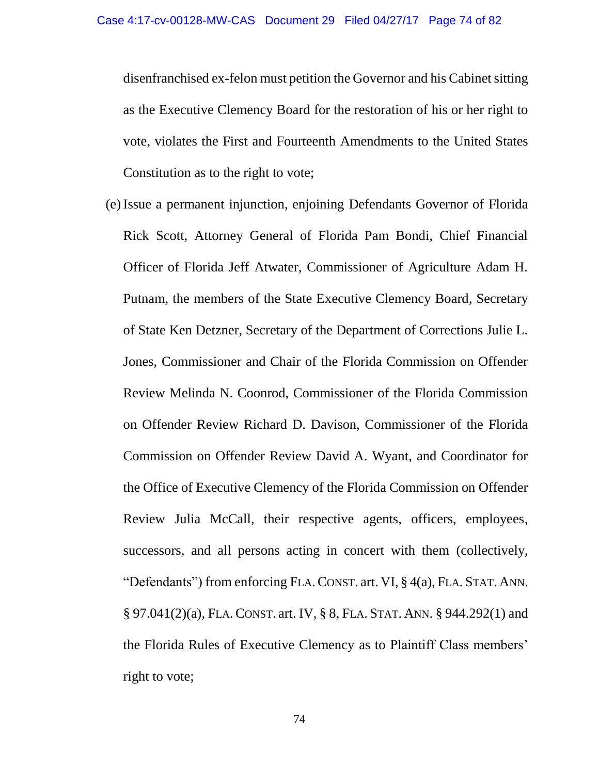disenfranchised ex-felon must petition the Governor and his Cabinet sitting as the Executive Clemency Board for the restoration of his or her right to vote, violates the First and Fourteenth Amendments to the United States Constitution as to the right to vote;

(e) Issue a permanent injunction, enjoining Defendants Governor of Florida Rick Scott, Attorney General of Florida Pam Bondi, Chief Financial Officer of Florida Jeff Atwater, Commissioner of Agriculture Adam H. Putnam, the members of the State Executive Clemency Board, Secretary of State Ken Detzner, Secretary of the Department of Corrections Julie L. Jones, Commissioner and Chair of the Florida Commission on Offender Review Melinda N. Coonrod, Commissioner of the Florida Commission on Offender Review Richard D. Davison, Commissioner of the Florida Commission on Offender Review David A. Wyant, and Coordinator for the Office of Executive Clemency of the Florida Commission on Offender Review Julia McCall, their respective agents, officers, employees, successors, and all persons acting in concert with them (collectively, "Defendants") from enforcing FLA.CONST. art. VI, § 4(a), FLA. STAT. ANN. § 97.041(2)(a), FLA.CONST. art. IV, § 8, FLA. STAT. ANN. § 944.292(1) and the Florida Rules of Executive Clemency as to Plaintiff Class members' right to vote;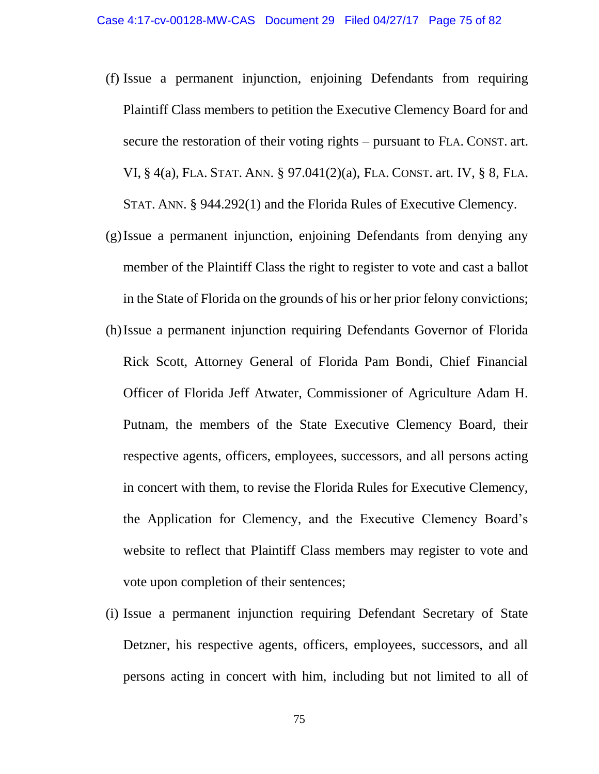- (f) Issue a permanent injunction, enjoining Defendants from requiring Plaintiff Class members to petition the Executive Clemency Board for and secure the restoration of their voting rights – pursuant to FLA. CONST. art. VI, § 4(a), FLA. STAT. ANN. § 97.041(2)(a), FLA. CONST. art. IV, § 8, FLA. STAT. ANN. § 944.292(1) and the Florida Rules of Executive Clemency.
- (g)Issue a permanent injunction, enjoining Defendants from denying any member of the Plaintiff Class the right to register to vote and cast a ballot in the State of Florida on the grounds of his or her prior felony convictions;
- (h)Issue a permanent injunction requiring Defendants Governor of Florida Rick Scott, Attorney General of Florida Pam Bondi, Chief Financial Officer of Florida Jeff Atwater, Commissioner of Agriculture Adam H. Putnam, the members of the State Executive Clemency Board, their respective agents, officers, employees, successors, and all persons acting in concert with them, to revise the Florida Rules for Executive Clemency, the Application for Clemency, and the Executive Clemency Board's website to reflect that Plaintiff Class members may register to vote and vote upon completion of their sentences;
- (i) Issue a permanent injunction requiring Defendant Secretary of State Detzner, his respective agents, officers, employees, successors, and all persons acting in concert with him, including but not limited to all of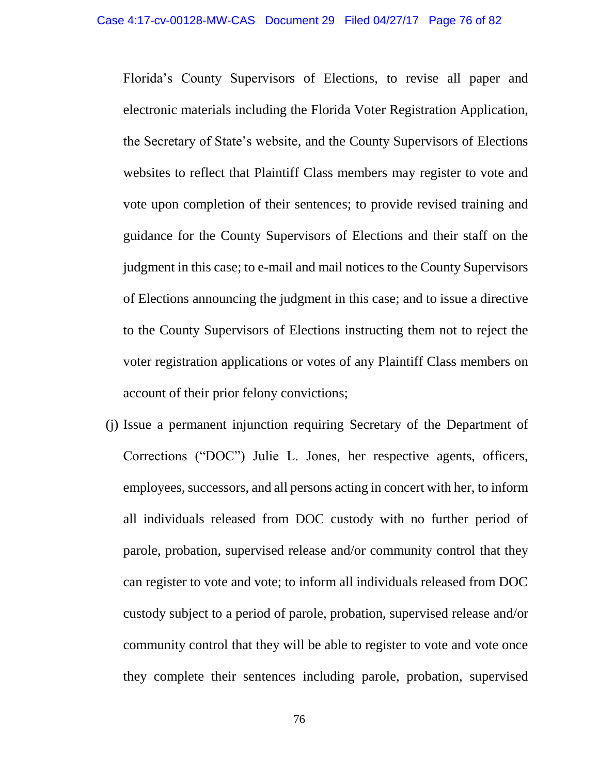Florida's County Supervisors of Elections, to revise all paper and electronic materials including the Florida Voter Registration Application, the Secretary of State's website, and the County Supervisors of Elections websites to reflect that Plaintiff Class members may register to vote and vote upon completion of their sentences; to provide revised training and guidance for the County Supervisors of Elections and their staff on the judgment in this case; to e-mail and mail notices to the County Supervisors of Elections announcing the judgment in this case; and to issue a directive to the County Supervisors of Elections instructing them not to reject the voter registration applications or votes of any Plaintiff Class members on account of their prior felony convictions;

(j) Issue a permanent injunction requiring Secretary of the Department of Corrections ("DOC") Julie L. Jones, her respective agents, officers, employees, successors, and all persons acting in concert with her, to inform all individuals released from DOC custody with no further period of parole, probation, supervised release and/or community control that they can register to vote and vote; to inform all individuals released from DOC custody subject to a period of parole, probation, supervised release and/or community control that they will be able to register to vote and vote once they complete their sentences including parole, probation, supervised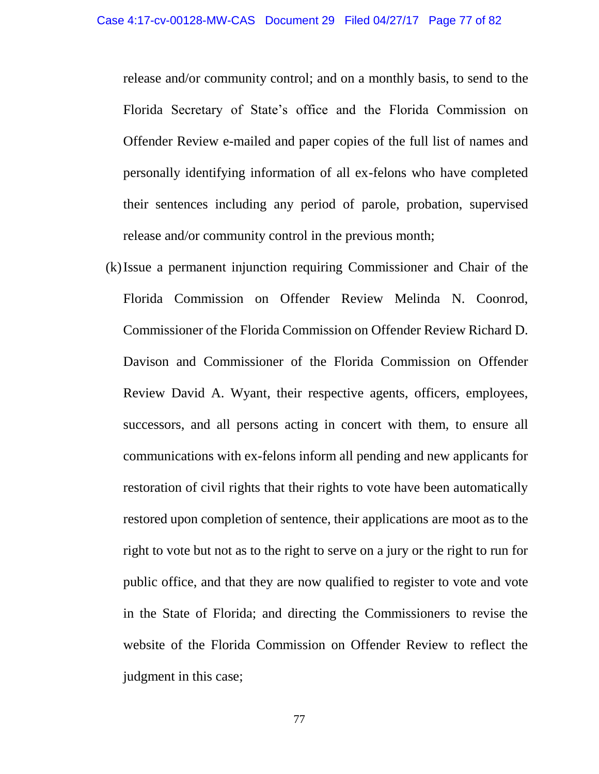release and/or community control; and on a monthly basis, to send to the Florida Secretary of State's office and the Florida Commission on Offender Review e-mailed and paper copies of the full list of names and personally identifying information of all ex-felons who have completed their sentences including any period of parole, probation, supervised release and/or community control in the previous month;

(k)Issue a permanent injunction requiring Commissioner and Chair of the Florida Commission on Offender Review Melinda N. Coonrod, Commissioner of the Florida Commission on Offender Review Richard D. Davison and Commissioner of the Florida Commission on Offender Review David A. Wyant, their respective agents, officers, employees, successors, and all persons acting in concert with them, to ensure all communications with ex-felons inform all pending and new applicants for restoration of civil rights that their rights to vote have been automatically restored upon completion of sentence, their applications are moot as to the right to vote but not as to the right to serve on a jury or the right to run for public office, and that they are now qualified to register to vote and vote in the State of Florida; and directing the Commissioners to revise the website of the Florida Commission on Offender Review to reflect the judgment in this case;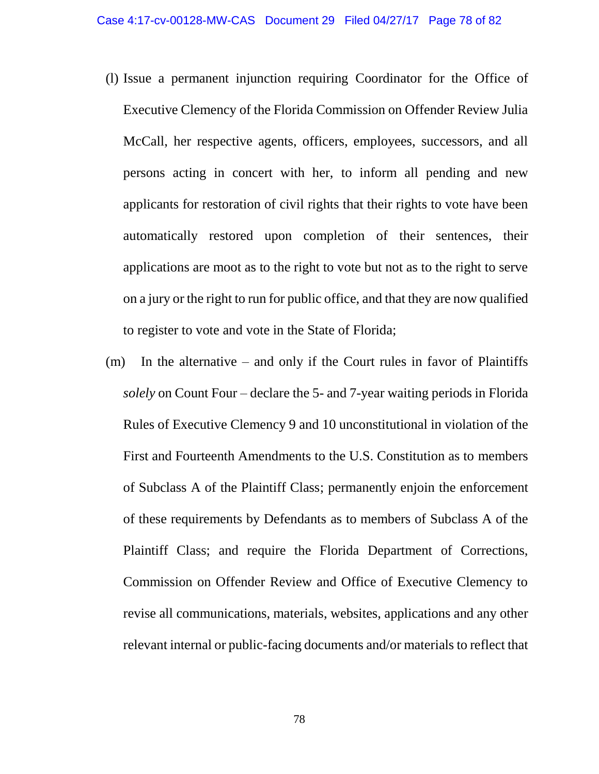- (l) Issue a permanent injunction requiring Coordinator for the Office of Executive Clemency of the Florida Commission on Offender Review Julia McCall, her respective agents, officers, employees, successors, and all persons acting in concert with her, to inform all pending and new applicants for restoration of civil rights that their rights to vote have been automatically restored upon completion of their sentences, their applications are moot as to the right to vote but not as to the right to serve on a jury or the right to run for public office, and that they are now qualified to register to vote and vote in the State of Florida;
- (m) In the alternative and only if the Court rules in favor of Plaintiffs *solely* on Count Four – declare the 5- and 7-year waiting periods in Florida Rules of Executive Clemency 9 and 10 unconstitutional in violation of the First and Fourteenth Amendments to the U.S. Constitution as to members of Subclass A of the Plaintiff Class; permanently enjoin the enforcement of these requirements by Defendants as to members of Subclass A of the Plaintiff Class; and require the Florida Department of Corrections, Commission on Offender Review and Office of Executive Clemency to revise all communications, materials, websites, applications and any other relevant internal or public-facing documents and/or materials to reflect that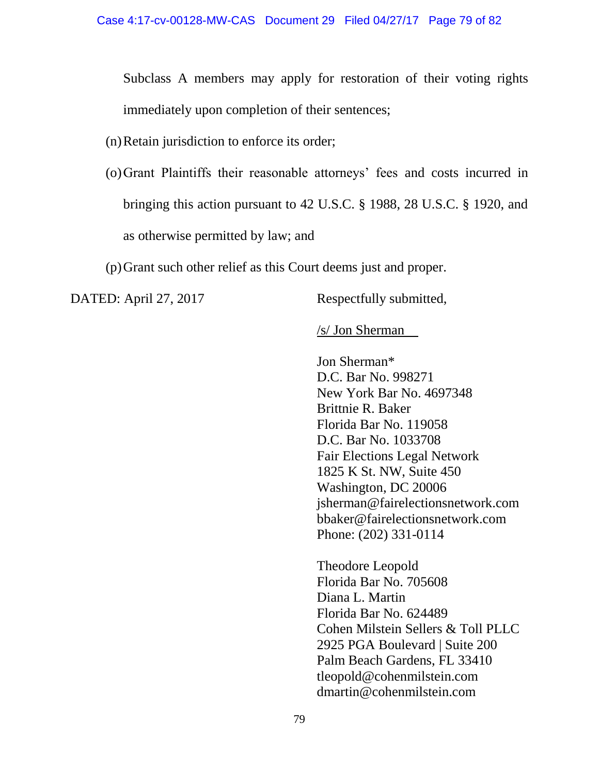Subclass A members may apply for restoration of their voting rights immediately upon completion of their sentences;

- (n)Retain jurisdiction to enforce its order;
- (o)Grant Plaintiffs their reasonable attorneys' fees and costs incurred in bringing this action pursuant to 42 U.S.C. § 1988, 28 U.S.C. § 1920, and as otherwise permitted by law; and

(p)Grant such other relief as this Court deems just and proper.

DATED: April 27, 2017 Respectfully submitted,

/s/ Jon Sherman

Jon Sherman\* D.C. Bar No. 998271 New York Bar No. 4697348 Brittnie R. Baker Florida Bar No. 119058 D.C. Bar No. 1033708 Fair Elections Legal Network 1825 K St. NW, Suite 450 Washington, DC 20006 jsherman@fairelectionsnetwork.com bbaker@fairelectionsnetwork.com Phone: (202) 331-0114

Theodore Leopold Florida Bar No. 705608 Diana L. Martin Florida Bar No. 624489 Cohen Milstein Sellers & Toll PLLC 2925 PGA Boulevard | Suite 200 Palm Beach Gardens, FL 33410 tleopold@cohenmilstein.com dmartin@cohenmilstein.com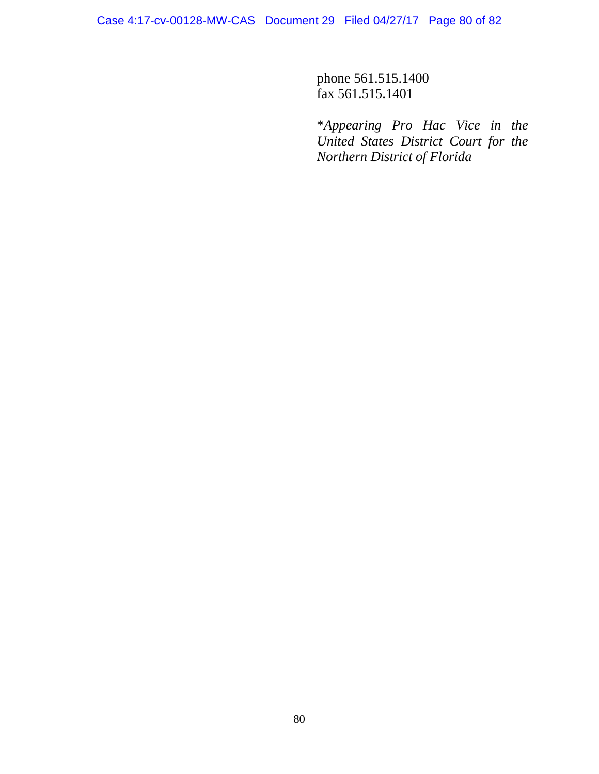phone 561.515.1400 fax 561.515.1401

\**Appearing Pro Hac Vice in the United States District Court for the Northern District of Florida*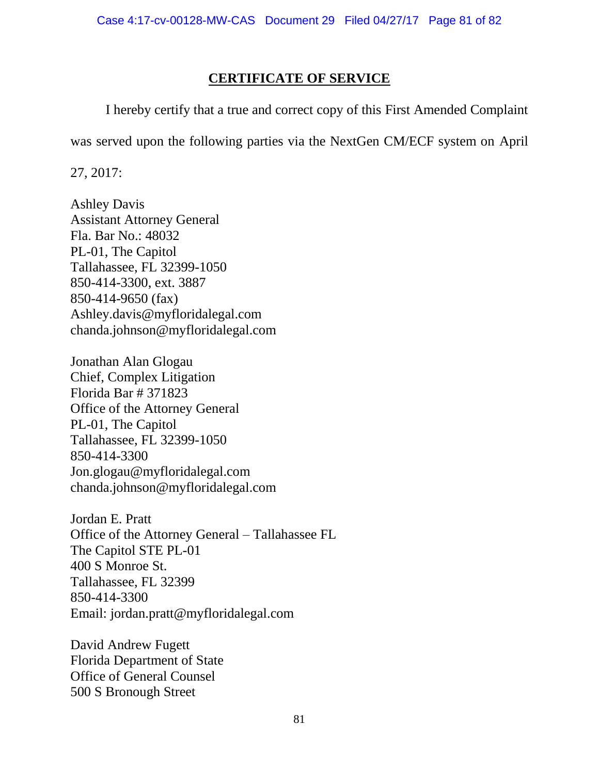## **CERTIFICATE OF SERVICE**

I hereby certify that a true and correct copy of this First Amended Complaint

was served upon the following parties via the NextGen CM/ECF system on April

27, 2017:

Ashley Davis Assistant Attorney General Fla. Bar No.: 48032 PL-01, The Capitol Tallahassee, FL 32399-1050 850-414-3300, ext. 3887 850-414-9650 (fax) Ashley.davis@myfloridalegal.com chanda.johnson@myfloridalegal.com

Jonathan Alan Glogau Chief, Complex Litigation Florida Bar # 371823 Office of the Attorney General PL-01, The Capitol Tallahassee, FL 32399-1050 850-414-3300 Jon.glogau@myfloridalegal.com chanda.johnson@myfloridalegal.com

Jordan E. Pratt Office of the Attorney General – Tallahassee FL The Capitol STE PL-01 400 S Monroe St. Tallahassee, FL 32399 850-414-3300 Email: jordan.pratt@myfloridalegal.com

David Andrew Fugett Florida Department of State Office of General Counsel 500 S Bronough Street